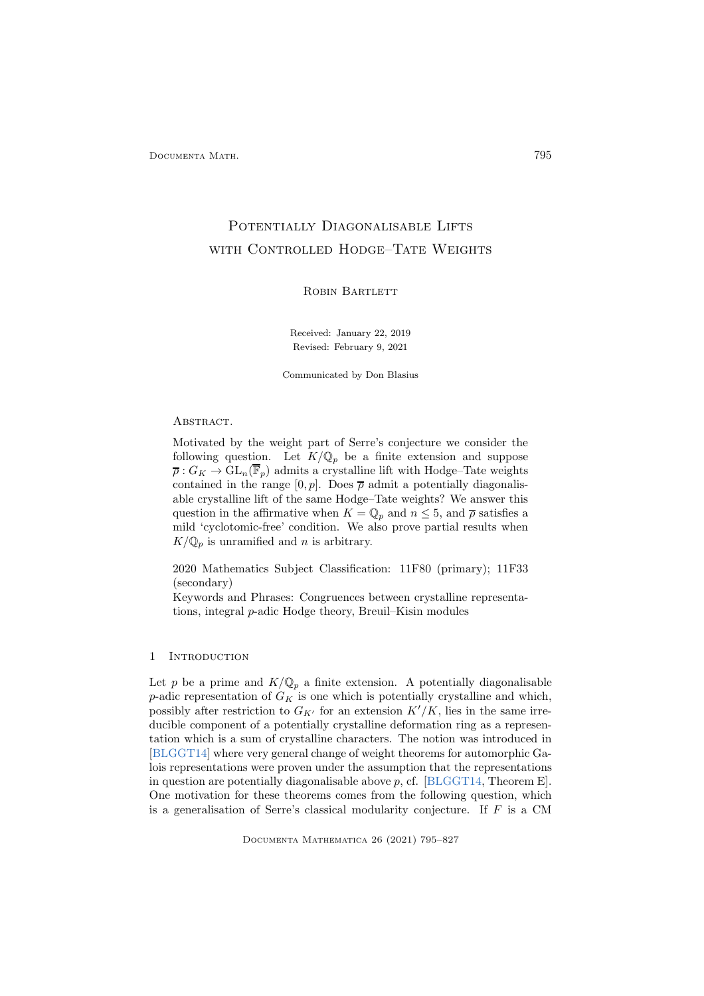# POTENTIALLY DIAGONALISABLE LIFTS WITH CONTROLLED HODGE-TATE WEIGHTS

# ROBIN BARTLETT

Received: January 22, 2019 Revised: February 9, 2021

Communicated by Don Blasius

# ABSTRACT.

Motivated by the weight part of Serre's conjecture we consider the following question. Let  $K/\mathbb{Q}_p$  be a finite extension and suppose  $\overline{\rho}: G_K \to \mathrm{GL}_n(\overline{\mathbb{F}}_p)$  admits a crystalline lift with Hodge–Tate weights contained in the range  $[0, p]$ . Does  $\overline{\rho}$  admit a potentially diagonalisable crystalline lift of the same Hodge–Tate weights? We answer this question in the affirmative when  $K = \mathbb{Q}_p$  and  $n \leq 5$ , and  $\overline{\rho}$  satisfies a mild 'cyclotomic-free' condition. We also prove partial results when  $K/\mathbb{Q}_p$  is unramified and n is arbitrary.

2020 Mathematics Subject Classification: 11F80 (primary); 11F33 (secondary)

Keywords and Phrases: Congruences between crystalline representations, integral p-adic Hodge theory, Breuil–Kisin modules

# 1 Introduction

Let p be a prime and  $K/\mathbb{Q}_p$  a finite extension. A potentially diagonalisable p-adic representation of  $G_K$  is one which is potentially crystalline and which, possibly after restriction to  $G_{K'}$  for an extension  $K'/K$ , lies in the same irreducible component of a potentially crystalline deformation ring as a representation which is a sum of crystalline characters. The notion was introduced in [\[BLGGT14\]](#page-30-0) where very general change of weight theorems for automorphic Galois representations were proven under the assumption that the representations in question are potentially diagonalisable above  $p$ , cf. [\[BLGGT14,](#page-30-0) Theorem E]. One motivation for these theorems comes from the following question, which is a generalisation of Serre's classical modularity conjecture. If  $F$  is a CM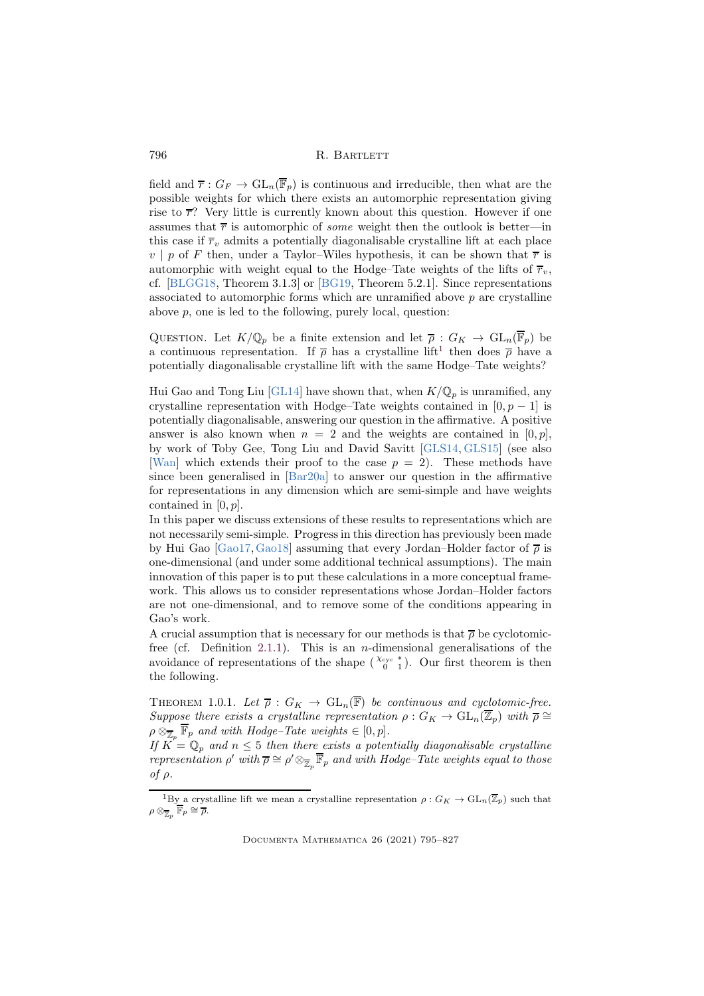field and  $\overline{r}: G_F \to GL_n(\overline{\mathbb{F}}_p)$  is continuous and irreducible, then what are the possible weights for which there exists an automorphic representation giving rise to  $\overline{r}$ ? Very little is currently known about this question. However if one assumes that  $\bar{r}$  is automorphic of *some* weight then the outlook is better—in this case if  $\overline{r}_v$  admits a potentially diagonalisable crystalline lift at each place  $v \mid p$  of F then, under a Taylor–Wiles hypothesis, it can be shown that  $\overline{r}$  is automorphic with weight equal to the Hodge–Tate weights of the lifts of  $\overline{r}_v$ , cf. [\[BLGG18,](#page-30-1) Theorem 3.1.3] or [\[BG19,](#page-30-2) Theorem 5.2.1]. Since representations associated to automorphic forms which are unramified above  $p$  are crystalline above p, one is led to the following, purely local, question:

QUESTION. Let  $K/\mathbb{Q}_p$  be a finite extension and let  $\overline{\rho}: G_K \to \text{GL}_n(\overline{\mathbb{F}}_p)$  be a continuous representation. If  $\bar{\rho}$  has a crystalline lift<sup>[1](#page-1-0)</sup> then does  $\bar{\rho}$  have a potentially diagonalisable crystalline lift with the same Hodge–Tate weights?

Hui Gao and Tong Liu [\[GL14\]](#page-31-0) have shown that, when  $K/\mathbb{Q}_p$  is unramified, any crystalline representation with Hodge–Tate weights contained in  $[0, p - 1]$  is potentially diagonalisable, answering our question in the affirmative. A positive answer is also known when  $n = 2$  and the weights are contained in [0, p], by work of Toby Gee, Tong Liu and David Savitt [\[GLS14,](#page-31-1) [GLS15\]](#page-31-2) (see also [\[Wan\]](#page-31-3) which extends their proof to the case  $p = 2$ . These methods have since been generalised in [\[Bar20a\]](#page-30-3) to answer our question in the affirmative for representations in any dimension which are semi-simple and have weights contained in  $[0, p]$ .

In this paper we discuss extensions of these results to representations which are not necessarily semi-simple. Progress in this direction has previously been made by Hui Gao  $[Ga017, Ga018]$  assuming that every Jordan–Holder factor of  $\bar{\rho}$  is one-dimensional (and under some additional technical assumptions). The main innovation of this paper is to put these calculations in a more conceptual framework. This allows us to consider representations whose Jordan–Holder factors are not one-dimensional, and to remove some of the conditions appearing in Gao's work.

A crucial assumption that is necessary for our methods is that  $\bar{\rho}$  be cyclotomic-free (cf. Definition [2.1.1\)](#page-4-0). This is an *n*-dimensional generalisations of the avoidance of representations of the shape  $\binom{\chi_{\text{cyc}}^*}{0 \ 1}$ . Our first theorem is then the following.

<span id="page-1-1"></span>THEOREM 1.0.1. Let  $\overline{\rho}: G_K \to \text{GL}_n(\overline{\mathbb{F}})$  *be continuous and cyclotomic-free. Suppose there exists a crystalline representation*  $\rho$  :  $G_K \to GL_n(\overline{\mathbb{Z}}_p)$  *with*  $\overline{\rho} \cong$  $\rho \otimes_{\overline{\mathbb{Z}}_p} \overline{\mathbb{F}}_p$  and with Hodge–Tate weights  $\in [0, p]$ .

*If*  $K = \mathbb{Q}_p$  and  $n \leq 5$  then there exists a potentially diagonalisable crystalline *representation*  $\rho'$  *with*  $\overline{\rho} \cong \rho' \otimes_{\overline{\mathbb{Z}}_p} \overline{\mathbb{F}}_p$  *and with Hodge–Tate weights equal to those of* ρ*.*

<span id="page-1-0"></span><sup>&</sup>lt;sup>1</sup>By a crystalline lift we mean a crystalline representation  $\rho: G_K \to GL_n(\overline{\mathbb{Z}}_p)$  such that  $\rho\otimes_{\overline{\mathbb{Z}}_p}\overline{\mathbb{F}}_p\cong \overline{\rho}.$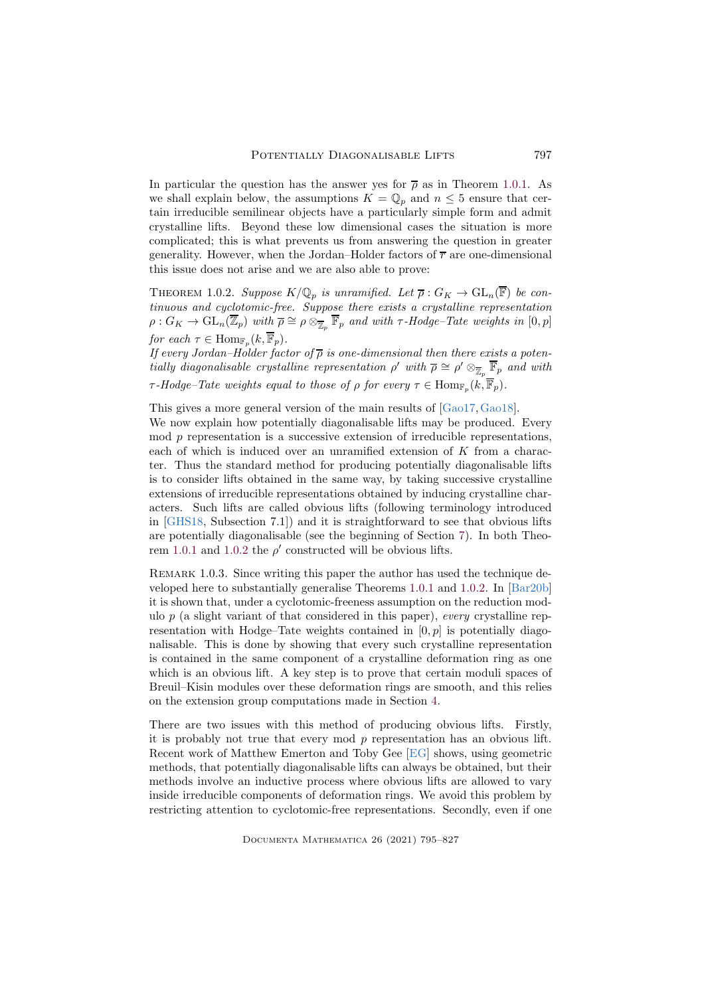In particular the question has the answer yes for  $\bar{\rho}$  as in Theorem [1.0.1.](#page-1-1) As we shall explain below, the assumptions  $K = \mathbb{Q}_p$  and  $n \leq 5$  ensure that certain irreducible semilinear objects have a particularly simple form and admit crystalline lifts. Beyond these low dimensional cases the situation is more complicated; this is what prevents us from answering the question in greater generality. However, when the Jordan–Holder factors of  $\overline{r}$  are one-dimensional this issue does not arise and we are also able to prove:

<span id="page-2-0"></span>THEOREM 1.0.2. *Suppose*  $K/\mathbb{Q}_p$  *is unramified. Let*  $\overline{\rho}: G_K \to \text{GL}_n(\overline{\mathbb{F}})$  *be continuous and cyclotomic-free. Suppose there exists a crystalline representation*  $\rho: G_K \to \mathrm{GL}_n(\overline{\mathbb{Z}}_p)$  *with*  $\overline{\rho} \cong \rho \otimes_{\overline{\mathbb{Z}}_p} \overline{\mathbb{F}}_p$  *and with*  $\tau$ -Hodge–Tate weights in  $[0,p]$ *for each*  $\tau \in \text{Hom}_{\mathbb{F}_p}(k, \overline{\mathbb{F}}_p)$ .

*If every Jordan–Holder factor of*  $\overline{\rho}$  *is one-dimensional then there exists a potentially diagonalisable crystalline representation*  $\rho'$  *with*  $\overline{\rho} \cong \rho' \otimes_{\overline{\mathbb{Z}}_p} \overline{\mathbb{F}}_p$  *and with*  $\tau$ *-Hodge–Tate weights equal to those of*  $\rho$  *for every*  $\tau \in \text{Hom}_{\mathbb{F}_p}(k, \mathbb{F}_p)$ *.* 

This gives a more general version of the main results of [\[Gao17,](#page-31-4)[Gao18\]](#page-31-5).

We now explain how potentially diagonalisable lifts may be produced. Every mod p representation is a successive extension of irreducible representations, each of which is induced over an unramified extension of K from a character. Thus the standard method for producing potentially diagonalisable lifts is to consider lifts obtained in the same way, by taking successive crystalline extensions of irreducible representations obtained by inducing crystalline characters. Such lifts are called obvious lifts (following terminology introduced in [\[GHS18,](#page-31-6) Subsection 7.1]) and it is straightforward to see that obvious lifts are potentially diagonalisable (see the beginning of Section [7\)](#page-28-0). In both Theo-rem [1.0.1](#page-1-1) and [1.0.2](#page-2-0) the  $\rho'$  constructed will be obvious lifts.

REMARK 1.0.3. Since writing this paper the author has used the technique developed here to substantially generalise Theorems [1.0.1](#page-1-1) and [1.0.2.](#page-2-0) In [\[Bar20b\]](#page-30-4) it is shown that, under a cyclotomic-freeness assumption on the reduction modulo p (a slight variant of that considered in this paper), *every* crystalline representation with Hodge–Tate weights contained in  $[0, p]$  is potentially diagonalisable. This is done by showing that every such crystalline representation is contained in the same component of a crystalline deformation ring as one which is an obvious lift. A key step is to prove that certain moduli spaces of Breuil–Kisin modules over these deformation rings are smooth, and this relies on the extension group computations made in Section [4.](#page-14-0)

There are two issues with this method of producing obvious lifts. Firstly, it is probably not true that every mod p representation has an obvious lift. Recent work of Matthew Emerton and Toby Gee [\[EG\]](#page-30-5) shows, using geometric methods, that potentially diagonalisable lifts can always be obtained, but their methods involve an inductive process where obvious lifts are allowed to vary inside irreducible components of deformation rings. We avoid this problem by restricting attention to cyclotomic-free representations. Secondly, even if one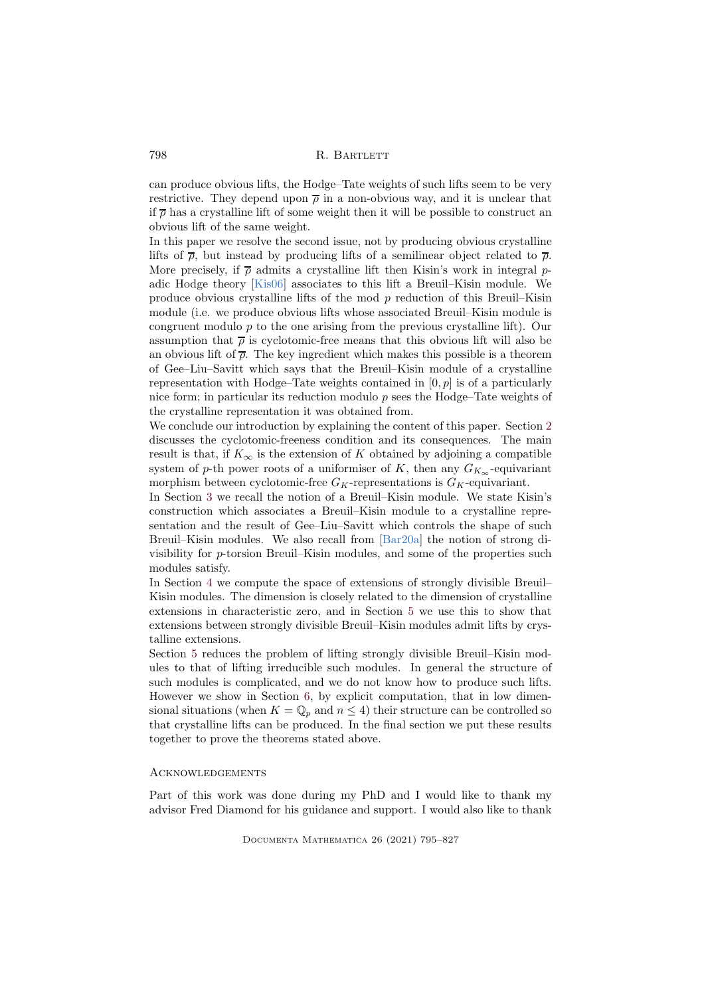can produce obvious lifts, the Hodge–Tate weights of such lifts seem to be very restrictive. They depend upon  $\bar{\rho}$  in a non-obvious way, and it is unclear that if  $\bar{\rho}$  has a crystalline lift of some weight then it will be possible to construct an obvious lift of the same weight.

In this paper we resolve the second issue, not by producing obvious crystalline lifts of  $\bar{\rho}$ , but instead by producing lifts of a semilinear object related to  $\bar{\rho}$ . More precisely, if  $\bar{\rho}$  admits a crystalline lift then Kisin's work in integral padic Hodge theory [\[Kis06\]](#page-31-7) associates to this lift a Breuil–Kisin module. We produce obvious crystalline lifts of the mod  $p$  reduction of this Breuil–Kisin module (i.e. we produce obvious lifts whose associated Breuil–Kisin module is congruent modulo  $p$  to the one arising from the previous crystalline lift). Our assumption that  $\bar{\rho}$  is cyclotomic-free means that this obvious lift will also be an obvious lift of  $\bar{\rho}$ . The key ingredient which makes this possible is a theorem of Gee–Liu–Savitt which says that the Breuil–Kisin module of a crystalline representation with Hodge–Tate weights contained in  $[0, p]$  is of a particularly nice form; in particular its reduction modulo  $p$  sees the Hodge–Tate weights of the crystalline representation it was obtained from.

We conclude our introduction by explaining the content of this paper. Section [2](#page-4-1) discusses the cyclotomic-freeness condition and its consequences. The main result is that, if  $K_{\infty}$  is the extension of K obtained by adjoining a compatible system of p-th power roots of a uniformiser of K, then any  $G_{K_{\infty}}$ -equivariant morphism between cyclotomic-free  $G_K$ -representations is  $G_K$ -equivariant.

In Section [3](#page-9-0) we recall the notion of a Breuil–Kisin module. We state Kisin's construction which associates a Breuil–Kisin module to a crystalline representation and the result of Gee–Liu–Savitt which controls the shape of such Breuil–Kisin modules. We also recall from [\[Bar20a\]](#page-30-3) the notion of strong divisibility for p-torsion Breuil–Kisin modules, and some of the properties such modules satisfy.

In Section [4](#page-14-0) we compute the space of extensions of strongly divisible Breuil– Kisin modules. The dimension is closely related to the dimension of crystalline extensions in characteristic zero, and in Section [5](#page-18-0) we use this to show that extensions between strongly divisible Breuil–Kisin modules admit lifts by crystalline extensions.

Section [5](#page-18-0) reduces the problem of lifting strongly divisible Breuil–Kisin modules to that of lifting irreducible such modules. In general the structure of such modules is complicated, and we do not know how to produce such lifts. However we show in Section [6,](#page-22-0) by explicit computation, that in low dimensional situations (when  $K = \mathbb{Q}_p$  and  $n \leq 4$ ) their structure can be controlled so that crystalline lifts can be produced. In the final section we put these results together to prove the theorems stated above.

# **ACKNOWLEDGEMENTS**

Part of this work was done during my PhD and I would like to thank my advisor Fred Diamond for his guidance and support. I would also like to thank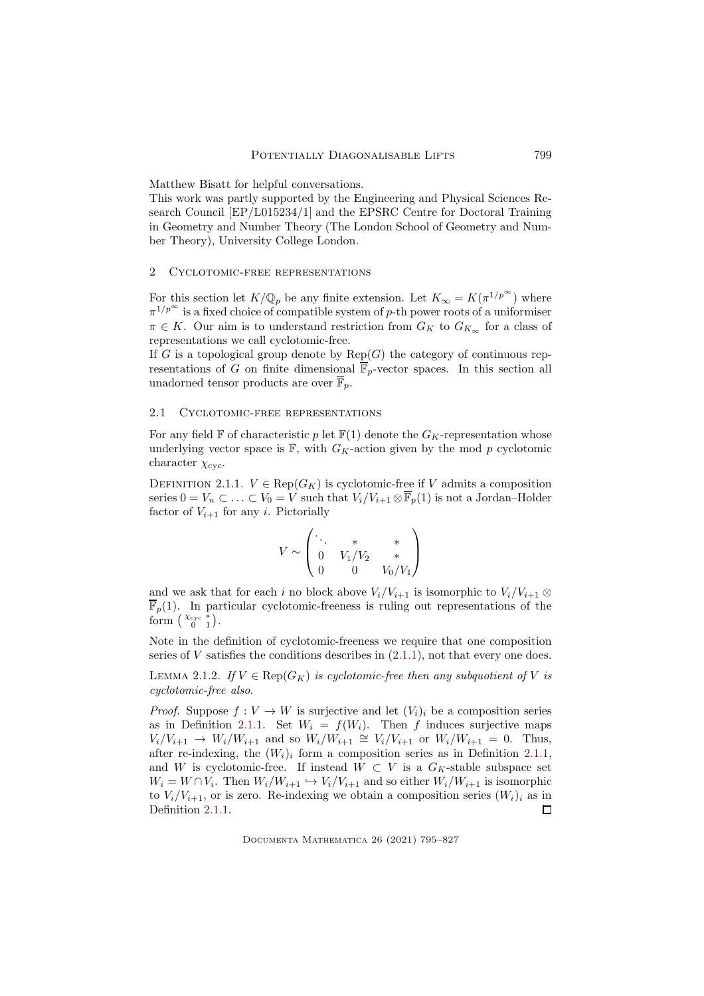Matthew Bisatt for helpful conversations.

This work was partly supported by the Engineering and Physical Sciences Research Council [EP/L015234/1] and the EPSRC Centre for Doctoral Training in Geometry and Number Theory (The London School of Geometry and Number Theory), University College London.

# <span id="page-4-1"></span>2 Cyclotomic-free representations

For this section let  $K/\mathbb{Q}_p$  be any finite extension. Let  $K_\infty = K(\pi^{1/p^\infty})$  where  $\pi^{1/p^{\infty}}$  is a fixed choice of compatible system of p-th power roots of a uniformiser  $\pi \in K$ . Our aim is to understand restriction from  $G_K$  to  $G_{K_{\infty}}$  for a class of representations we call cyclotomic-free.

If G is a topological group denote by  $\text{Rep}(G)$  the category of continuous representations of G on finite dimensional  $\overline{\mathbb{F}}_p$ -vector spaces. In this section all unadorned tensor products are over  $\overline{\mathbb{F}}_p$ .

# 2.1 Cyclotomic-free representations

For any field  $\mathbb F$  of characteristic p let  $\mathbb F(1)$  denote the  $G_K$ -representation whose underlying vector space is  $\mathbb{F}$ , with  $G_K$ -action given by the mod p cyclotomic character  $\chi_{\text{cyc}}$ .

<span id="page-4-0"></span>DEFINITION 2.1.1.  $V \in \text{Rep}(G_K)$  is cyclotomic-free if V admits a composition series  $0 = V_n \subset \ldots \subset V_0 = V$  such that  $V_i/V_{i+1} \otimes \overline{\mathbb{F}}_p(1)$  is not a Jordan–Holder factor of  $V_{i+1}$  for any *i*. Pictorially

$$
V \sim \begin{pmatrix} \ddots & * & * \\ 0 & V_1/V_2 & * \\ 0 & 0 & V_0/V_1 \end{pmatrix}
$$

and we ask that for each i no block above  $V_i/V_{i+1}$  is isomorphic to  $V_i/V_{i+1} \otimes$  $\overline{\mathbb{F}}_p(1)$ . In particular cyclotomic-freeness is ruling out representations of the form  $\begin{pmatrix} \chi_{\text{cyc}} & * \\ 0 & 1 \end{pmatrix}$ .

Note in the definition of cyclotomic-freeness we require that one composition series of  $V$  satisfies the conditions describes in  $(2.1.1)$ , not that every one does.

<span id="page-4-2"></span>LEMMA 2.1.2. *If*  $V \in \text{Rep}(G_K)$  *is cyclotomic-free then any subquotient of* V *is cyclotomic-free also.*

*Proof.* Suppose  $f: V \to W$  is surjective and let  $(V_i)_i$  be a composition series as in Definition [2.1.1.](#page-4-0) Set  $W_i = f(W_i)$ . Then f induces surjective maps  $V_i/V_{i+1} \to W_i/W_{i+1}$  and so  $W_i/W_{i+1} \cong V_i/V_{i+1}$  or  $W_i/W_{i+1} = 0$ . Thus, after re-indexing, the  $(W_i)_i$  form a composition series as in Definition [2.1.1,](#page-4-0) and W is cyclotomic-free. If instead  $W \subset V$  is a  $G_K$ -stable subspace set  $W_i = W \cap V_i$ . Then  $W_i/W_{i+1} \hookrightarrow V_i/V_{i+1}$  and so either  $W_i/W_{i+1}$  is isomorphic to  $V_i/V_{i+1}$ , or is zero. Re-indexing we obtain a composition series  $(W_i)_i$  as in Definition [2.1.1.](#page-4-0)  $\Box$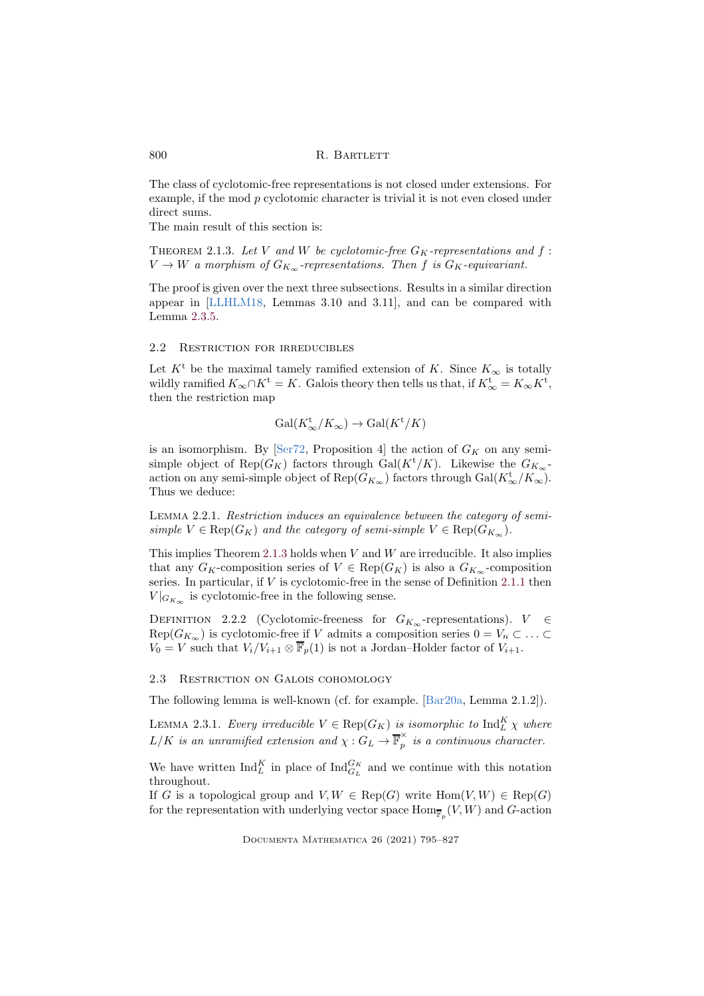The class of cyclotomic-free representations is not closed under extensions. For example, if the mod p cyclotomic character is trivial it is not even closed under direct sums.

The main result of this section is:

<span id="page-5-0"></span>THEOREM 2.1.3. Let V and W be cyclotomic-free  $G_K$ -representations and  $f$ :  $V \to W$  *a morphism of*  $G_{K_{\infty}}$ -representations. Then f is  $G_K$ -equivariant.

The proof is given over the next three subsections. Results in a similar direction appear in [\[LLHLM18,](#page-31-8) Lemmas 3.10 and 3.11], and can be compared with Lemma [2.3.5.](#page-6-0)

# 2.2 Restriction for irreducibles

Let  $K^t$  be the maximal tamely ramified extension of K. Since  $K_{\infty}$  is totally wildly ramified  $K_{\infty} \cap K^{\mathfrak{t}} = K$ . Galois theory then tells us that, if  $K_{\infty}^{\mathfrak{t}} = K_{\infty} K^{\mathfrak{t}}$ , then the restriction map

$$
\text{Gal}(K^{\text{t}}_{\infty}/K_{\infty}) \to \text{Gal}(K^{\text{t}}/K)
$$

is an isomorphism. By [\[Ser72,](#page-31-9) Proposition 4] the action of  $G_K$  on any semisimple object of Rep( $G_K$ ) factors through Gal( $K^{\dagger}/K$ ). Likewise the  $G_{K_{\infty}}$ action on any semi-simple object of  $\text{Rep}(G_{K_{\infty}})$  factors through  $\text{Gal}(K_{\infty}^{\mathbf{t}}/K_{\infty})$ . Thus we deduce:

<span id="page-5-1"></span>Lemma 2.2.1. *Restriction induces an equivalence between the category of semisimple*  $V \in \text{Rep}(G_K)$  *and the category of semi-simple*  $V \in \text{Rep}(G_{K_{\infty}})$ *.* 

This implies Theorem [2.1.3](#page-5-0) holds when  $V$  and  $W$  are irreducible. It also implies that any  $G_K$ -composition series of  $V \in \text{Rep}(G_K)$  is also a  $G_{K_\infty}$ -composition series. In particular, if  $V$  is cyclotomic-free in the sense of Definition [2.1.1](#page-4-0) then  $V|_{G_{K_{\infty}}}$  is cyclotomic-free in the following sense.

<span id="page-5-3"></span>DEFINITION 2.2.2 (Cyclotomic-freeness for  $G_{K_{\infty}}$ -representations).  $V \in$  $Rep(G_{K_{\infty}})$  is cyclotomic-free if V admits a composition series  $0 = V_n \subset \ldots \subset$  $V_0 = V$  such that  $V_i/V_{i+1} \otimes \overline{\mathbb{F}}_p(1)$  is not a Jordan–Holder factor of  $V_{i+1}$ .

# 2.3 Restriction on Galois cohomology

The following lemma is well-known (cf. for example. [\[Bar20a,](#page-30-3) Lemma 2.1.2]).

<span id="page-5-2"></span>LEMMA 2.3.1. *Every irreducible*  $V \in \text{Rep}(G_K)$  *is isomorphic to*  $\text{Ind}_L^K \chi$  *where*  $L/K$  is an unramified extension and  $\chi: G_L \to \overline{\mathbb{F}}_p^{\times}$  $\hat{p}$  is a continuous character.

We have written  $\text{Ind}_{L}^{K}$  in place of  $\text{Ind}_{G_{L}}^{G_{K}}$  and we continue with this notation throughout.

If G is a topological group and  $V, W \in \text{Rep}(G)$  write  $\text{Hom}(V, W) \in \text{Rep}(G)$ for the representation with underlying vector space  $\mathrm{Hom}_{\overline{\mathbb{F}}_p}(V,W)$  and  $G$ -action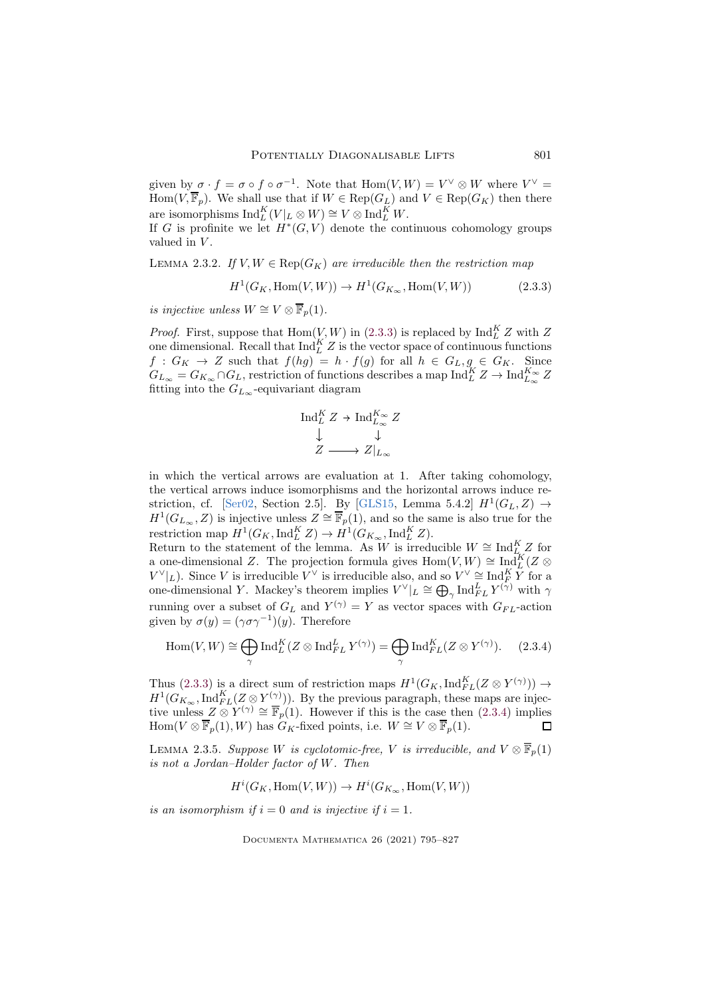given by  $\sigma \cdot f = \sigma \circ f \circ \sigma^{-1}$ . Note that  $\text{Hom}(V, W) = V^{\vee} \otimes W$  where  $V^{\vee} =$ Hom $(V, \overline{\mathbb{F}}_p)$ . We shall use that if  $W \in \text{Rep}(G_L)$  and  $V \in \text{Rep}(G_K)$  then there are isomorphisms  $\mathrm{Ind}_L^K(V|_L \otimes W) \cong V \otimes \mathrm{Ind}_L^K W$ .

If G is profinite we let  $H^*(G, V)$  denote the continuous cohomology groups valued in V.

<span id="page-6-3"></span>LEMMA 2.3.2. *If*  $V, W \in \text{Rep}(G_K)$  *are irreducible then the restriction map* 

$$
H^1(G_K, \text{Hom}(V, W)) \to H^1(G_{K_{\infty}}, \text{Hom}(V, W))
$$
\n(2.3.3)

*is injective unless*  $W \cong V \otimes \overline{\mathbb{F}}_p(1)$ *.* 

*Proof.* First, suppose that  $\text{Hom}(V, W)$  in [\(2.3.3\)](#page-6-1) is replaced by  $\text{Ind}_{L}^{K} Z$  with Z one dimensional. Recall that  $\text{Ind}_{L}^{K} Z$  is the vector space of continuous functions  $f: G_K \to Z$  such that  $f(hg) = h \cdot f(g)$  for all  $h \in G_L, g \in G_K$ . Since  $G_{L_{\infty}} = G_{K_{\infty}} \cap G_L$ , restriction of functions describes a map  ${\rm Ind}_L^K Z \to {\rm Ind}_{L_{\infty}}^{K_{\infty}} Z$ fitting into the  $G_{L_{\infty}}$ -equivariant diagram

<span id="page-6-1"></span>
$$
\operatorname{Ind}_{L}^{K} Z \to \operatorname{Ind}_{L_{\infty}}^{K_{\infty}} Z
$$
  

$$
\downarrow \qquad \qquad \downarrow
$$
  

$$
Z \longrightarrow Z|_{L_{\infty}}
$$

in which the vertical arrows are evaluation at 1. After taking cohomology, the vertical arrows induce isomorphisms and the horizontal arrows induce re-striction, cf. [\[Ser02,](#page-31-10) Section 2.5]. By [\[GLS15,](#page-31-2) Lemma 5.4.2]  $H^1(G_L, Z) \rightarrow$  $H^1(G_{L_{\infty}}, Z)$  is injective unless  $Z \cong \overline{\mathbb{F}}_p(1)$ , and so the same is also true for the restriction map  $H^1(G_K,\operatorname{Ind}_L^K Z) \to H^1(G_{K_\infty},\operatorname{Ind}_L^K Z)$ .

Return to the statement of the lemma. As W is irreducible  $W \cong \text{Ind}_{L}^K Z$  for a one-dimensional Z. The projection formula gives  $\text{Hom}(V, W) \cong \text{Ind}_{L}^{K}(Z \otimes$  $V^{\vee}|_{L}$ ). Since V is irreducible  $V^{\vee}$  is irreducible also, and so  $V^{\vee} \cong \text{Ind}_{F}^{K} Y$  for a one-dimensional Y. Mackey's theorem implies  $V^{\vee}|_L \cong \bigoplus_{\gamma} \text{Ind}_{FL}^L Y^{(\gamma)}$  with  $\gamma$ running over a subset of  $G_L$  and  $Y^{(\gamma)} = Y$  as vector spaces with  $G_{FL}$ -action given by  $\sigma(y) = (\gamma \sigma \gamma^{-1})(y)$ . Therefore

<span id="page-6-2"></span>
$$
\operatorname{Hom}(V,W) \cong \bigoplus_{\gamma} \operatorname{Ind}_{L}^{K}(Z \otimes \operatorname{Ind}_{FL}^{L} Y^{(\gamma)}) = \bigoplus_{\gamma} \operatorname{Ind}_{FL}^{K}(Z \otimes Y^{(\gamma)}). \tag{2.3.4}
$$

Thus [\(2.3.3\)](#page-6-1) is a direct sum of restriction maps  $H^1(G_K, \mathrm{Ind}_{FL}^K(Z \otimes Y^{(\gamma)})) \to$  $H^1(G_{K_{\infty}}, \text{Ind}_{FL}^K(Z \otimes Y^{(\gamma)}))$ . By the previous paragraph, these maps are injective unless  $Z \otimes Y^{(\gamma)} \cong \overline{\mathbb{F}}_p(1)$ . However if this is the case then [\(2.3.4\)](#page-6-2) implies Hom(V  $\otimes \overline{\mathbb{F}}_p(1), W$ ) has  $G_K$ -fixed points, i.e.  $W \cong V \otimes \overline{\mathbb{F}}_p(1)$ . Г

<span id="page-6-0"></span>LEMMA 2.3.5. *Suppose* W *is cyclotomic-free,* V *is irreducible, and*  $V \otimes \overline{\mathbb{F}}_p(1)$ *is not a Jordan–Holder factor of* W*. Then*

$$
H^i(G_K,\operatorname{Hom}(V,W)) \to H^i(G_{K_{\infty}},\operatorname{Hom}(V,W))
$$

*is an isomorphism if*  $i = 0$  *and is injective if*  $i = 1$ *.*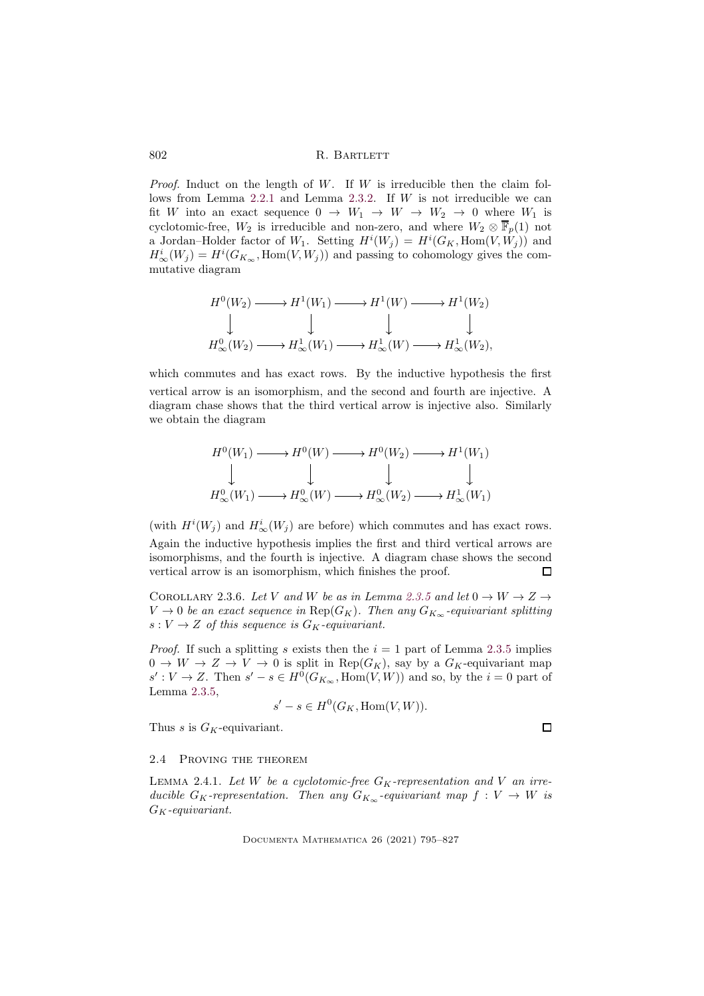*Proof.* Induct on the length of W. If W is irreducible then the claim follows from Lemma  $2.2.1$  and Lemma  $2.3.2$ . If W is not irreducible we can fit W into an exact sequence  $0 \to W_1 \to W \to W_2 \to 0$  where  $W_1$  is cyclotomic-free,  $W_2$  is irreducible and non-zero, and where  $W_2 \otimes \overline{\mathbb{F}}_p(1)$  not a Jordan–Holder factor of  $W_1$ . Setting  $H^i(W_j) = H^i(G_K, \text{Hom}(V, W_j))$  and  $H^i_{\infty}(W_j) = H^i(G_{K_{\infty}}, \text{Hom}(V, W_j))$  and passing to cohomology gives the commutative diagram

$$
H^0(W_2) \longrightarrow H^1(W_1) \longrightarrow H^1(W) \longrightarrow H^1(W_2)
$$
  
\n
$$
\downarrow \qquad \qquad \downarrow \qquad \qquad \downarrow
$$
  
\n
$$
H^0_{\infty}(W_2) \longrightarrow H^1_{\infty}(W_1) \longrightarrow H^1_{\infty}(W) \longrightarrow H^1_{\infty}(W_2),
$$

which commutes and has exact rows. By the inductive hypothesis the first vertical arrow is an isomorphism, and the second and fourth are injective. A diagram chase shows that the third vertical arrow is injective also. Similarly we obtain the diagram

$$
H^0(W_1) \longrightarrow H^0(W) \longrightarrow H^0(W_2) \longrightarrow H^1(W_1)
$$
  
\n
$$
\downarrow \qquad \qquad \downarrow \qquad \qquad \downarrow
$$
  
\n
$$
H^0_{\infty}(W_1) \longrightarrow H^0_{\infty}(W) \longrightarrow H^0_{\infty}(W_2) \longrightarrow H^1_{\infty}(W_1)
$$

(with  $H^i(W_j)$  and  $H^i_{\infty}(W_j)$  are before) which commutes and has exact rows. Again the inductive hypothesis implies the first and third vertical arrows are isomorphisms, and the fourth is injective. A diagram chase shows the second vertical arrow is an isomorphism, which finishes the proof. П

<span id="page-7-0"></span>COROLLARY 2.3.6. Let V and W be as in Lemma [2.3.5](#page-6-0) and let  $0 \to W \to Z \to$  $V \to 0$  *be an exact sequence in* Rep( $G_K$ ). Then any  $G_{K_\infty}$ -equivariant splitting  $s: V \to Z$  *of this sequence is*  $G_K$ -equivariant.

*Proof.* If such a splitting s exists then the  $i = 1$  part of Lemma [2.3.5](#page-6-0) implies  $0 \to W \to Z \to V \to 0$  is split in  $\text{Rep}(G_K)$ , say by a  $G_K$ -equivariant map  $s': V \to Z$ . Then  $s' - s \in H^0(G_{K_\infty}, \text{Hom}(V, W))$  and so, by the  $i = 0$  part of Lemma [2.3.5,](#page-6-0)

$$
s' - s \in H^0(G_K, \text{Hom}(V, W)).
$$

Thus s is  $G_K$ -equivariant.

 $\Box$ 

# 2.4 Proving the theorem

LEMMA 2.4.1. Let W be a cyclotomic-free  $G_K$ -representation and V an irre*ducible*  $G_K$ -representation. Then any  $G_{K_\infty}$ -equivariant map  $f: V \to W$  is GK*-equivariant.*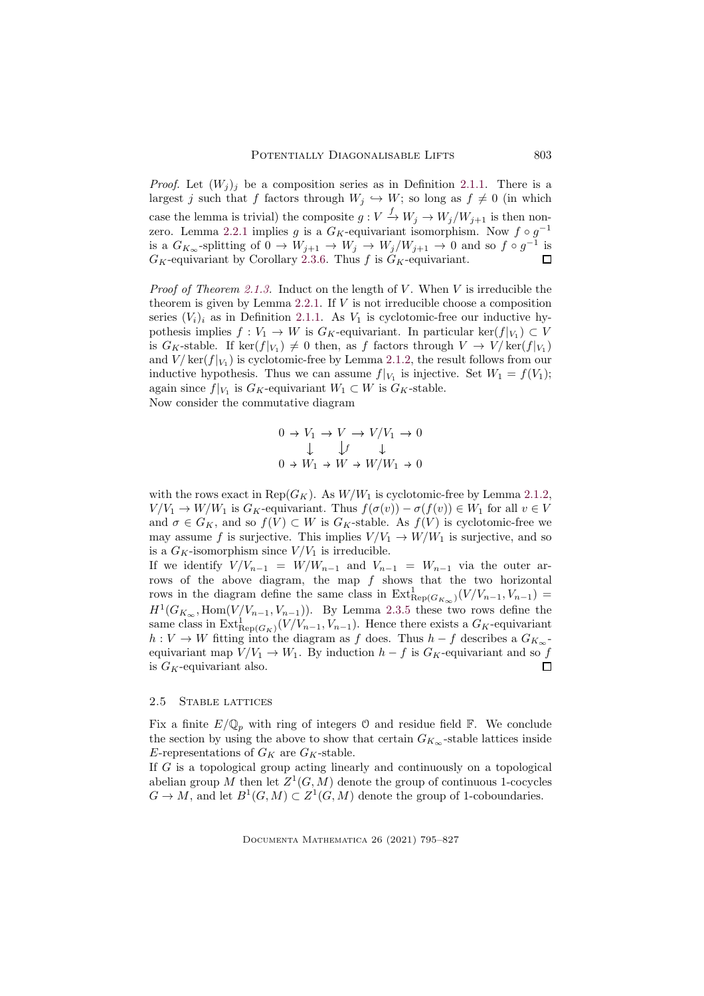*Proof.* Let  $(W_i)_i$  be a composition series as in Definition [2.1.1.](#page-4-0) There is a largest j such that f factors through  $W_i \hookrightarrow W$ ; so long as  $f \neq 0$  (in which case the lemma is trivial) the composite  $g: V \xrightarrow{f} W_j \to W_j/W_{j+1}$  is then non-zero. Lemma [2.2.1](#page-5-1) implies g is a  $G_K$ -equivariant isomorphism. Now  $f \circ g^{-1}$ is a  $G_{K_{\infty}}$ -splitting of  $0 \to W_{j+1} \to W_j \to W_j/W_{j+1} \to 0$  and so  $f \circ g^{-1}$  is  $G_K$ -equivariant by Corollary [2.3.6.](#page-7-0) Thus f is  $G_K$ -equivariant.  $\Box$ 

*Proof of Theorem [2.1.3.](#page-5-0)* Induct on the length of V. When V is irreducible the theorem is given by Lemma [2.2.1.](#page-5-1) If  $V$  is not irreducible choose a composition series  $(V_i)_i$  as in Definition [2.1.1.](#page-4-0) As  $V_1$  is cyclotomic-free our inductive hypothesis implies  $f: V_1 \to W$  is  $G_K$ -equivariant. In particular ker $(f|_{V_1}) \subset V$ is  $G_K$ -stable. If  $\ker(f|_{V_1}) \neq 0$  then, as f factors through  $V \to V/\ker(f|_{V_1})$ and  $V/\ker(f|_{V_1})$  is cyclotomic-free by Lemma [2.1.2,](#page-4-2) the result follows from our inductive hypothesis. Thus we can assume  $f|_{V_1}$  is injective. Set  $W_1 = f(V_1)$ ; again since  $f|_{V_1}$  is  $G_K$ -equivariant  $W_1 \subset W$  is  $G_K$ -stable. Now consider the commutative diagram

$$
0 \to V_1 \to V \to V/V_1 \to 0
$$
  

$$
\downarrow f \qquad \downarrow
$$
  

$$
0 \to W_1 \to W \to W/W_1 \to 0
$$

with the rows exact in Rep( $G_K$ ). As  $W/W_1$  is cyclotomic-free by Lemma [2.1.2,](#page-4-2)  $V/V_1 \rightarrow W/W_1$  is  $G_K$ -equivariant. Thus  $f(\sigma(v)) - \sigma(f(v)) \in W_1$  for all  $v \in V$ and  $\sigma \in G_K$ , and so  $f(V) \subset W$  is  $G_K$ -stable. As  $f(V)$  is cyclotomic-free we may assume f is surjective. This implies  $V/V_1 \rightarrow W/W_1$  is surjective, and so is a  $G_K$ -isomorphism since  $V/V_1$  is irreducible.

If we identify  $V/V_{n-1} = W/W_{n-1}$  and  $V_{n-1} = W_{n-1}$  via the outer arrows of the above diagram, the map  $f$  shows that the two horizontal rows in the diagram define the same class in  $\text{Ext}_{\text{Rep}(G_{K_{\infty}})}^{1}(V/V_{n-1}, V_{n-1})$  =  $H^1(G_{K_{\infty}}, \text{Hom}(V/V_{n-1}, V_{n-1}))$ . By Lemma [2.3.5](#page-6-0) these two rows define the same class in  $\text{Ext}^1_{\text{Rep}(G_K)}(V/V_{n-1}, V_{n-1})$ . Hence there exists a  $G_K$ -equivariant  $h: V \to W$  fitting into the diagram as f does. Thus  $h - f$  describes a  $G_{K_{\infty}}$ equivariant map  $V/V_1 \rightarrow W_1$ . By induction  $h - f$  is  $G_K$ -equivariant and so f is  $G_K$ -equivariant also.  $\Box$ 

# 2.5 Stable lattices

Fix a finite  $E/\mathbb{Q}_p$  with ring of integers 0 and residue field  $\mathbb{F}$ . We conclude the section by using the above to show that certain  $G_{K_{\infty}}$ -stable lattices inside E-representations of  $G_K$  are  $G_K$ -stable.

If G is a topological group acting linearly and continuously on a topological abelian group M then let  $Z^1(G,M)$  denote the group of continuous 1-cocycles  $G \to M$ , and let  $B^1(G,M) \subset Z^1(G,M)$  denote the group of 1-coboundaries.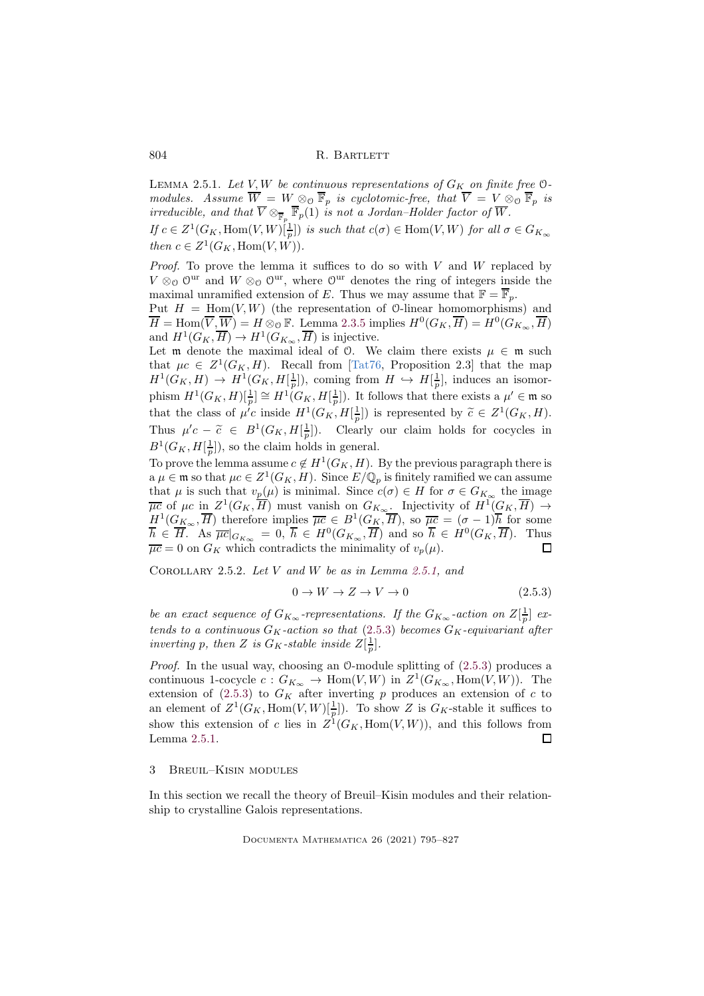<span id="page-9-1"></span>LEMMA 2.5.1. Let  $V, W$  be continuous representations of  $G_K$  on finite free  $O$ *modules.* Assume  $W = W \otimes_{\mathcal{O}} \mathbb{F}_p$  *is cyclotomic-free, that*  $V = V \otimes_{\mathcal{O}} \mathbb{F}_p$  *is irreducible, and that*  $\overline{V} \otimes_{\overline{\mathbb{F}}_p} \overline{\mathbb{F}}_p(1)$  *is not a Jordan–Holder factor of*  $\overline{W}$ *. If*  $c \in Z^1(G_K, \text{Hom}(V, W)[\frac{1}{p}])$  *is such that*  $c(\sigma) \in \text{Hom}(V, W)$  *for all*  $\sigma \in G_{K_\infty}$ *then*  $c \in Z^1(G_K, \text{Hom}(V, W)).$ 

*Proof.* To prove the lemma it suffices to do so with  $V$  and  $W$  replaced by  $V \otimes_{\mathcal{O}} \mathcal{O}^{\text{ur}}$  and  $W \otimes_{\mathcal{O}} \mathcal{O}^{\text{ur}}$ , where  $\mathcal{O}^{\text{ur}}$  denotes the ring of integers inside the maximal unramified extension of E. Thus we may assume that  $\mathbb{F} = \overline{\mathbb{F}}_n$ .

Put  $H = \text{Hom}(V, W)$  (the representation of 0-linear homomorphisms) and  $\overline{H} = \text{Hom}(\overline{V}, \overline{W}) = H \otimes_{\mathcal{O}} \mathbb{F}$ . Lemma [2.3.5](#page-6-0) implies  $H^0(G_K, \overline{H}) = H^0(G_{K_{\infty}}, \overline{H})$ and  $H^1(G_K, \overline{H}) \to H^1(G_{K_{\infty}}, \overline{H})$  is injective.

Let m denote the maximal ideal of  $\theta$ . We claim there exists  $\mu \in \mathfrak{m}$  such that  $\mu c \in Z^1(G_K, H)$ . Recall from [\[Tat76,](#page-31-11) Proposition 2.3] that the map  $H^1(G_K, H) \to H^1(G_K, H[\frac{1}{p}])$ , coming from  $H \hookrightarrow H[\frac{1}{p}]$ , induces an isomorphism  $H^1(G_K, H)[\frac{1}{p}] \cong H^1(G_K, H[\frac{1}{p}])$ . It follows that there exists a  $\mu' \in \mathfrak{m}$  so that the class of  $\mu^{'}c$  inside  $H^1(G_K, H[\frac{1}{p}])$  is represented by  $\widetilde{c} \in Z^1(G_K, H)$ . Thus  $\mu'c - \tilde{c} \in B^1(G_K, H[\frac{1}{p}])$ . Clearly our claim holds for cocycles in  $B^1(G_K, H[\frac{1}{p}])$ , so the claim holds in general.

To prove the lemma assume  $c \notin H^1(G_K, H)$ . By the previous paragraph there is  $a \mu \in \mathfrak{m}$  so that  $\mu c \in Z^1(G_K, H)$ . Since  $E/\mathbb{Q}_p$  is finitely ramified we can assume that  $\mu$  is such that  $v_p(\mu)$  is minimal. Since  $c(\sigma) \in H$  for  $\sigma \in G_{K_\infty}$  the image  $\overline{\mu c}$  of  $\mu c$  in  $Z^1(G_K, \overline{H})$  must vanish on  $G_{K_{\infty}}$ . Injectivity of  $H^1(G_K, \overline{H}) \to$  $H^1(G_{K_{\infty}}, \overline{H})$  therefore implies  $\overline{\mu c} \in B^1(G_K, \overline{H})$ , so  $\overline{\mu c} = (\sigma - 1)\overline{h}$  for some  $\overline{h} \in \overline{H}$ . As  $\overline{\mu c}|_{G_{K_{\infty}}} = 0$ ,  $\overline{h} \in H^0(G_{K_{\infty}}, \overline{H})$  and so  $\overline{h} \in H^0(G_K, \overline{H})$ . Thus  $\overline{\mu c} = 0$  on  $G_K$  which contradicts the minimality of  $v_p(\mu)$ .  $\Box$ 

<span id="page-9-3"></span>Corollary 2.5.2. *Let* V *and* W *be as in Lemma [2.5.1,](#page-9-1) and*

<span id="page-9-2"></span>
$$
0 \to W \to Z \to V \to 0 \tag{2.5.3}
$$

*be an exact sequence of*  $G_{K_{\infty}}$ -representations. If the  $G_{K_{\infty}}$ -action on  $Z[\frac{1}{p}]$  ex*tends to a continuous*  $G_K$ -action so that  $(2.5.3)$  becomes  $G_K$ -equivariant after *inverting* p, then Z *is*  $G_K$ -stable inside  $Z[\frac{1}{p}]$ .

*Proof.* In the usual way, choosing an 0-module splitting of  $(2.5.3)$  produces a continuous 1-cocycle  $c: G_{K_{\infty}} \to \text{Hom}(V, W)$  in  $Z^1(G_{K_{\infty}}, \text{Hom}(V, W))$ . The extension of  $(2.5.3)$  to  $G_K$  after inverting p produces an extension of c to an element of  $Z^1(G_K, \text{Hom}(V,W)[\frac{1}{p}])$ . To show Z is  $G_K$ -stable it suffices to show this extension of c lies in  $Z^1(G_K, \text{Hom}(V, W))$ , and this follows from Lemma [2.5.1.](#page-9-1)  $\square$ 

# <span id="page-9-0"></span>3 Breuil–Kisin modules

In this section we recall the theory of Breuil–Kisin modules and their relationship to crystalline Galois representations.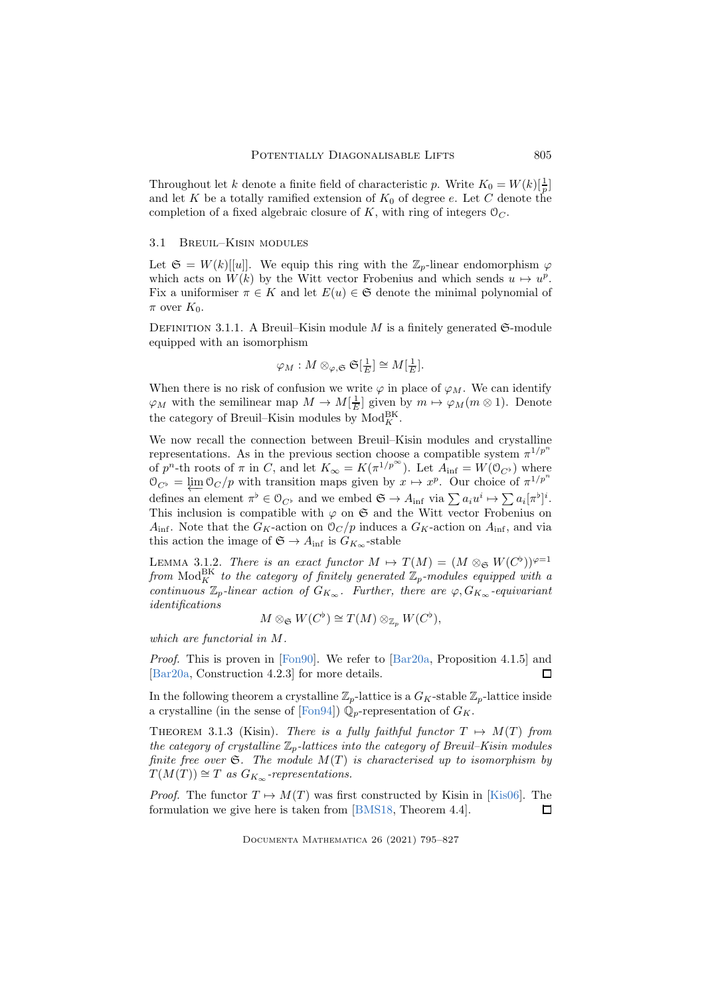Throughout let k denote a finite field of characteristic p. Write  $K_0 = W(k)[\frac{1}{p}]$ and let K be a totally ramified extension of  $K_0$  of degree e. Let C denote the completion of a fixed algebraic closure of K, with ring of integers  $\mathcal{O}_C$ .

# 3.1 Breuil–Kisin modules

Let  $\mathfrak{S} = W(k)[[u]]$ . We equip this ring with the  $\mathbb{Z}_p$ -linear endomorphism  $\varphi$ which acts on  $W(k)$  by the Witt vector Frobenius and which sends  $u \mapsto u^p$ . Fix a uniformiser  $\pi \in K$  and let  $E(u) \in \mathfrak{S}$  denote the minimal polynomial of  $\pi$  over  $K_0$ .

DEFINITION 3.1.1. A Breuil–Kisin module  $M$  is a finitely generated  $\mathfrak{S}\text{-module}$ equipped with an isomorphism

$$
\varphi_M: M \otimes_{\varphi, \mathfrak{S}} \mathfrak{S}[\frac{1}{E}] \cong M[\frac{1}{E}].
$$

When there is no risk of confusion we write  $\varphi$  in place of  $\varphi_M$ . We can identify  $\varphi_M$  with the semilinear map  $M \to M[\frac{1}{E}]$  given by  $m \mapsto \varphi_M(m \otimes 1)$ . Denote the category of Breuil–Kisin modules by  $Mod_K^{BK}$ .

We now recall the connection between Breuil–Kisin modules and crystalline representations. As in the previous section choose a compatible system  $\pi^{1/p^n}$ of  $p^n$ -th roots of  $\pi$  in C, and let  $K_{\infty} = K(\pi^{1/p^{\infty}})$ . Let  $A_{\text{inf}} = W(\mathcal{O}_{C^{\flat}})$  where  $\mathcal{O}_{C^{\flat}} = \varprojlim \mathcal{O}_C/p$  with transition maps given by  $x \mapsto x^p$ . Our choice of  $\pi^{1/p^n}$ defines an element  $\pi^{\flat} \in O_{C^{\flat}}$  and we embed  $\mathfrak{S} \to A_{\text{inf}}$  via  $\sum a_i u^i \mapsto \sum a_i [\pi^{\flat}]^i$ . This inclusion is compatible with  $\varphi$  on G and the Witt vector Frobenius on  $A_{\text{inf}}$ . Note that the  $G_K$ -action on  $\mathcal{O}_C/p$  induces a  $G_K$ -action on  $A_{\text{inf}}$ , and via this action the image of  $\mathfrak{S} \to A_{\text{inf}}$  is  $G_{K_{\infty}}$ -stable

<span id="page-10-0"></span>LEMMA 3.1.2. *There is an exact functor*  $M \mapsto T(M) = (M \otimes_{\mathfrak{S}} W(C^{\flat}))^{\varphi=1}$  $from \text{ Mod}_{K}^{\text{BK}}$  *to the category of finitely generated*  $\mathbb{Z}_{p}$ *-modules equipped with a*  $\int_{\alpha}^{\alpha}$  *continuous*  $\mathbb{Z}_p$ -linear action of  $G_{K_{\infty}}$ . Further, there are  $\varphi, G_{K_{\infty}}$ -equivariant *identifications*

$$
M \otimes_{\mathfrak{S}} W(C^{\flat}) \cong T(M) \otimes_{\mathbb{Z}_p} W(C^{\flat}),
$$

*which are functorial in* M*.*

*Proof.* This is proven in [\[Fon90\]](#page-31-12). We refer to [\[Bar20a,](#page-30-3) Proposition 4.1.5] and [\[Bar20a,](#page-30-3) Construction 4.2.3] for more details. П

In the following theorem a crystalline  $\mathbb{Z}_p$ -lattice is a  $G_K$ -stable  $\mathbb{Z}_p$ -lattice inside a crystalline (in the sense of [\[Fon94\]](#page-31-13))  $\mathbb{Q}_p$ -representation of  $G_K$ .

THEOREM 3.1.3 (Kisin). *There is a fully faithful functor*  $T \mapsto M(T)$  *from the category of crystalline*  $\mathbb{Z}_p$ -lattices into the category of Breuil–Kisin modules *finite free over*  $\mathfrak{S}$ *. The module*  $M(T)$  *is characterised up to isomorphism by*  $T(M(T)) \cong T$  *as*  $G_{K_{\infty}}$ -representations.

*Proof.* The functor  $T \mapsto M(T)$  was first constructed by Kisin in [\[Kis06\]](#page-31-7). The formulation we give here is taken from [\[BMS18,](#page-30-6) Theorem 4.4].  $\Box$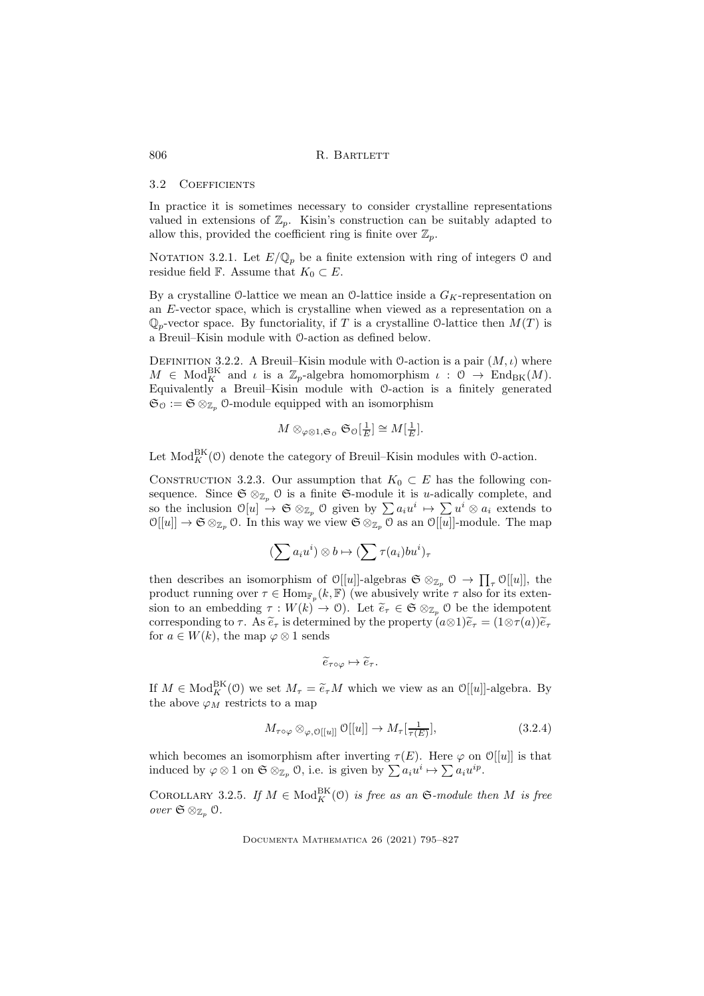#### 3.2 COEFFICIENTS

In practice it is sometimes necessary to consider crystalline representations valued in extensions of  $\mathbb{Z}_p$ . Kisin's construction can be suitably adapted to allow this, provided the coefficient ring is finite over  $\mathbb{Z}_p$ .

NOTATION 3.2.1. Let  $E/\mathbb{Q}_p$  be a finite extension with ring of integers 0 and residue field F. Assume that  $K_0 \subset E$ .

By a crystalline O-lattice we mean an O-lattice inside a  $G_K$ -representation on an E-vector space, which is crystalline when viewed as a representation on a  $\mathbb{Q}_p$ -vector space. By functoriality, if T is a crystalline O-lattice then  $M(T)$  is a Breuil–Kisin module with O-action as defined below.

DEFINITION 3.2.2. A Breuil–Kisin module with O-action is a pair  $(M, \iota)$  where  $M \in Mod_K^{\text{BK}}$  and  $\iota$  is a  $\mathbb{Z}_p$ -algebra homomorphism  $\iota : \mathfrak{O} \to \text{End}_{\text{BK}}(M)$ . Equivalently a Breuil–Kisin module with O-action is a finitely generated  $\mathfrak{S}_0 := \mathfrak{S} \otimes_{\mathbb{Z}_p} 0$ -module equipped with an isomorphism

$$
M \otimes_{\varphi \otimes 1, \mathfrak{S}_0} \mathfrak{S}_0[\tfrac{1}{E}] \cong M[\tfrac{1}{E}].
$$

Let  $\text{Mod}_{K}^{\text{BK}}(\mathcal{O})$  denote the category of Breuil–Kisin modules with  $\mathcal{O}\text{-action}$ .

<span id="page-11-1"></span>CONSTRUCTION 3.2.3. Our assumption that  $K_0 \subset E$  has the following consequence. Since  $\mathfrak{S} \otimes_{\mathbb{Z}_p} \mathfrak{O}$  is a finite  $\mathfrak{S}\text{-module}$  it is u-adically complete, and so the inclusion  $\mathcal{O}[u] \to \mathfrak{S} \otimes_{\mathbb{Z}_p} \mathcal{O}$  given by  $\sum a_i u^i \mapsto \sum u^i \otimes a_i$  extends to  $\mathcal{O}[[u]] \to \mathfrak{S} \otimes_{\mathbb{Z}_p} \mathcal{O}$ . In this way we view  $\mathfrak{S} \otimes_{\mathbb{Z}_p} \mathcal{O}$  as an  $\mathcal{O}[[u]]$ -module. The map

$$
(\sum a_i u^i) \otimes b \mapsto (\sum \tau(a_i) b u^i)_{\tau}
$$

then describes an isomorphism of  $\mathcal{O}[[u]]$ -algebras  $\mathfrak{S} \otimes_{\mathbb{Z}_p} \mathcal{O} \to \prod_{\tau} \mathcal{O}[[u]]$ , the product running over  $\tau \in \text{Hom}_{\mathbb{F}_p}(k, \mathbb{F})$  (we abusively write  $\tau$  also for its extension to an embedding  $\tau : W(k) \to 0$ . Let  $\tilde{e}_{\tau} \in \mathfrak{S} \otimes_{\mathbb{Z}_p} 0$  be the idempotent corresponding to  $\tau$ . As  $\tilde{e}_{\tau}$  is determined by the property  $(a\otimes 1)\tilde{e}_{\tau} = (1\otimes \tau(a))\tilde{e}_{\tau}$ for  $a \in W(k)$ , the map  $\varphi \otimes 1$  sends

<span id="page-11-0"></span>
$$
\widetilde{e}_{\tau \circ \varphi} \mapsto \widetilde{e}_{\tau}.
$$

If  $M \in Mod_K^{\text{BK}}(0)$  we set  $M_\tau = \tilde{e}_\tau M$  which we view as an  $\mathcal{O}[[u]]$ -algebra. By the above  $\varphi_M$  restricts to a map

$$
M_{\tau \circ \varphi} \otimes_{\varphi, \mathcal{O}[[u]]} \mathcal{O}[[u]] \to M_{\tau}[\frac{1}{\tau(E)}], \tag{3.2.4}
$$

which becomes an isomorphism after inverting  $\tau(E)$ . Here  $\varphi$  on  $\mathcal{O}[[u]]$  is that induced by  $\varphi \otimes 1$  on  $\mathfrak{S} \otimes_{\mathbb{Z}_p} \mathcal{O}$ , i.e. is given by  $\sum a_i u^i \mapsto \sum a_i u^{ip}$ .

<span id="page-11-2"></span>COROLLARY 3.2.5. *If*  $M \in Mod_K^{\text{BK}}(\mathfrak{O})$  *is free as an*  $\mathfrak{S}\text{-module then }M$  *is free*  $over \mathfrak{S} \otimes_{\mathbb{Z}_n} \mathfrak{S}.$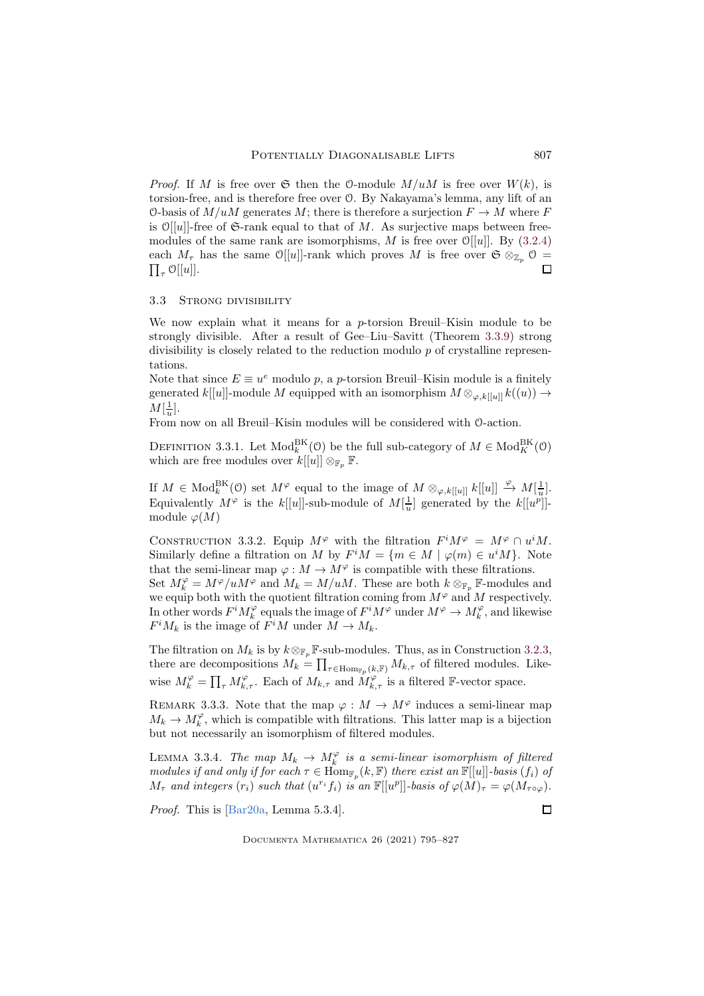*Proof.* If M is free over  $\mathfrak S$  then the 0-module  $M/uM$  is free over  $W(k)$ , is torsion-free, and is therefore free over O. By Nakayama's lemma, any lift of an O-basis of  $M/uM$  generates M; there is therefore a surjection  $F \to M$  where F is  $\mathcal{O}[[u]]$ -free of G-rank equal to that of M. As surjective maps between freemodules of the same rank are isomorphisms, M is free over  $\mathcal{O}[[u]]$ . By [\(3.2.4\)](#page-11-0) each  $M_{\tau}$  has the same O[[u]]-rank which proves M is free over  $\mathfrak{S} \otimes_{\mathbb{Z}_p} \mathfrak{O} =$  $\prod_{\tau} \mathcal{O}[[u]].$  $\Box$ 

## 3.3 STRONG DIVISIBILITY

We now explain what it means for a *p*-torsion Breuil–Kisin module to be strongly divisible. After a result of Gee–Liu–Savitt (Theorem [3.3.9\)](#page-14-1) strong divisibility is closely related to the reduction modulo  $p$  of crystalline representations.

Note that since  $E \equiv u^e$  modulo p, a p-torsion Breuil–Kisin module is a finitely generated k[[u]]-module M equipped with an isomorphism  $M \otimes_{\varphi, k[[u]]} k((u)) \to$  $M[\frac{1}{u}].$ 

From now on all Breuil–Kisin modules will be considered with O-action.

DEFINITION 3.3.1. Let  $\text{Mod}_{k}^{\text{BK}}(\mathcal{O})$  be the full sub-category of  $M \in \text{Mod}_{K}^{\text{BK}}(\mathcal{O})$ which are free modules over  $k[[u]] \otimes_{\mathbb{F}_n} \mathbb{F}$ .

If  $M \in Mod_k^{\text{BK}}(\mathfrak{O})$  set  $M^\varphi$  equal to the image of  $M \otimes_{\varphi, k[[u]]} k[[u]] \xrightarrow{\varphi} M[\frac{1}{u}]$ . Equivalently  $M^{\varphi}$  is the  $k[[u]]$ -sub-module of  $M[\frac{1}{u}]$  generated by the  $k[[u^p]]$ module  $\varphi(M)$ 

CONSTRUCTION 3.3.2. Equip  $M^{\varphi}$  with the filtration  $F^iM^{\varphi} = M^{\varphi} \cap u^iM$ . Similarly define a filtration on M by  $F^iM = \{m \in M \mid \varphi(m) \in u^iM\}$ . Note that the semi-linear map  $\varphi : M \to M^{\varphi}$  is compatible with these filtrations.

Set  $M_k^{\varphi} = M^{\varphi}/uM^{\varphi}$  and  $M_k = M/uM$ . These are both  $k \otimes_{\mathbb{F}_p} \mathbb{F}$ -modules and we equip both with the quotient filtration coming from  $M^{\varphi}$  and M respectively. In other words  $F^i M_k^{\varphi}$  equals the image of  $F^i M^{\varphi}$  under  $M^{\varphi} \to M_k^{\varphi}$ , and likewise  $F^iM_k$  is the image of  $F^iM$  under  $M \to M_k$ .

The filtration on  $M_k$  is by  $k \otimes_{\mathbb{F}_p} \mathbb{F}$ -sub-modules. Thus, as in Construction [3.2.3,](#page-11-1) there are decompositions  $M_k = \prod_{\tau \in \text{Hom}_{\mathbb{F}_p}(k,\mathbb{F})} M_{k,\tau}$  of filtered modules. Likewise  $M_k^{\varphi} = \prod_{\tau} M_{k,\tau}^{\varphi}$ . Each of  $M_{k,\tau}$  and  $M_{k,\tau}^{\varphi}$  is a filtered F-vector space.

REMARK 3.3.3. Note that the map  $\varphi : M \to M^{\varphi}$  induces a semi-linear map  $M_k \to M_k^{\varphi}$ , which is compatible with filtrations. This latter map is a bijection but not necessarily an isomorphism of filtered modules.

<span id="page-12-0"></span>LEMMA 3.3.4. *The map*  $M_k \to M_k^{\varphi}$  *is a semi-linear isomorphism of filtered modules if and only if for each*  $\tau \in \text{Hom}_{\mathbb{F}_p}(k, \mathbb{F})$  *there exist an*  $\mathbb{F}[[u]]$ *-basis*  $(f_i)$  *of*  $M_{\tau}$  and integers  $(r_i)$  such that  $(u^{r_i} f_i)$  is an  $\mathbb{F}[[u^p]]$ -basis of  $\varphi(M)_{\tau} = \varphi(M_{\tau \circ \varphi})$ *.* 

*Proof.* This is [\[Bar20a,](#page-30-3) Lemma 5.3.4].

Documenta Mathematica 26 (2021) 795–827

 $\Box$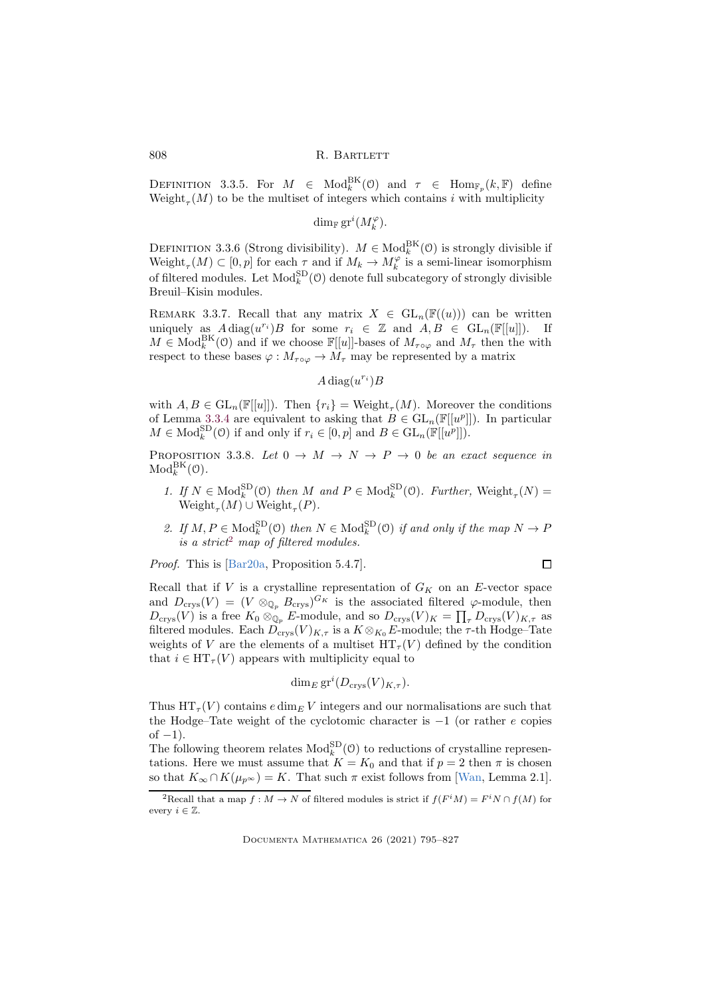DEFINITION 3.3.5. For  $M \in Mod_k^{\text{BK}}(\mathcal{O})$  and  $\tau \in Hom_{\mathbb{F}_p}(k, \mathbb{F})$  define  $W\text{eight}_{\tau}(M)$  to be the multiset of integers which contains i with multiplicity

 $\dim_{\mathbb{F}} \operatorname{gr}^i(M_k^{\varphi}).$ 

DEFINITION 3.3.6 (Strong divisibility).  $M \in Mod_k^{BK}(\mathcal{O})$  is strongly divisible if  $\text{Weight}_{\tau}(M) \subset [0,p]$  for each  $\tau$  and if  $M_k \to M_k^{\varphi}$  is a semi-linear isomorphism of filtered modules. Let  $\text{Mod}_k^{\text{SD}}(\mathcal{O})$  denote full subcategory of strongly divisible Breuil–Kisin modules.

<span id="page-13-2"></span>REMARK 3.3.7. Recall that any matrix  $X \in GL_n(\mathbb{F}((u)))$  can be written uniquely as  $A \text{ diag}(u^{r_i})B$  for some  $r_i \in \mathbb{Z}$  and  $A, B \in GL_n(\mathbb{F}[[u]])$ . If  $M \in Mod_k^{\text{BK}}(\mathcal{O})$  and if we choose  $\mathbb{F}[[u]]$ -bases of  $M_{\tau \circ \varphi}$  and  $M_{\tau}$  then the with respect to these bases  $\varphi : M_{\tau \circ \varphi} \to M_{\tau}$  may be represented by a matrix

 $A \operatorname{diag}(u^{r_i})B$ 

with  $A, B \in GL_n(\mathbb{F}[[u]])$ . Then  $\{r_i\} = \text{Weight}_{\tau}(M)$ . Moreover the conditions of Lemma [3.3.4](#page-12-0) are equivalent to asking that  $B \in GL_n(\mathbb{F}[[u^p]])$ . In particular  $M \in \text{Mod}_{k}^{\text{SD}}(\mathcal{O})$  if and only if  $r_i \in [0, p]$  and  $B \in \text{GL}_n(\mathbb{F}[[u^p]])$ .

<span id="page-13-1"></span>PROPOSITION 3.3.8. Let  $0 \to M \to N \to P \to 0$  be an exact sequence in  $\mathrm{Mod}_k^{\mathrm{BK}}(\mathcal{O})$ .

- 1. If  $N \in Mod_k^{\text{SD}}(\mathcal{O})$  then M and  $P \in Mod_k^{\text{SD}}(\mathcal{O})$ . Further, Weight<sub>r</sub> $(N)$  =  $Weight_{\tau}(M) \cup Weight_{\tau}(P)$ .
- 2. If  $M, P \in Mod_k^{\text{SD}}(0)$  then  $N \in Mod_k^{\text{SD}}(0)$  if and only if the map  $N \to P$ *is a strict*[2](#page-13-0) *map of filtered modules.*

*Proof.* This is [\[Bar20a,](#page-30-3) Proposition 5.4.7].

$$
\qquad \qquad \Box
$$

Recall that if  $V$  is a crystalline representation of  $G_K$  on an E-vector space and  $D_{\text{crys}}(V) = (V \otimes_{\mathbb{Q}_p} B_{\text{crys}})^{G_K}$  is the associated filtered  $\varphi$ -module, then  $D_{\text{crys}}(V)$  is a free  $K_0 \otimes_{\mathbb{Q}_p} E$ -module, and so  $D_{\text{crys}}(V)_K = \prod_{\tau} D_{\text{crys}}(V)_{K,\tau}$  as filtered modules. Each  $\widetilde{D}_{\text{crys}}(V)_{K,\tau}$  is a  $K \otimes_{K_0} E$ -module; the  $\tau$ -th Hodge–Tate weights of V are the elements of a multiset  $HT_{\tau}(V)$  defined by the condition that  $i \in HT_{\tau}(V)$  appears with multiplicity equal to

$$
\dim_E \operatorname{gr}^i(D_{\operatorname{crys}}(V)_{K,\tau}).
$$

Thus  $HT_{\tau}(V)$  contains  $e \dim_{E} V$  integers and our normalisations are such that the Hodge–Tate weight of the cyclotomic character is  $-1$  (or rather e copies of  $-1$ ).

The following theorem relates  $Mod_k^{\text{SD}}(\mathcal{O})$  to reductions of crystalline representations. Here we must assume that  $K = K_0$  and that if  $p = 2$  then  $\pi$  is chosen so that  $K_{\infty} \cap K(\mu_{p^{\infty}}) = K$ . That such  $\pi$  exist follows from [\[Wan,](#page-31-3) Lemma 2.1].

<span id="page-13-0"></span><sup>&</sup>lt;sup>2</sup>Recall that a map  $f : M \to N$  of filtered modules is strict if  $f(F^iM) = F^iN \cap f(M)$  for every  $i \in \mathbb{Z}$ .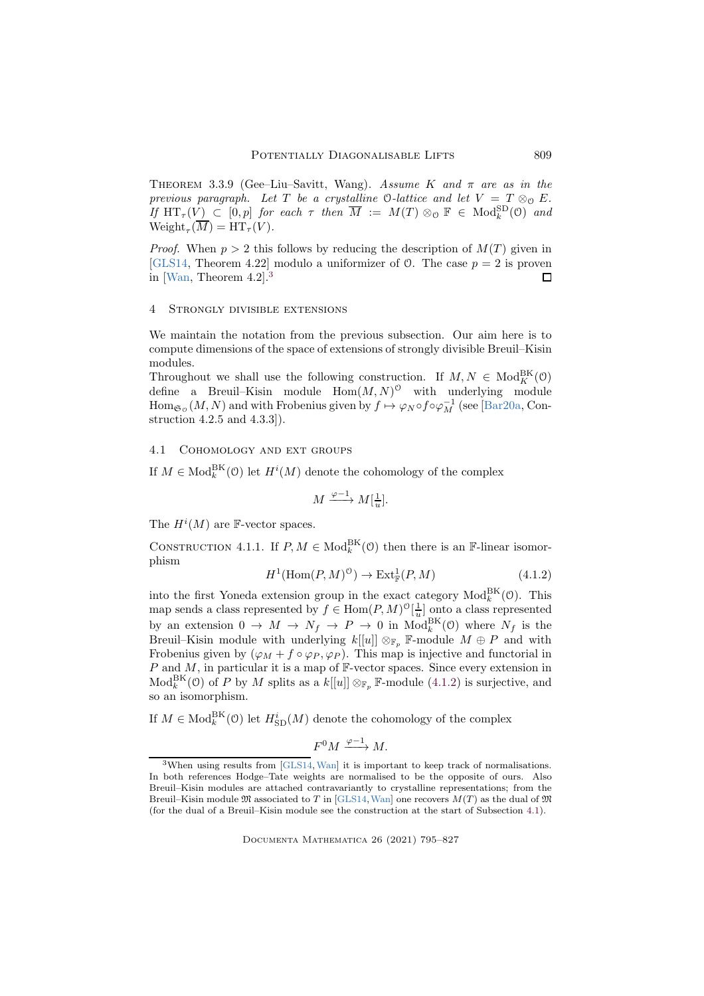<span id="page-14-1"></span>Theorem 3.3.9 (Gee–Liu–Savitt, Wang). *Assume* K *and* π *are as in the previous paragraph.* Let T be a crystalline  $\mathcal{O}\text{-}lattice$  and let  $V = T \otimes_{\mathcal{O}} E$ .  $If \ \mathop{\rm HT}\nolimits_\tau(V) \ \subset \ [0,p] \ \text{for each} \ \tau \ \text{then} \ \overline{M} \ := \ M(T) \otimes_{\mathcal{O}} \mathbb{F} \ \in \ \mathop{\rm Mod}\nolimits_k^{\rm SD}(\mathcal{O}) \ \text{and}$  $Weight_{\tau}(M) = HT_{\tau}(V).$ 

*Proof.* When  $p > 2$  this follows by reducing the description of  $M(T)$  given in [\[GLS14,](#page-31-1) Theorem 4.22] modulo a uniformizer of  $\mathcal{O}$ . The case  $p = 2$  is proven in [\[Wan,](#page-31-3) Theorem 4.2].[3](#page-14-2)  $\Box$ 

## <span id="page-14-0"></span>4 Strongly divisible extensions

We maintain the notation from the previous subsection. Our aim here is to compute dimensions of the space of extensions of strongly divisible Breuil–Kisin modules.

Throughout we shall use the following construction. If  $M, N \in Mod_K^{\text{BK}}(0)$ define a Breuil–Kisin module  $\text{Hom}(M, N)^{\circ}$  with underlying module  $\text{Hom}_{\mathfrak{S}_0}(M,N)$  and with Frobenius given by  $f \mapsto \varphi_N \circ f \circ \varphi_M^{-1}$  (see [\[Bar20a,](#page-30-3) Construction 4.2.5 and 4.3.3]).

# <span id="page-14-4"></span>4.1 Cohomology and ext groups

If  $M \in Mod_k^{\text{BK}}(\mathcal{O})$  let  $H^i(M)$  denote the cohomology of the complex

$$
M \xrightarrow{\varphi - 1} M[\frac{1}{u}].
$$

The  $H^i(M)$  are F-vector spaces.

<span id="page-14-5"></span><span id="page-14-3"></span>CONSTRUCTION 4.1.1. If  $P, M \in Mod_k^{\text{BK}}(\mathcal{O})$  then there is an F-linear isomorphism

$$
H^1(\text{Hom}(P, M)^{\bullet}) \to \text{Ext}^1_{\mathbb{F}}(P, M) \tag{4.1.2}
$$

into the first Yoneda extension group in the exact category  $\text{Mod}_{k}^{\text{BK}}(\mathcal{O})$ . This map sends a class represented by  $f \in \text{Hom}(P, M)^{\{0\}}\left[\frac{1}{u}\right]$  onto a class represented by an extension  $0 \to M \to N_f \to P \to 0$  in  $Mod_k^{BK}(0)$  where  $N_f$  is the Breuil–Kisin module with underlying  $k[[u]] \otimes_{\mathbb{F}_p} \mathbb{F}$ -module  $M \oplus P$  and with Frobenius given by  $(\varphi_M + f \circ \varphi_P, \varphi_P)$ . This map is injective and functorial in  $P$  and  $M$ , in particular it is a map of  $\mathbb{F}\text{-vector spaces.}$  Since every extension in  $Mod_k^{BK}(\mathcal{O})$  of P by M splits as a  $k[[u]] \otimes_{\mathbb{F}_p} \mathbb{F}\text{-module } (4.1.2)$  $k[[u]] \otimes_{\mathbb{F}_p} \mathbb{F}\text{-module } (4.1.2)$  is surjective, and so an isomorphism.

If  $M \in Mod_k^{\text{BK}}(\mathcal{O})$  let  $H_{\text{SD}}^i(M)$  denote the cohomology of the complex

$$
F^0 M \xrightarrow{\varphi -1} M.
$$

<span id="page-14-2"></span><sup>&</sup>lt;sup>3</sup>When using results from [\[GLS14,](#page-31-1) [Wan\]](#page-31-3) it is important to keep track of normalisations. In both references Hodge–Tate weights are normalised to be the opposite of ours. Also Breuil–Kisin modules are attached contravariantly to crystalline representations; from the Breuil–Kisin module  $\mathfrak{M}$  associated to T in [\[GLS14,](#page-31-1) [Wan\]](#page-31-3) one recovers  $M(T)$  as the dual of  $\mathfrak{M}$ (for the dual of a Breuil–Kisin module see the construction at the start of Subsection [4.1\)](#page-14-4).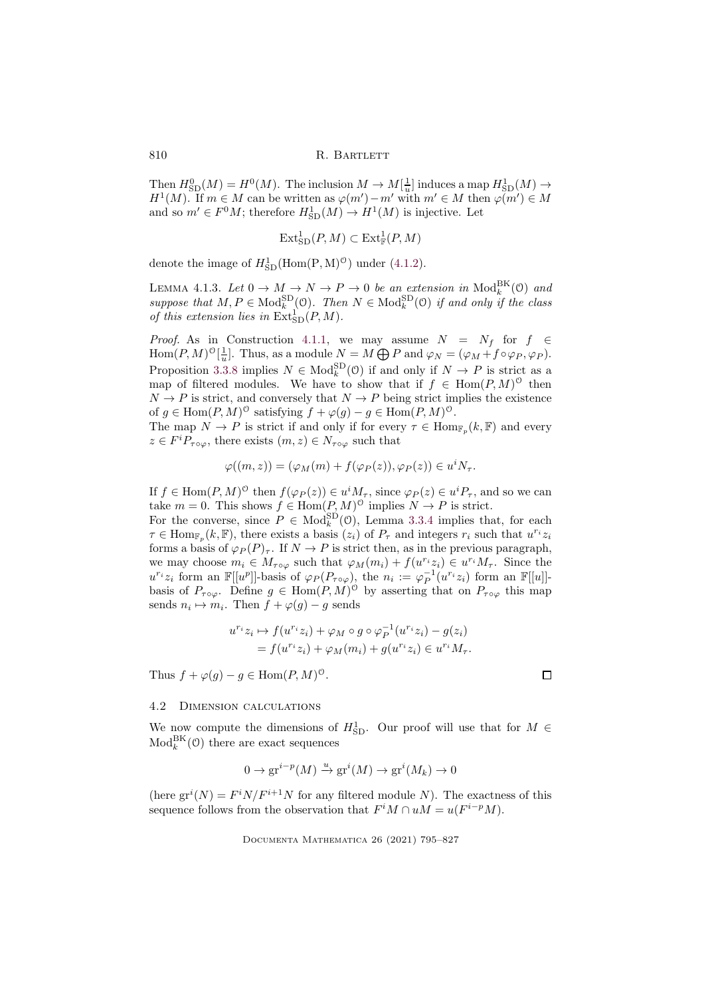Then  $H_{\text{SD}}^{0}(M) = H^{0}(M)$ . The inclusion  $M \to M[\frac{1}{u}]$  induces a map  $H_{\text{SD}}^{1}(M) \to$  $H^1(M)$ . If  $m \in M$  can be written as  $\varphi(m') - m'$  with  $m' \in M$  then  $\varphi(m') \in M$ and so  $m' \in F^0M$ ; therefore  $H^1_{\text{SD}}(M) \to H^1(M)$  is injective. Let

$$
\mathrm{Ext}^1_{\mathrm{SD}}(P,M) \subset \mathrm{Ext}^1_{\mathbb{F}}(P,M)
$$

denote the image of  $H_{\text{SD}}^1(\text{Hom}(P, M)^{\circ})$  under [\(4.1.2\)](#page-14-3).

LEMMA 4.1.3. Let  $0 \to M \to N \to P \to 0$  be an extension in  $\text{Mod}_{k}^{\text{BK}}(0)$  and  $suppose that M, P \in Mod_k^{SD}(\mathcal{O})$ . Then  $N \in Mod_k^{SD}(\mathcal{O})$  *if and only if the class* of this extension lies in  $\text{Ext}_{SD}^{1}(P, M)$ .

*Proof.* As in Construction [4.1.1,](#page-14-5) we may assume  $N = N_f$  for  $f \in$ Hom $(P, M)^{\mathcal{O}}[\frac{1}{u}]$ . Thus, as a module  $N = M \bigoplus P$  and  $\varphi_N = (\varphi_M + f \circ \varphi_P, \varphi_P)$ . Proposition [3.3.8](#page-13-1) implies  $N \in Mod_k^{\text{SD}}(\mathfrak{O})$  if and only if  $N \to P$  is strict as a map of filtered modules. We have to show that if  $f \in Hom(P, M)$ <sup>0</sup> then  $N \to P$  is strict, and conversely that  $N \to P$  being strict implies the existence of  $g \in \text{Hom}(P, M)^\circ$  satisfying  $f + \varphi(g) - g \in \text{Hom}(P, M)^\circ$ .

The map  $N \to P$  is strict if and only if for every  $\tau \in \text{Hom}_{\mathbb{F}_p}(k,\mathbb{F})$  and every  $z \in F^i P_{\tau \circ \varphi}$ , there exists  $(m, z) \in N_{\tau \circ \varphi}$  such that

$$
\varphi((m,z)) = (\varphi_M(m) + f(\varphi_P(z)), \varphi_P(z)) \in u^i N_\tau.
$$

If  $f \in \text{Hom}(P, M)^\circ$  then  $f(\varphi_P(z)) \in u^i M_\tau$ , since  $\varphi_P(z) \in u^i P_\tau$ , and so we can take  $m = 0$ . This shows  $f \in Hom(P, M)^{\circ}$  implies  $N \to P$  is strict.

For the converse, since  $P \in \text{Mod}_{k}^{\text{SD}}(\mathcal{O})$ , Lemma [3.3.4](#page-12-0) implies that, for each  $\tau \in \text{Hom}_{\mathbb{F}_p}(k,\mathbb{F})$ , there exists a basis  $(z_i)$  of  $P_\tau$  and integers  $r_i$  such that  $u^{r_i}z_i$ forms a basis of  $\varphi_P(P)_{\tau}$ . If  $N \to P$  is strict then, as in the previous paragraph, we may choose  $m_i \in M_{\tau \circ \varphi}$  such that  $\varphi_M(m_i) + f(u^{r_i}z_i) \in u^{r_i}M_{\tau}$ . Since the  $u^{r_i}z_i$  form an  $\mathbb{F}[[u^p]]$ -basis of  $\varphi_P(P_{\tau \circ \varphi})$ , the  $n_i := \varphi_P^{-1}(u^{r_i}z_i)$  form an  $\mathbb{F}[[u]]$ basis of  $P_{\tau \circ \varphi}$ . Define  $g \in \text{Hom}(P, M)^{\circ}$  by asserting that on  $P_{\tau \circ \varphi}$  this map sends  $n_i \mapsto m_i$ . Then  $f + \varphi(g) - g$  sends

$$
u^{r_i}z_i \mapsto f(u^{r_i}z_i) + \varphi_M \circ g \circ \varphi_P^{-1}(u^{r_i}z_i) - g(z_i)
$$
  
= 
$$
f(u^{r_i}z_i) + \varphi_M(m_i) + g(u^{r_i}z_i) \in u^{r_i}M_{\tau}.
$$

Thus  $f + \varphi(g) - g \in \text{Hom}(P, M)^{\circ}$ .

## 4.2 Dimension calculations

We now compute the dimensions of  $H_{\text{SD}}^1$ . Our proof will use that for  $M \in$  $\text{Mod}_k^{\text{BK}}(0)$  there are exact sequences

$$
0 \to \mathrm{gr}^{i-p}(M) \xrightarrow{u} \mathrm{gr}^i(M) \to \mathrm{gr}^i(M_k) \to 0
$$

(here  $gr^i(N) = F^iN/F^{i+1}N$  for any filtered module N). The exactness of this sequence follows from the observation that  $F^iM \cap uM = u(F^{i-p}M)$ .

$$
\qquad \qquad \Box
$$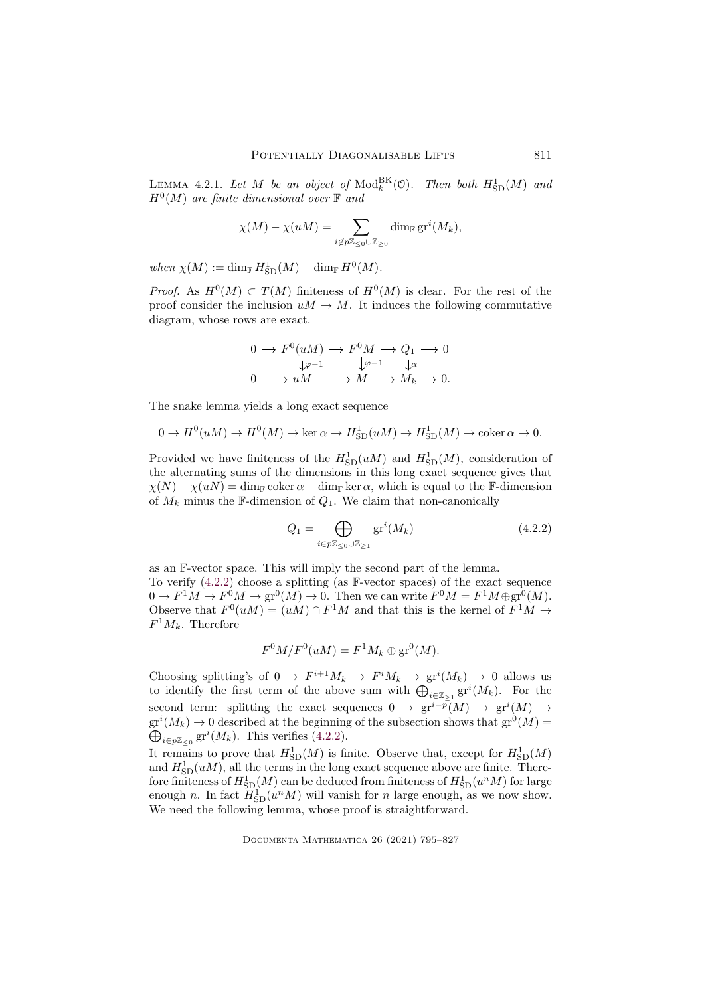<span id="page-16-1"></span>LEMMA 4.2.1. Let M be an object of  $\text{Mod}_k^{\text{BK}}(\mathcal{O})$ . Then both  $H^1_{\text{SD}}(M)$  and H<sup>0</sup> (M) *are finite dimensional over* F *and*

$$
\chi(M) - \chi(uM) = \sum_{i \notin p\mathbb{Z}_{\leq 0} \cup \mathbb{Z}_{\geq 0}} \dim_{\mathbb{F}} \mathrm{gr}^i(M_k),
$$

 $when \ \chi(M) := \dim_{\mathbb{F}} H^1_{\text{SD}}(M) - \dim_{\mathbb{F}} H^0(M).$ 

*Proof.* As  $H^0(M) \subset T(M)$  finiteness of  $H^0(M)$  is clear. For the rest of the proof consider the inclusion  $uM \to M$ . It induces the following commutative diagram, whose rows are exact.

$$
0 \to F^{0}(uM) \to F^{0}M \to Q_{1} \to 0
$$
  

$$
\downarrow \varphi^{-1} \qquad \downarrow \varphi
$$
  

$$
0 \longrightarrow uM \longrightarrow M \longrightarrow M_{k} \to 0.
$$

The snake lemma yields a long exact sequence

$$
0 \to H^0(uM) \to H^0(M) \to \ker \alpha \to H^1_{\text{SD}}(uM) \to H^1_{\text{SD}}(M) \to \text{coker}\,\alpha \to 0.
$$

Provided we have finiteness of the  $H_{\text{SD}}^1(uM)$  and  $H_{\text{SD}}^1(M)$ , consideration of the alternating sums of the dimensions in this long exact sequence gives that  $\chi(N) - \chi(u) = \dim_{\mathbb{F}} \text{coker}\,\alpha - \dim_{\mathbb{F}} \ker \alpha$ , which is equal to the F-dimension of  $M_k$  minus the F-dimension of  $Q_1$ . We claim that non-canonically

<span id="page-16-0"></span>
$$
Q_1 = \bigoplus_{i \in p\mathbb{Z}_{\leq 0} \cup \mathbb{Z}_{\geq 1}} \text{gr}^i(M_k) \tag{4.2.2}
$$

as an F-vector space. This will imply the second part of the lemma. To verify [\(4.2.2\)](#page-16-0) choose a splitting (as F-vector spaces) of the exact sequence  $0 \to F^1M \to F^0M \to \text{gr}^0(M) \to 0.$  Then we can write  $F^0M = F^1M \oplus \text{gr}^0(M)$ . Observe that  $F^0(uM) = (uM) \cap F^1M$  and that this is the kernel of  $F^1M \to$  $F^1M_k$ . Therefore

$$
F^0M/F^0(uM) = F^1M_k \oplus \text{gr}^0(M).
$$

Choosing splitting's of  $0 \to F^{i+1}M_k \to F^iM_k \to \text{gr}^i(M_k) \to 0$  allows us to identify the first term of the above sum with  $\bigoplus_{i\in\mathbb{Z}_{\geq 1}}\mathrm{gr}^i(M_k)$ . For the second term: splitting the exact sequences  $0 \to \text{gr}^{i-p}(M) \to \text{gr}^{i}(M) \to$  $gr<sup>i</sup>(M<sub>k</sub>) \rightarrow 0$  described at the beginning of the subsection shows that  $gr<sup>0</sup>(M) =$  $\bigoplus_{i\in p\mathbb{Z}_{\leq 0}}\mathrm{gr}^i(M_k)$ . This verifies [\(4.2.2\)](#page-16-0).

It remains to prove that  $H_{\text{SD}}^{1}(M)$  is finite. Observe that, except for  $H_{\text{SD}}^{1}(M)$ and  $H_{\text{SD}}^1(uM)$ , all the terms in the long exact sequence above are finite. Therefore finiteness of  $H^1_{\mathrm{SD}}(M)$  can be deduced from finiteness of  $H^1_{\mathrm{SD}}(u^nM)$  for large enough n. In fact  $H_{\text{SD}}^1(u^n M)$  will vanish for n large enough, as we now show. We need the following lemma, whose proof is straightforward.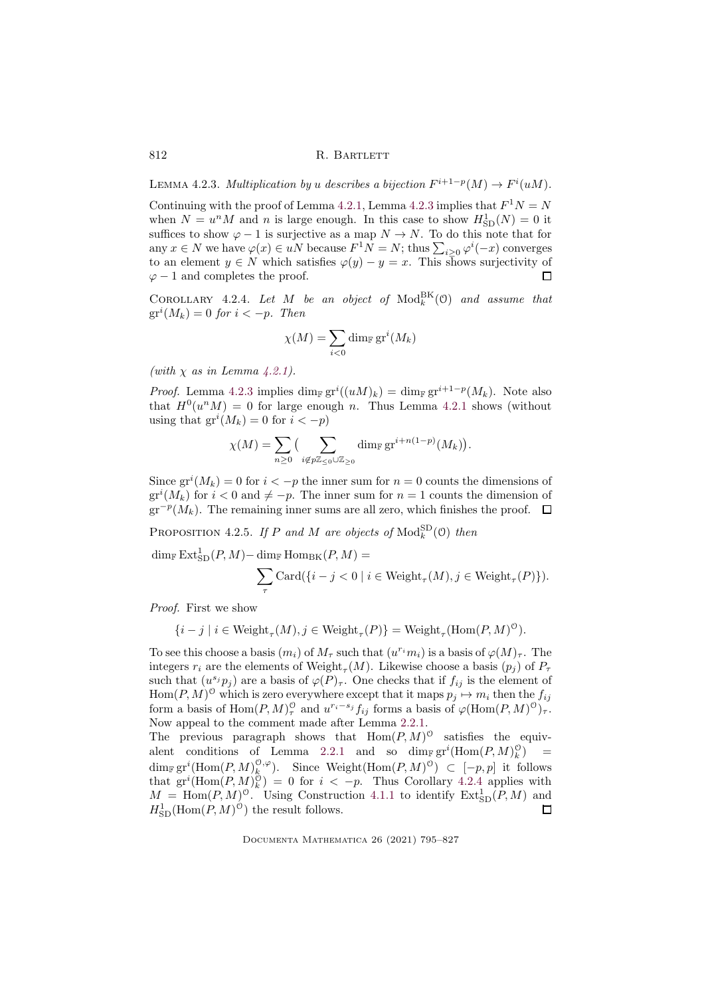<span id="page-17-0"></span>LEMMA 4.2.3. *Multiplication by u describes a bijection*  $F^{i+1-p}(M) \to F^{i}(uM)$ .

Continuing with the proof of Lemma [4.2.1,](#page-16-1) Lemma [4.2.3](#page-17-0) implies that  $F^1N = N$ when  $N = u<sup>n</sup>M$  and n is large enough. In this case to show  $H<sub>SD</sub><sup>1</sup>(N) = 0$  it suffices to show  $\varphi - 1$  is surjective as a map  $N \to N$ . To do this note that for any  $x \in N$  we have  $\varphi(x) \in uN$  because  $F^1N = N$ ; thus  $\sum_{i \geq 0} \varphi^i(-x)$  converges to an element  $y \in N$  which satisfies  $\varphi(y) - y = x$ . This shows surjectivity of  $\varphi - 1$  and completes the proof.  $\Box$ 

<span id="page-17-1"></span>COROLLARY 4.2.4. Let  $M$  be an object of  $\text{Mod}_k^{\text{BK}}(0)$  and assume that  $gr<sup>i</sup>(M<sub>k</sub>) = 0$  *for*  $i < -p$ *. Then* 

$$
\chi(M) = \sum_{i < 0} \dim_{\mathbb{F}} \operatorname{gr}^i(M_k)
$$

*(with* χ *as in Lemma [4.2.1\)](#page-16-1).*

*Proof.* Lemma [4.2.3](#page-17-0) implies  $\dim_{\mathbb{F}} \mathrm{gr}^i((uM)_k) = \dim_{\mathbb{F}} \mathrm{gr}^{i+1-p}(M_k)$ . Note also that  $H^0(u^n M) = 0$  for large enough n. Thus Lemma [4.2.1](#page-16-1) shows (without using that  $gr^i(M_k) = 0$  for  $i < -p$ )

$$
\chi(M) = \sum_{n \geq 0} \big( \sum_{i \notin p\mathbb{Z}_{\leq 0} \cup \mathbb{Z}_{\geq 0}} \dim_{\mathbb{F}} \mathrm{gr}^{i+n(1-p)}(M_k) \big).
$$

Since  $gr^i(M_k) = 0$  for  $i < -p$  the inner sum for  $n = 0$  counts the dimensions of  $gr<sup>i</sup>(M<sub>k</sub>)$  for  $i < 0$  and  $\neq -p$ . The inner sum for  $n = 1$  counts the dimension of  $gr^{-p}(M_k)$ . The remaining inner sums are all zero, which finishes the proof.

<span id="page-17-2"></span>PROPOSITION 4.2.5. If P and M are objects of  $\text{Mod}_k^{\text{SD}}(0)$  then

 $\dim_{\mathbb{F}} \mathrm{Ext}_{\mathrm{SD}}^1(P, M) - \dim_{\mathbb{F}} \mathrm{Hom}_{\mathrm{BK}}(P, M) =$  $\overline{\phantom{0}}$ τ Card $({i - j < 0 \mid i \in Weight_{\tau}(M), j \in Weight_{\tau}(P)}).$ 

*Proof.* First we show

$$
\{i - j \mid i \in \text{Weight}_{\tau}(M), j \in \text{Weight}_{\tau}(P)\} = \text{Weight}_{\tau}(\text{Hom}(P, M)^{\circ})
$$

To see this choose a basis  $(m_i)$  of  $M_\tau$  such that  $(u^{r_i}m_i)$  is a basis of  $\varphi(M)_\tau$ . The integers  $r_i$  are the elements of Weight<sub> $\tau$ </sub> $(M)$ . Likewise choose a basis  $(p_j)$  of  $P_{\tau}$ such that  $(u^{s_j} p_j)$  are a basis of  $\varphi(P)_{\tau}$ . One checks that if  $f_{ij}$  is the element of  $Hom(P, M)^\circ$  which is zero everywhere except that it maps  $p_j \mapsto m_i$  then the  $f_{ij}$ form a basis of  $\text{Hom}(P, M)_\tau^0$  and  $u^{r_i-s_j} f_{ij}$  forms a basis of  $\varphi(\text{Hom}(P, M)^0)_\tau$ . Now appeal to the comment made after Lemma [2.2.1.](#page-5-1) The previous paragraph shows that  $\text{Hom}(P, M)$ <sup>0</sup> satisfies the equiv-

alent conditions of Lemma [2.2.1](#page-5-1) and so  $\dim_{\mathbb{F}} \operatorname{gr}^i(\text{Hom}(P, M)_k^0)$  $\equiv$  $\dim_{\mathbb{F}} {\rm gr}^i({\rm Hom}(P,M)^{0,\varphi}_k).$  Since Weight $({\rm Hom}(P,M)^{0}) \subset [-p,p]$  it follows that  $gr^{i}(\text{Hom}(P, M)^{\hat{O}}_{k}) = 0$  for  $i < -p$ . Thus Corollary [4.2.4](#page-17-1) applies with  $M = \text{Hom}(P, M)^{\circ}$ . Using Construction [4.1.1](#page-14-5) to identify  $\text{Ext}_{SD}^1(P, M)$  and  $H_{\text{SD}}^{1}(\text{Hom}(P, M)^{\hat{O}})$  the result follows.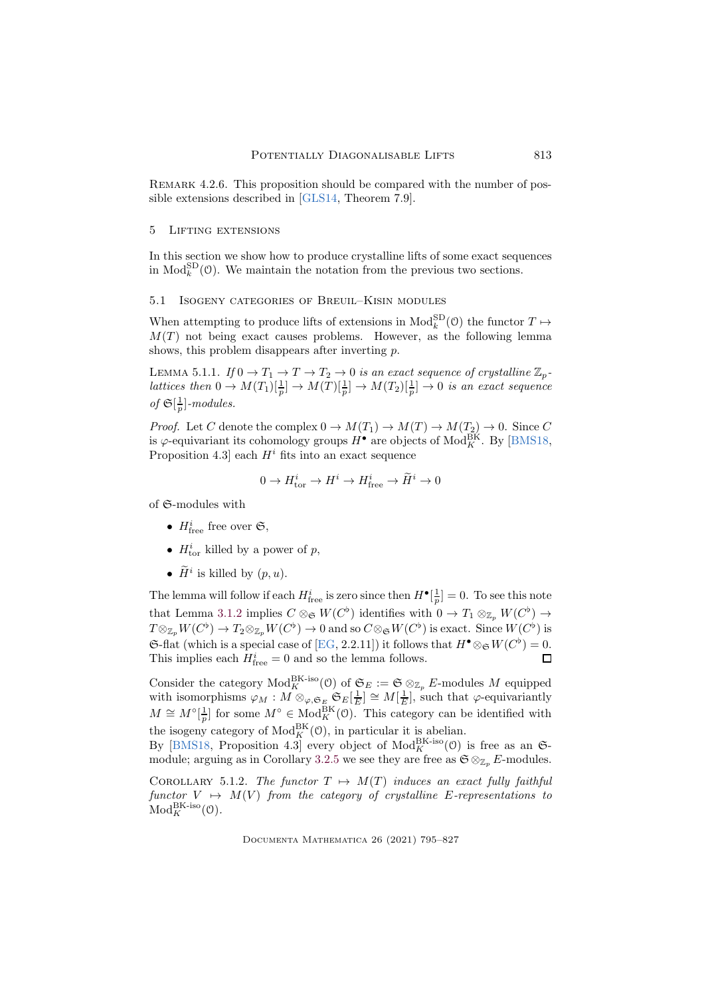REMARK 4.2.6. This proposition should be compared with the number of possible extensions described in [\[GLS14,](#page-31-1) Theorem 7.9].

#### <span id="page-18-0"></span>5 Lifting extensions

In this section we show how to produce crystalline lifts of some exact sequences in  $\text{Mod}_{k}^{\text{SD}}(0)$ . We maintain the notation from the previous two sections.

# 5.1 Isogeny categories of Breuil–Kisin modules

When attempting to produce lifts of extensions in  $\text{Mod}_{k}^{\text{SD}}(\mathcal{O})$  the functor  $T \mapsto$  $M(T)$  not being exact causes problems. However, as the following lemma shows, this problem disappears after inverting p.

<span id="page-18-1"></span>LEMMA 5.1.1. *If*  $0 \to T_1 \to T \to T_2 \to 0$  *is an exact sequence of crystalline*  $\mathbb{Z}_p$ *lattices then*  $0 \to M(T_1)[\frac{1}{p}] \to M(T)[\frac{1}{p}] \to M(T_2)[\frac{1}{p}] \to 0$  *is an exact sequence of*  $\mathfrak{S}[\frac{1}{p}]$ *-modules.* 

*Proof.* Let C denote the complex  $0 \to M(T_1) \to M(T) \to M(T_2) \to 0$ . Since C is  $\varphi$ -equivariant its cohomology groups  $H^{\bullet}$  are objects of  $\mathrm{Mod}_{K}^{\mathrm{BK}}$ . By [\[BMS18,](#page-30-6) Proposition 4.3] each  $H^i$  fits into an exact sequence

$$
0 \to H^i_{\text{tor}} \to H^i \to H^i_{\text{free}} \to \widetilde{H}^i \to 0
$$

of S-modules with

- $H_{\text{free}}^i$  free over  $\mathfrak{S},$
- $H_{\text{tor}}^i$  killed by a power of p,
- $\tilde{H}^i$  is killed by  $(p, u)$ .

The lemma will follow if each  $H_{\text{free}}^i$  is zero since then  $H^{\bullet}[\frac{1}{p}] = 0$ . To see this note that Lemma [3.1.2](#page-10-0) implies  $C \otimes_{\mathfrak{S}} W(C^{\flat})$  identifies with  $0 \to T_1 \otimes_{\mathbb{Z}_p} W(C^{\flat}) \to$  $T \otimes_{\mathbb{Z}_p} W(C^{\flat}) \to T_2 \otimes_{\mathbb{Z}_p} W(C^{\flat}) \to 0$  and so  $C \otimes_{\mathfrak{S}} W(C^{\flat})$  is exact. Since  $W(C^{\flat})$  is G-flat (which is a special case of [\[EG,](#page-30-5) 2.2.11]) it follows that  $H^{\bullet} \otimes_{\mathfrak{S}} W(C^{\flat}) = 0$ . This implies each  $H_{\text{free}}^i = 0$  and so the lemma follows.  $\Box$ 

Consider the category  $\text{Mod}_{K}^{\text{BK-iso}}(0)$  of  $\mathfrak{S}_{E} := \mathfrak{S} \otimes_{\mathbb{Z}_p} E$ -modules M equipped with isomorphisms  $\varphi_M : M \otimes_{\varphi, \mathfrak{S}_E} \mathfrak{S}_E[\frac{1}{E}] \cong M[\frac{1}{E}],$  such that  $\varphi$ -equivariantly  $M \cong M^\circ[\frac{1}{p}]$  for some  $M^\circ \in Mod_K^{\text{BK}}(\mathfrak{O})$ . This category can be identified with the isogeny category of  $\text{Mod}_{K}^{\text{BK}}(0)$ , in particular it is abelian.

By [\[BMS18,](#page-30-6) Proposition 4.3] every object of  $Mod_K^{B K-iso}(\mathcal{O})$  is free as an  $\mathfrak{S}$ -module; arguing as in Corollary [3.2.5](#page-11-2) we see they are free as  $\mathfrak{S} \otimes_{\mathbb{Z}_n} E$ -modules.

<span id="page-18-2"></span>COROLLARY 5.1.2. *The functor*  $T \mapsto M(T)$  *induces an exact fully faithful functor*  $V \rightarrow M(V)$  *from the category of crystalline* E-representations to  $Mod_K^{\text{BK-iso}}(\mathcal{O})$ .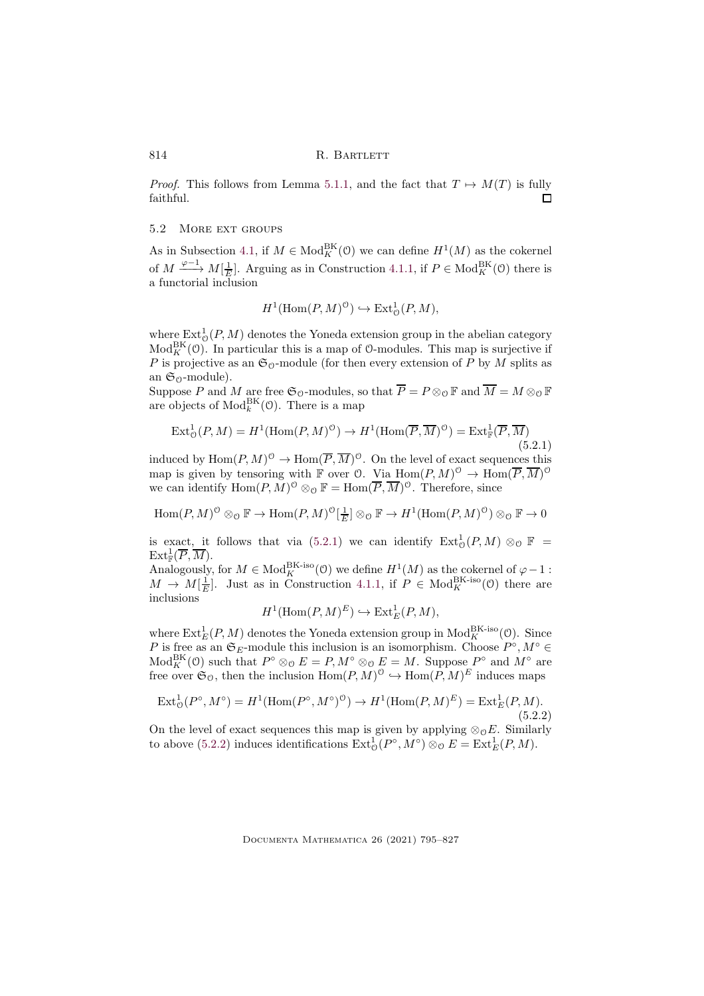*Proof.* This follows from Lemma [5.1.1,](#page-18-1) and the fact that  $T \mapsto M(T)$  is fully faithful. П

# 5.2 MORE EXT GROUPS

As in Subsection [4.1,](#page-14-4) if  $M \in Mod_K^{\text{BK}}(\mathcal{O})$  we can define  $H^1(M)$  as the cokernel of  $M \xrightarrow{\varphi-1} M[\frac{1}{E}]$ . Arguing as in Construction [4.1.1,](#page-14-5) if  $P \in Mod_K^{\text{BK}}(\mathcal{O})$  there is a functorial inclusion

<span id="page-19-0"></span>
$$
H^1(\text{Hom}(P,M)^{\bullet}) \hookrightarrow \text{Ext}^1_{\mathcal{O}}(P,M),
$$

where  $\text{Ext}^1_{\mathcal{O}}(P, M)$  denotes the Yoneda extension group in the abelian category  $Mod_K^{\text{BK}}(\mathcal{O})$ . In particular this is a map of  $\mathcal{O}\text{-modules}$ . This map is surjective if P is projective as an  $\mathfrak{S}_0$ -module (for then every extension of P by M splits as an  $\mathfrak{S}_0$ -module).

Suppose P and M are free  $\mathfrak{S}_0$ -modules, so that  $\overline{P} = P \otimes_0 \mathbb{F}$  and  $\overline{M} = M \otimes_0 \mathbb{F}$ are objects of  $\text{Mod}_k^{\text{BK}}(\mathcal{O})$ . There is a map

$$
\operatorname{Ext}^1_{\mathcal{O}}(P,M) = H^1(\operatorname{Hom}(P,M)^{\mathcal{O}}) \to H^1(\operatorname{Hom}(\overline{P}, \overline{M})^{\mathcal{O}}) = \operatorname{Ext}^1_{\mathbb{F}}(\overline{P}, \overline{M})
$$
\n(5.2.1)

induced by  $\text{Hom}(P, M)^\circ \to \text{Hom}(\overline{P}, \overline{M})^\circ$ . On the level of exact sequences this map is given by tensoring with  $\mathbb F$  over  $(0. \text{Via Hom}(P, M)^{\circ} \to \text{Hom}(\overline{P}, \overline{M})^{\circ}$ we can identify  $\text{Hom}(P, M)^{\mathcal{O}} \otimes_{\mathcal{O}} \mathbb{F} = \text{Hom}(\overline{P}, \overline{M})^{\mathcal{O}}$ . Therefore, since

$$
\mathrm{Hom}(P, M)^{\mathbb O}\otimes_\mathbb O \mathbb F \to \mathrm{Hom}(P, M)^{\mathbb O}[\tfrac{1}{E}] \otimes_\mathbb O \mathbb F \to H^1(\mathrm{Hom}(P, M)^{\mathbb O})\otimes_\mathbb O \mathbb F \to 0
$$

is exact, it follows that via [\(5.2.1\)](#page-19-0) we can identify  $\text{Ext}^1_{\mathcal{O}}(P,M) \otimes_{\mathcal{O}} \mathbb{F}$  =  $\mathrm{Ext}^1_\mathbb{F}(\overline{P},\overline{M}).$ 

Analogously, for  $M \in Mod_K^{\text{BK-iso}}(0)$  we define  $H^1(M)$  as the cokernel of  $\varphi - 1$ :  $M \to M[\frac{1}{E}]$ . Just as in Construction [4.1.1,](#page-14-5) if  $P \in Mod_K^{\text{BK-iso}}(0)$  there are inclusions

<span id="page-19-1"></span>
$$
H^1(\mathrm{Hom}(P,M)^E) \hookrightarrow \mathrm{Ext}^1_E(P,M),
$$

where  $\text{Ext}_{E}^{1}(P, M)$  denotes the Yoneda extension group in  $\text{Mod}_{K}^{\text{BK-iso}}(0)$ . Since P is free as an  $\mathfrak{S}_E$ -module this inclusion is an isomorphism. Choose  $P^{\circ}, M^{\circ} \in$  $Mod_K^{\text{BK}}(0)$  such that  $P^{\circ} \otimes_{\mathcal{O}} E = P, M^{\circ} \otimes_{\mathcal{O}} E = M$ . Suppose  $P^{\circ}$  and  $M^{\circ}$  are free over  $\mathfrak{S}_0$ , then the inclusion  $\text{Hom}(P, M)^\circ \hookrightarrow \text{Hom}(\widetilde{P}, M)^E$  induces maps

$$
\operatorname{Ext}^1_{\mathcal{O}}(P^{\circ}, M^{\circ}) = H^1(\operatorname{Hom}(P^{\circ}, M^{\circ})^{\mathcal{O}}) \to H^1(\operatorname{Hom}(P, M)^E) = \operatorname{Ext}^1_E(P, M). \tag{5.2.2}
$$

On the level of exact sequences this map is given by applying  $\otimes_{\mathcal{O}} E$ . Similarly to above [\(5.2.2\)](#page-19-1) induces identifications  $\text{Ext}^1_{\mathcal{O}}(P^{\circ}, M^{\circ}) \otimes_{\mathcal{O}} E = \text{Ext}^1_E(P, M)$ .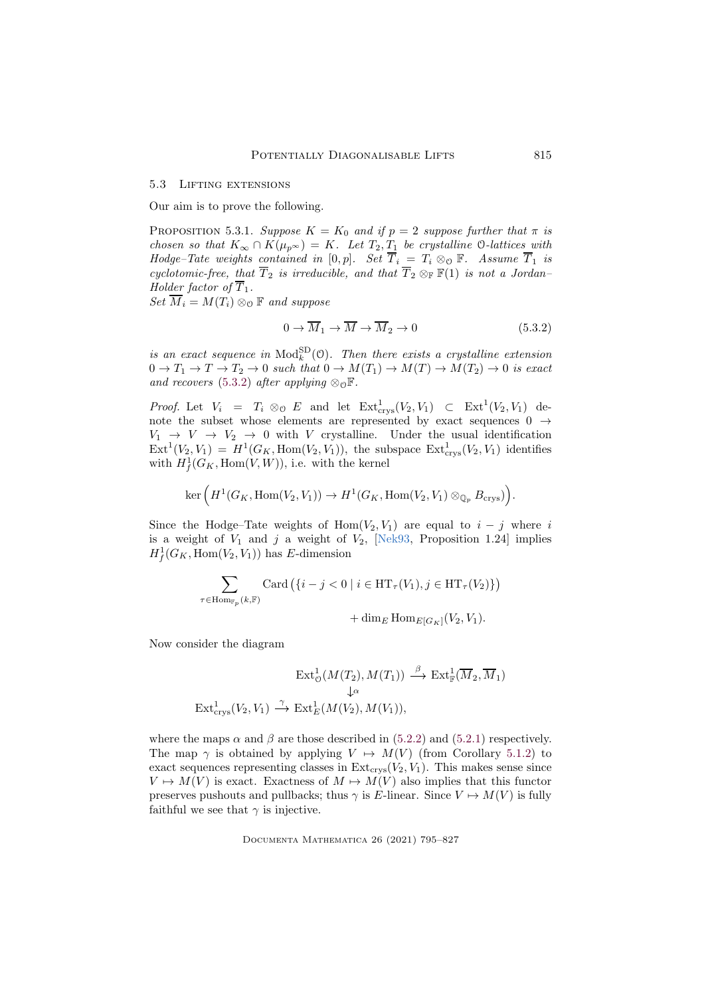#### 5.3 Lifting extensions

Our aim is to prove the following.

<span id="page-20-1"></span>PROPOSITION 5.3.1. *Suppose*  $K = K_0$  *and if*  $p = 2$  *suppose further that*  $\pi$  *is chosen so that*  $K_{\infty} \cap K(\mu_{p^{\infty}}) = K$ *. Let*  $T_2, T_1$  *be crystalline* 0-*lattices with Hodge–Tate weights contained in*  $[0, p]$ *. Set*  $\overline{T}_i = T_i \otimes_{\mathcal{O}} \mathbb{F}$ *. Assume*  $\overline{T}_1$  *is cyclotomic-free, that*  $\overline{T}_2$  *is irreducible, and that*  $\overline{T}_2 \otimes_{\mathbb{F}} \mathbb{F}(1)$  *is not a Jordan– Holder factor of*  $\overline{T}_1$ *.* 

 $Set\ \overline{M}_i = M(T_i) \otimes_{\mathcal{O}} \mathbb{F}$  and suppose

<span id="page-20-0"></span>
$$
0 \to \overline{M}_1 \to \overline{M} \to \overline{M}_2 \to 0 \tag{5.3.2}
$$

*is an exact sequence in*  $\text{Mod}_{k}^{\text{SD}}(\mathcal{O})$ *. Then there exists a crystalline extension*  $0 \to T_1 \to T \to T_2 \to 0$  such that  $0 \to M(T_1) \to M(T) \to M(T_2) \to 0$  is exact *and recovers* [\(5.3.2\)](#page-20-0) *after applying*  $\otimes_{\mathcal{O}} \mathbb{F}$ *.* 

*Proof.* Let  $V_i = T_i \otimes_{\mathcal{O}} E$  and let  $\text{Ext}^1_{\text{crys}}(V_2, V_1) \subset \text{Ext}^1(V_2, V_1)$  denote the subset whose elements are represented by exact sequences  $0 \rightarrow$  $V_1 \rightarrow V \rightarrow V_2 \rightarrow 0$  with V crystalline. Under the usual identification  $\text{Ext}^1(V_2, V_1) = H^1(G_K, \text{Hom}(V_2, V_1)),$  the subspace  $\text{Ext}^1_{\text{crys}}(V_2, V_1)$  identifies with  $H^1_f(G_K, \text{Hom}(V, W))$ , i.e. with the kernel

$$
\ker\Big(H^1(G_K,\operatorname{Hom}(V_2,V_1))\to H^1(G_K,\operatorname{Hom}(V_2,V_1)\otimes_{{\mathbb Q}_p}B_{\mathrm{crys}})\Big).
$$

Since the Hodge–Tate weights of Hom( $V_2, V_1$ ) are equal to  $i - j$  where i is a weight of  $V_1$  and j a weight of  $V_2$ , [\[Nek93,](#page-31-14) Proposition 1.24] implies  $H_f^1(G_K, \text{Hom}(V_2, V_1))$  has E-dimension

$$
\sum_{\tau \in \text{Hom}_{\mathbb{F}_p}(k,\mathbb{F})} \text{Card}\left(\{i-j < 0 \mid i \in \text{HT}_{\tau}(V_1), j \in \text{HT}_{\tau}(V_2)\}\right)
$$

+ dim<sub>E</sub> Hom<sub>E[G<sub>K</sub>]( $V_2$ ,  $V_1$ ).</sub>

Now consider the diagram

$$
\operatorname{Ext}^1_{\mathcal{O}}(M(T_2), M(T_1)) \xrightarrow{\beta} \operatorname{Ext}^1_{\mathbb{F}}(\overline{M}_2, \overline{M}_1)
$$
  

$$
\downarrow^{\alpha}
$$
  

$$
\operatorname{Ext}^1_{\operatorname{crys}}(V_2, V_1) \xrightarrow{\gamma} \operatorname{Ext}^1_E(M(V_2), M(V_1)),
$$

where the maps  $\alpha$  and  $\beta$  are those described in [\(5.2.2\)](#page-19-1) and [\(5.2.1\)](#page-19-0) respectively. The map  $\gamma$  is obtained by applying  $V \rightarrow M(V)$  (from Corollary [5.1.2\)](#page-18-2) to exact sequences representing classes in  $Ext<sub>crys</sub>(V<sub>2</sub>, V<sub>1</sub>)$ . This makes sense since  $V \mapsto M(V)$  is exact. Exactness of  $M \mapsto M(V)$  also implies that this functor preserves pushouts and pullbacks; thus  $\gamma$  is E-linear. Since  $V \mapsto M(V)$  is fully faithful we see that  $\gamma$  is injective.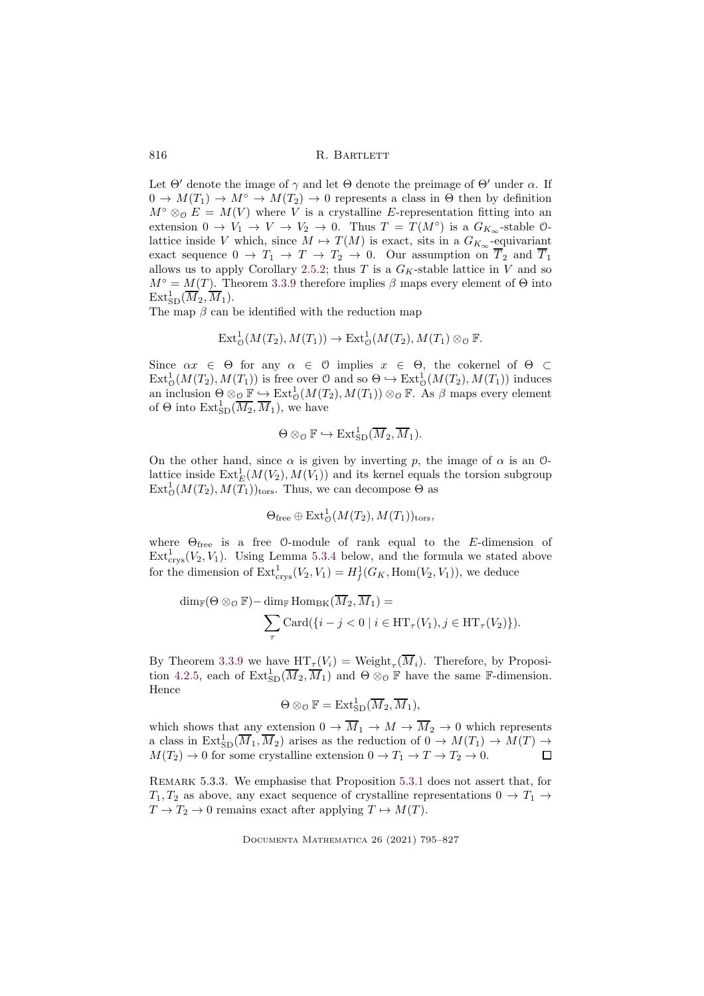Let  $\Theta'$  denote the image of  $\gamma$  and let  $\Theta$  denote the preimage of  $\Theta'$  under  $\alpha$ . If  $0 \to M(T_1) \to M^{\circ} \to M(T_2) \to 0$  represents a class in  $\Theta$  then by definition  $M^{\circ} \otimes_{\mathcal{O}} E = M(V)$  where V is a crystalline E-representation fitting into an extension  $0 \to V_1 \to V \to V_2 \to 0$ . Thus  $T = T(M^{\circ})$  is a  $G_{K_{\infty}}$ -stable 0lattice inside V which, since  $M \mapsto T(M)$  is exact, sits in a  $G_{K_{\infty}}$ -equivariant exact sequence  $0 \to T_1 \to T \to T_2 \to 0$ . Our assumption on  $\overline{T}_2$  and  $\overline{T}_1$ allows us to apply Corollary [2.5.2;](#page-9-3) thus  $T$  is a  $G_K$ -stable lattice in  $V$  and so  $M^{\circ} = M(T)$ . Theorem [3.3.9](#page-14-1) therefore implies  $\beta$  maps every element of  $\Theta$  into  $\mathrm{Ext}_{\mathrm{SD}}^{1}(\overline{M}_{2},\overline{M}_{1}).$ 

The map  $\beta$  can be identified with the reduction map

$$
Ext^1_{\mathcal{O}}(M(T_2), M(T_1)) \to Ext^1_{\mathcal{O}}(M(T_2), M(T_1) \otimes_{\mathcal{O}} \mathbb{F}.
$$

Since  $\alpha x \in \Theta$  for any  $\alpha \in \Theta$  implies  $x \in \Theta$ , the cokernel of  $\Theta \subset$  $Ext^1_{\mathcal{O}}(M(T_2), M(T_1))$  is free over  $\mathcal{O}$  and so  $\Theta \hookrightarrow Ext^1_{\mathcal{O}}(M(T_2), M(T_1))$  induces an inclusion  $\Theta \otimes_{\mathcal{O}} \mathbb{F} \hookrightarrow \text{Ext}^1_{\mathcal{O}}(M(T_2), M(T_1)) \otimes_{\mathcal{O}} \mathbb{F}$ . As  $\beta$  maps every element of  $\Theta$  into  $\text{Ext}_{\text{SD}}^1(\overline{M_2}, \overline{M}_1)$ , we have

$$
\Theta \otimes_{\mathcal{O}} \mathbb{F} \hookrightarrow \text{Ext}_{\text{SD}}^1(\overline{M}_2, \overline{M}_1).
$$

On the other hand, since  $\alpha$  is given by inverting p, the image of  $\alpha$  is an  $\alpha$ lattice inside  $\text{Ext}^1_E(M(V_2), M(V_1))$  and its kernel equals the torsion subgroup  $\text{Ext}^1_{\mathcal{O}}(M(T_2), M(T_1))_{\text{tors}}$ . Thus, we can decompose  $\Theta$  as

$$
\Theta_{\text{free}} \oplus \text{Ext}^1_{\mathcal{O}}(M(T_2), M(T_1))_{\text{tors}},
$$

where  $\Theta$ <sub>free</sub> is a free 0-module of rank equal to the E-dimension of  $\text{Ext}^1_{\text{crys}}(V_2, V_1)$ . Using Lemma [5.3.4](#page-22-1) below, and the formula we stated above for the dimension of  $\text{Ext}^1_{\text{crys}}(V_2, V_1) = H^1_f(G_K, \text{Hom}(V_2, V_1)),$  we deduce

$$
\dim_{\mathbb{F}}(\Theta \otimes_{\mathcal{O}} \mathbb{F}) - \dim_{\mathbb{F}} \text{Hom}_{BK}(\overline{M}_2, \overline{M}_1) = \sum_{\tau} \text{Card}(\{i - j < 0 \mid i \in \text{HT}_{\tau}(V_1), j \in \text{HT}_{\tau}(V_2)\}).
$$

By Theorem [3.3.9](#page-14-1) we have  $\mathop{\rm HT}\nolimits_{\tau}(V_i) = \mathop{\rm Weight}\nolimits_{\tau}(M_i)$ . Therefore, by Proposi-tion [4.2.5,](#page-17-2) each of  $\text{Ext}_{\text{SD}}^1(\overline{M}_2, \overline{M}_1)$  and  $\Theta \otimes_{\mathcal{O}} \mathbb{F}$  have the same  $\mathbb{F}\text{-dimension}$ . Hence

$$
\Theta \otimes_{\mathcal{O}} \mathbb{F} = \text{Ext}_{\text{SD}}^1(\overline{M}_2, \overline{M}_1),
$$

which shows that any extension  $0 \to \overline{M}_1 \to M \to \overline{M}_2 \to 0$  which represents a class in  $\text{Ext}_{\text{SD}}^1(\overline{M}_1, \overline{M}_2)$  arises as the reduction of  $0 \to M(T_1) \to M(T) \to$  $M(T_2) \to 0$  for some crystalline extension  $0 \to T_1 \to T \to T_2 \to 0$ .

Remark 5.3.3. We emphasise that Proposition [5.3.1](#page-20-1) does not assert that, for  $T_1, T_2$  as above, any exact sequence of crystalline representations  $0 \to T_1 \to$  $T \to T_2 \to 0$  remains exact after applying  $T \mapsto M(T)$ .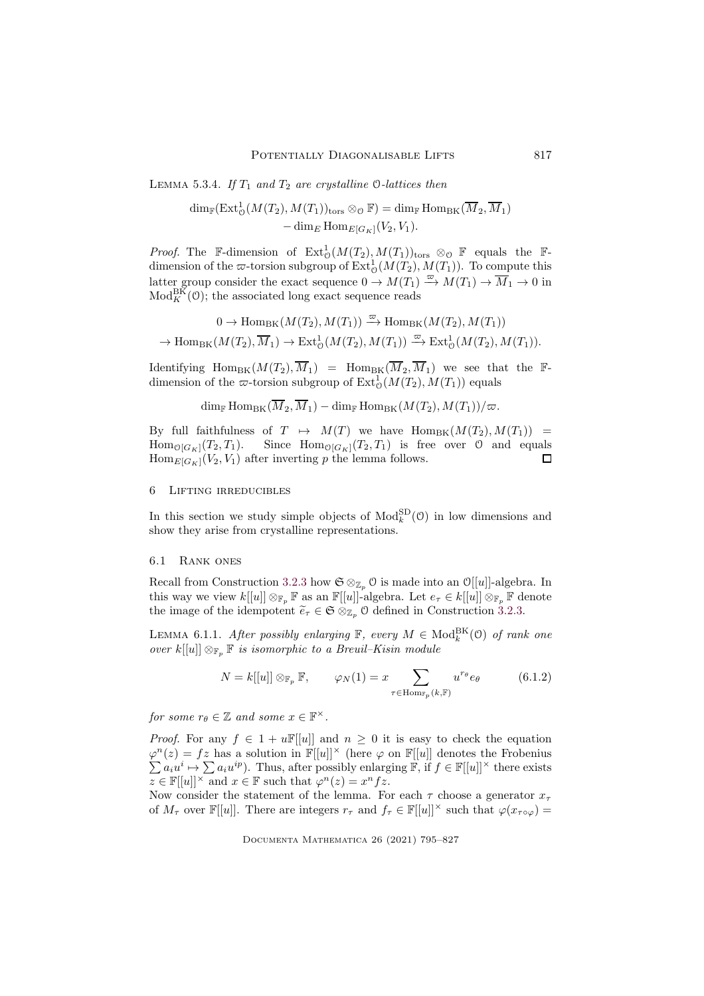<span id="page-22-1"></span>LEMMA 5.3.4. *If*  $T_1$  *and*  $T_2$  *are crystalline* 0-*lattices then* 

$$
\dim_{\mathbb{F}}(\operatorname{Ext}^1_{\mathcal{O}}(M(T_2), M(T_1))_{\text{tors}} \otimes_{\mathcal{O}} \mathbb{F}) = \dim_{\mathbb{F}} \operatorname{Hom}_{\operatorname{BK}}(\overline{M}_2, \overline{M}_1) - \dim_{\mathbb{E}} \operatorname{Hom}_{E[G_K]}(V_2, V_1).
$$

*Proof.* The F-dimension of  $Ext^1_{\mathcal{O}}(M(T_2), M(T_1))_{\text{tors}} \otimes_{\mathcal{O}} \mathbb{F}$  equals the Fdimension of the  $\varpi$ -torsion subgroup of  $\mathrm{Ext}^1_{\mathcal{O}}(M(T_2), M(T_1))$ . To compute this latter group consider the exact sequence  $0 \to M(T_1) \xrightarrow{\varpi} M(T_1) \to \overline{M}_1 \to 0$  in  $\text{Mod}_{K}^{\text{BK}}(\mathcal{O})$ ; the associated long exact sequence reads

$$
0 \to \text{Hom}_{\text{BK}}(M(T_2), M(T_1)) \xrightarrow{\varpi} \text{Hom}_{\text{BK}}(M(T_2), M(T_1))
$$
  

$$
\to \text{Hom}_{\text{BK}}(M(T_2), \overline{M}_1) \to \text{Ext}^1_{\mathcal{O}}(M(T_2), M(T_1)) \xrightarrow{\varpi} \text{Ext}^1_{\mathcal{O}}(M(T_2), M(T_1)).
$$

Identifying  $\text{Hom}_{BK}(M(T_2), \overline{M}_1) = \text{Hom}_{BK}(\overline{M}_2, \overline{M}_1)$  we see that the Fdimension of the  $\varpi$ -torsion subgroup of  $\mathrm{Ext}^1_0(M(T_2), M(T_1))$  equals

 $\dim_{\mathbb{F}} \text{Hom}_{\text{BK}}(\overline{M}_2, \overline{M}_1) - \dim_{\mathbb{F}} \text{Hom}_{\text{BK}}(M(T_2), M(T_1))/\varpi.$ 

By full faithfulness of  $T \mapsto M(T)$  we have  $\text{Hom}_{BK}(M(T_2), M(T_1)) =$ Hom<sub> $\mathcal{O}[G_K](T_2, T_1)$ .</sub> Since  $\text{Hom}_{\mathcal{O}[G_K]}(T_2, T_1)$  is free over  $\mathcal O$  and equals  $\text{Hom}_{E[G_K]}(V_2, V_1)$  after inverting p the lemma follows.  $\text{Hom}_{E[G_K]}(V_2, V_1)$  after inverting p the lemma follows.

# <span id="page-22-0"></span>6 Lifting irreducibles

In this section we study simple objects of  $\text{Mod}_{k}^{\text{SD}}(0)$  in low dimensions and show they arise from crystalline representations.

#### 6.1 Rank ones

Recall from Construction [3.2.3](#page-11-1) how  $\mathfrak{S} \otimes_{\mathbb{Z}_p} \mathfrak{O}$  is made into an  $\mathfrak{O}[[u]]$ -algebra. In this way we view  $k[[u]] \otimes_{\mathbb{F}_p} \mathbb{F}$  as an  $\mathbb{F}[[u]]$ -algebra. Let  $e_{\tau} \in k[[u]] \otimes_{\mathbb{F}_p} \mathbb{F}$  denote the image of the idempotent  $\widetilde{e}_{\tau} \in \mathfrak{S} \otimes_{\mathbb{Z}_p} \mathfrak{O}$  defined in Construction [3.2.3.](#page-11-1)

LEMMA 6.1.1. *After possibly enlarging*  $\mathbb{F}$ *, every*  $M \in \text{Mod}_k^{\text{BK}}(\mathcal{O})$  *of rank one over*  $k[[u]] \otimes_{\mathbb{F}_n} \mathbb{F}$  *is isomorphic to a Breuil–Kisin module* 

<span id="page-22-2"></span>
$$
N = k[[u]] \otimes_{\mathbb{F}_p} \mathbb{F}, \qquad \varphi_N(1) = x \sum_{\tau \in \text{Hom}_{\mathbb{F}_p}(k, \mathbb{F})} u^{r_{\theta}} e_{\theta} \tag{6.1.2}
$$

*for some*  $r_{\theta} \in \mathbb{Z}$  *and some*  $x \in \mathbb{F}^{\times}$ *.* 

*Proof.* For any  $f \in 1 + u\mathbb{F}[u]$  and  $n \geq 0$  it is easy to check the equation  $\varphi^{n}(z) = fz$  has a solution in  $\mathbb{F}[[u]]^{\times}$  (here  $\varphi$  on  $\mathbb{F}[[u]]$  denotes the Frobenius  $\sum a_i u^i \mapsto \sum a_i u^{ip}$ . Thus, after possibly enlarging  $\mathbb{F}$ , if  $f \in \mathbb{F}[[u]]^{\times}$  there exists  $z \in \mathbb{F}[[u]]^{\times}$  and  $x \in \mathbb{F}$  such that  $\varphi^{n}(z) = x^{n} f z$ .

Now consider the statement of the lemma. For each  $\tau$  choose a generator  $x_{\tau}$ of  $M_{\tau}$  over  $\mathbb{F}[[u]]$ . There are integers  $r_{\tau}$  and  $f_{\tau} \in \mathbb{F}[[u]]^{\times}$  such that  $\varphi(x_{\tau \circ \varphi}) =$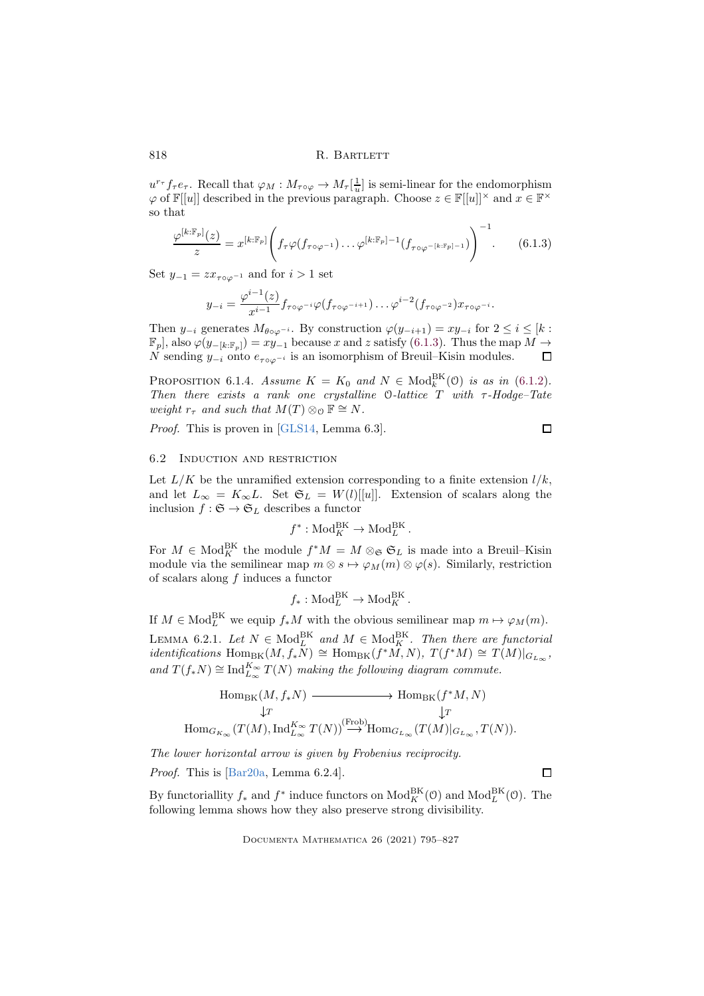$u^{r_{\tau}} f_{\tau} e_{\tau}$ . Recall that  $\varphi_M : M_{\tau \circ \varphi} \to M_{\tau}[\frac{1}{u}]$  is semi-linear for the endomorphism  $\varphi$  of  $\mathbb{F}[[u]]$  described in the previous paragraph. Choose  $z \in \mathbb{F}[[u]]^{\times}$  and  $x \in \mathbb{F}^{\times}$ so that

<span id="page-23-0"></span>
$$
\frac{\varphi^{[k:\mathbb{F}_p]}(z)}{z} = x^{[k:\mathbb{F}_p]} \left( f_\tau \varphi(f_{\tau \circ \varphi^{-1}}) \dots \varphi^{[k:\mathbb{F}_p]-1} (f_{\tau \circ \varphi^{-[k:\mathbb{F}_p]-1}}) \right)^{-1}.
$$
 (6.1.3)

Set  $y_{-1} = zx_{\tau \circ \varphi^{-1}}$  and for  $i > 1$  set

$$
y_{-i} = \frac{\varphi^{i-1}(z)}{x^{i-1}} f_{\tau \circ \varphi^{-i}} \varphi(f_{\tau \circ \varphi^{-i+1}}) \dots \varphi^{i-2}(f_{\tau \circ \varphi^{-2}}) x_{\tau \circ \varphi^{-i}}.
$$

Then  $y_{-i}$  generates  $M_{\theta \circ \varphi^{-i}}$ . By construction  $\varphi(y_{-i+1}) = xy_{-i}$  for  $2 \le i \le [k :$  $\mathbb{F}_p$ , also  $\varphi(y_{-[k:\mathbb{F}_p]}) = xy_{-1}$  because x and z satisfy [\(6.1.3\)](#page-23-0). Thus the map  $M \to$ N sending  $y_{-i}$  onto  $e_{\tau \circ \varphi^{-i}}$  is an isomorphism of Breuil–Kisin modules.  $\Box$ 

<span id="page-23-3"></span>PROPOSITION 6.1.4. *Assume*  $K = K_0$  and  $N \in \text{Mod}_k^{\text{BK}}(0)$  *is as in* [\(6.1.2\)](#page-22-2)*. Then there exists a rank one crystalline* O*-lattice* T *with* τ*-Hodge–Tate weight*  $r_{\tau}$  *and such that*  $M(T) \otimes_{\Omega} \mathbb{F} \cong N$ *.* 

*Proof.* This is proven in [\[GLS14,](#page-31-1) Lemma 6.3].

 $\Box$ 

 $\Box$ 

# <span id="page-23-1"></span>6.2 Induction and restriction

Let  $L/K$  be the unramified extension corresponding to a finite extension  $l/k$ , and let  $L_{\infty} = K_{\infty}L$ . Set  $\mathfrak{S}_L = W(l)[[u]]$ . Extension of scalars along the inclusion  $f : \mathfrak{S} \to \mathfrak{S}_L$  describes a functor

$$
f^* : \text{Mod}_K^{\text{BK}} \to \text{Mod}_L^{\text{BK}}.
$$

For  $M \in Mod_K^{\text{BK}}$  the module  $f^*M = M \otimes_{\mathfrak{S}} \mathfrak{S}_L$  is made into a Breuil–Kisin module via the semilinear map  $m \otimes s \mapsto \varphi_M(m) \otimes \varphi(s)$ . Similarly, restriction of scalars along f induces a functor

$$
f_*: Mod_L^{BK} \to Mod_K^{BK}.
$$

<span id="page-23-2"></span>If  $M \in Mod_L^{\text{BK}}$  we equip  $f_*M$  with the obvious semilinear map  $m \mapsto \varphi_M(m)$ . LEMMA 6.2.1. *Let*  $N \in Mod_L^{BK}$  and  $M \in Mod_K^{BK}$ . *Then there are functorial*  $identity$ *identifications* Hom<sub>BK</sub> $(M, f_*\tilde{N}) \cong \text{Hom}_{BK}(f^*\tilde{M}, N), T(f^*M) \cong T(M)|_{G_{L_\infty}},$ and  $T(f_*N)$  ≅ Ind $_{L_{\infty}}^{K_{\infty}} T(N)$  *making the following diagram commute.* 

$$
\begin{array}{ccc}\n\text{Hom}_{\text{BK}}(M, f_{*}N) & \xrightarrow{\hspace{15mm}} \text{Hom}_{\text{BK}}(f^{*}M, N) \\
\downarrow T & \qquad \qquad \downarrow T & \qquad \qquad \downarrow T \\
\text{Hom}_{G_{K_{\infty}}}(T(M), \text{Ind}_{L_{\infty}}^{K_{\infty}} T(N)) & \xrightarrow{\hspace{15mm}} \text{Hom}_{G_{L_{\infty}}}(T(M)|_{G_{L_{\infty}}}, T(N)).\n\end{array}
$$

*The lower horizontal arrow is given by Frobenius reciprocity.*

*Proof.* This is [\[Bar20a,](#page-30-3) Lemma 6.2.4].

By functoriallity  $f_*$  and  $f^*$  induce functors on  $\text{Mod}_K^{\text{BK}}(\mathcal{O})$  and  $\text{Mod}_L^{\text{BK}}(\mathcal{O})$ . The following lemma shows how they also preserve strong divisibility.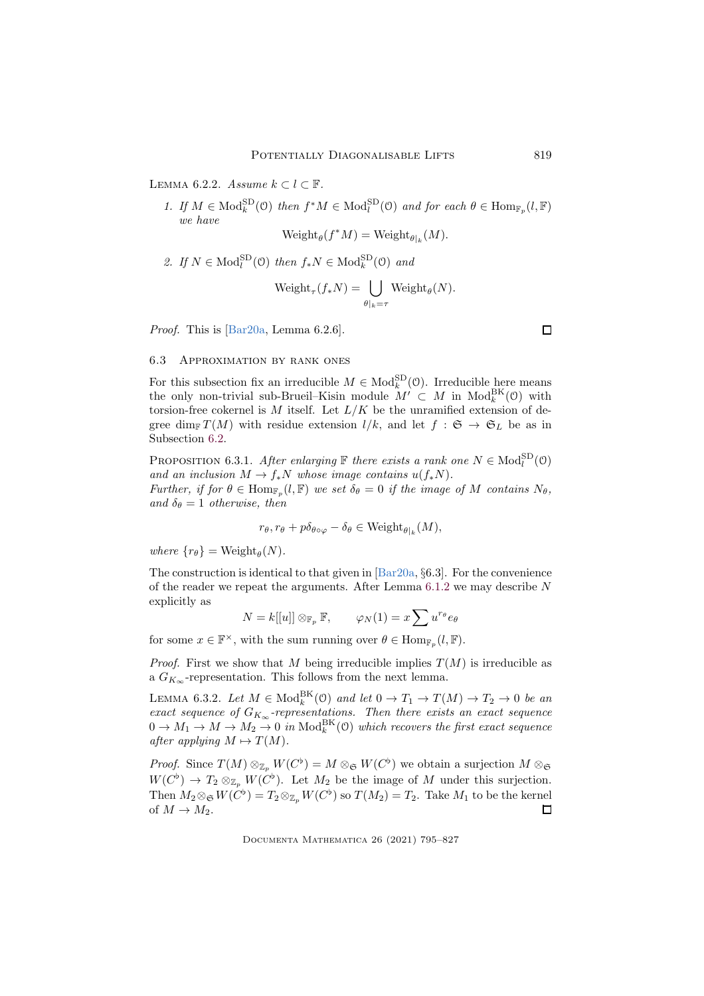<span id="page-24-1"></span>LEMMA 6.2.2. *Assume*  $k \subset l \subset \mathbb{F}$ .

1. If  $M \in \text{Mod}_k^{\text{SD}}(\mathcal{O})$  then  $f^*M \in \text{Mod}_l^{\text{SD}}(\mathcal{O})$  and for each  $\theta \in \text{Hom}_{\mathbb{F}_p}(l, \mathbb{F})$ *we have*  $Weight_{\theta}(f^*M) = Weight_{\theta|_k}(M).$ 

2. If  $N \in Mod_l^{\text{SD}}(\mathfrak{O})$  then  $f_*N \in Mod_k^{\text{SD}}(\mathfrak{O})$  and

$$
Weight_{\tau}(f_*N) = \bigcup_{\theta|_k = \tau} Weight_{\theta}(N).
$$

*Proof.* This is [\[Bar20a,](#page-30-3) Lemma 6.2.6].

# 6.3 Approximation by rank ones

For this subsection fix an irreducible  $M \in Mod_k^{\text{SD}}(\mathcal{O})$ . Irreducible here means the only non-trivial sub-Brueil–Kisin module  $M' \subset M$  in  $Mod_k^{BK}(0)$  with torsion-free cokernel is M itself. Let  $L/K$  be the unramified extension of degree dim<sub>F</sub>  $T(M)$  with residue extension  $l/k$ , and let  $f : \mathfrak{S} \to \mathfrak{S}_L$  be as in Subsection [6.2.](#page-23-1)

<span id="page-24-2"></span>PROPOSITION 6.3.1. *After enlarging*  $\mathbb{F}$  *there exists a rank one*  $N \in \text{Mod}_{l}^{\text{SD}}(0)$ *and an inclusion*  $M \to f_*N$  *whose image contains*  $u(f_*N)$ .

*Further, if for*  $\theta \in \text{Hom}_{\mathbb{F}_p}(l, \mathbb{F})$  *we set*  $\delta_{\theta} = 0$  *if the image of* M *contains*  $N_{\theta}$ *,*  $and \delta_{\theta} = 1$  *otherwise, then* 

$$
r_{\theta}, r_{\theta} + p\delta_{\theta \circ \varphi} - \delta_{\theta} \in Weight_{\theta|_k}(M),
$$

 $where \{r_{\theta}\} = \text{Weight}_{\theta}(N).$ 

The construction is identical to that given in [\[Bar20a,](#page-30-3) §6.3]. For the convenience of the reader we repeat the arguments. After Lemma  $6.1.2$  we may describe N explicitly as

$$
N = k[[u]] \otimes_{\mathbb{F}_p} \mathbb{F}, \qquad \varphi_N(1) = x \sum u^{r_\theta} e_\theta
$$

for some  $x \in \mathbb{F}^{\times}$ , with the sum running over  $\theta \in \text{Hom}_{\mathbb{F}_p}(l, \mathbb{F})$ .

*Proof.* First we show that M being irreducible implies  $T(M)$  is irreducible as a  $G_{K_{\infty}}$ -representation. This follows from the next lemma.

<span id="page-24-0"></span>LEMMA 6.3.2. Let  $M \in Mod_k^{\text{BK}}(\mathfrak{O})$  and let  $0 \to T_1 \to T(M) \to T_2 \to 0$  be an  $\emph{exact}$  sequence of  $G_{K_{\infty}}$ -representations. Then there exists an exact sequence  $0 \to M_1 \to M \to M_2 \to 0$  in  $\text{Mod}_k^{\text{BK}}(0)$  which recovers the first exact sequence *after applying*  $M \mapsto T(M)$ *.* 

*Proof.* Since  $T(M) \otimes_{\mathbb{Z}_p} W(C^{\flat}) = M \otimes_{\mathfrak{S}} W(C^{\flat})$  we obtain a surjection  $M \otimes_{\mathfrak{S}}$  $W(C^{\flat}) \to T_2 \otimes_{\mathbb{Z}_p} W(C^{\flat})$ . Let  $M_2$  be the image of M under this surjection. Then  $M_2 \otimes_{\mathfrak{S}} W(C^{\flat}) = T_2 \otimes_{\mathbb{Z}_p} W(C^{\flat})$  so  $T(M_2) = T_2$ . Take  $M_1$  to be the kernel of  $M \to M_2$ .  $\Box$ 

Documenta Mathematica 26 (2021) 795–827

 $\Box$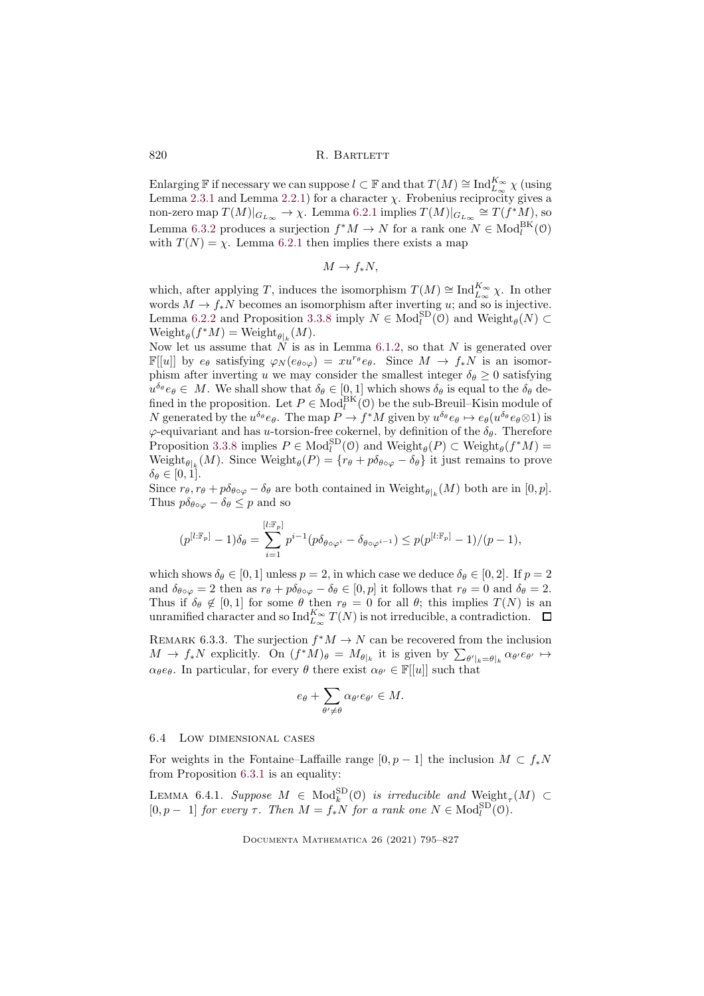Enlarging F if necessary we can suppose  $l \subset \mathbb{F}$  and that  $T(M) \cong \text{Ind}_{L_{\infty}}^{K_{\infty}} \chi$  (using Lemma [2.3.1](#page-5-2) and Lemma [2.2.1\)](#page-5-1) for a character  $\chi$ . Frobenius reciprocity gives a non-zero map  $T(M)|_{G_{L_\infty}} \to \chi$ . Lemma [6.2.1](#page-23-2) implies  $T(M)|_{G_{L_\infty}} \cong T(f^*M)$ , so Lemma [6.3.2](#page-24-0) produces a surjection  $f^*M \to N$  for a rank one  $N \in Mod_l^{\text{BK}}(\mathcal{O})$ with  $T(N) = \chi$ . Lemma [6.2.1](#page-23-2) then implies there exists a map

$$
M \to f_*N,
$$

which, after applying T, induces the isomorphism  $T(M) \cong \text{Ind}_{L_{\infty}}^{K_{\infty}} \chi$ . In other words  $M \to f_*N$  becomes an isomorphism after inverting u; and so is injective. Lemma [6.2.2](#page-24-1) and Proposition [3.3.8](#page-13-1) imply  $N \in Mod_l^{\text{SD}}(\mathfrak{O})$  and  $\text{Weight}_{\theta}(N) \subset$  $Weight_{\theta}(f^*M) = Weight_{\theta|_k}(M).$ 

Now let us assume that  $N$  is as in Lemma [6.1.2,](#page-22-2) so that N is generated over  $\mathbb{F}[u]$  by  $e_{\theta}$  satisfying  $\varphi_N(e_{\theta \circ \varphi}) = xu^{r_{\theta}}e_{\theta}$ . Since  $M \to f_*N$  is an isomorphism after inverting u we may consider the smallest integer  $\delta_{\theta} \geq 0$  satisfying  $u^{\delta_{\theta}}e_{\theta} \in M$ . We shall show that  $\delta_{\theta} \in [0,1]$  which shows  $\delta_{\theta}$  is equal to the  $\delta_{\theta}$  defined in the proposition. Let  $P \in Mod_l^{BK}(\mathcal{O})$  be the sub-Breuil–Kisin module of N generated by the  $u^{\delta_{\theta}}e_{\theta}$ . The map  $P \to f^*M$  given by  $u^{\delta_{\theta}}e_{\theta} \mapsto e_{\theta}(u^{\delta_{\theta}}e_{\theta} \otimes 1)$  is  $\varphi$ -equivariant and has *u*-torsion-free cokernel, by definition of the  $\delta_{\theta}$ . Therefore Proposition [3.3.8](#page-13-1) implies  $P \in Mod_l^{\text{SD}}(\mathcal{O})$  and  $Weight_{\theta}(P) \subset Weight_{\theta}(f^*M)$ Weight<sub> $\theta|_k(M)$ </sub>. Since Weight $_{\theta}(P) = \{r_{\theta} + p\delta_{\theta \circ \varphi} - \delta_{\theta}\}\$ it just remains to prove  $\delta_{\theta} \in [0, 1].$ 

Since  $r_{\theta}, r_{\theta} + p \delta_{\theta \circ \varphi} - \delta_{\theta}$  are both contained in Weight $_{\theta|_k}(M)$  both are in  $[0, p]$ . Thus  $p\delta_{\theta \circ \varphi} - \delta_{\theta} \leq p$  and so

$$
(p^{[l:\mathbb{F}_p]}-1)\delta_{\theta}=\sum_{i=1}^{[l:\mathbb{F}_p]}p^{i-1}(p\delta_{\theta\circ\varphi^i}-\delta_{\theta\circ\varphi^{i-1}})\leq p(p^{[l:\mathbb{F}_p]}-1)/(p-1),
$$

which shows  $\delta_{\theta} \in [0, 1]$  unless  $p = 2$ , in which case we deduce  $\delta_{\theta} \in [0, 2]$ . If  $p = 2$ and  $\delta_{\theta \circ \varphi} = 2$  then as  $r_{\theta} + p \delta_{\theta \circ \varphi} - \delta_{\theta} \in [0, p]$  it follows that  $r_{\theta} = 0$  and  $\delta_{\theta} = 2$ . Thus if  $\delta_{\theta} \notin [0,1]$  for some  $\theta$  then  $r_{\theta} = 0$  for all  $\theta$ ; this implies  $T(N)$  is an unramified character and so  $\mathrm{Ind}_{L_{\infty}}^{K_{\infty}}T(N)$  is not irreducible, a contradiction.

<span id="page-25-0"></span>REMARK 6.3.3. The surjection  $f^*M \to N$  can be recovered from the inclusion  $M \to f_*N$  explicitly. On  $(f^*M)_{\theta} = M_{\theta|_k}$  it is given by  $\sum_{\theta'|_k = \theta|_k} \alpha_{\theta'} e_{\theta'} \mapsto$  $\alpha_{\theta}e_{\theta}$ . In particular, for every  $\theta$  there exist  $\alpha_{\theta'} \in \mathbb{F}[[u]]$  such that

$$
e_\theta + \sum_{\theta' \neq \theta} \alpha_{\theta'} e_{\theta'} \in M.
$$

# 6.4 Low dimensional cases

For weights in the Fontaine–Laffaille range  $[0, p - 1]$  the inclusion  $M \subset f_*N$ from Proposition [6.3.1](#page-24-2) is an equality:

<span id="page-25-1"></span>LEMMA 6.4.1. *Suppose*  $M \in Mod_k^{\text{SD}}(\mathfrak{O})$  *is irreducible and*  $W\text{eight}_\tau(M) \subset$  $[0, p - 1]$  *for every*  $\tau$ *. Then*  $M = f_*N$  *for a rank one*  $N \in Mod_l^{SD}(\mathcal{O})$ *.*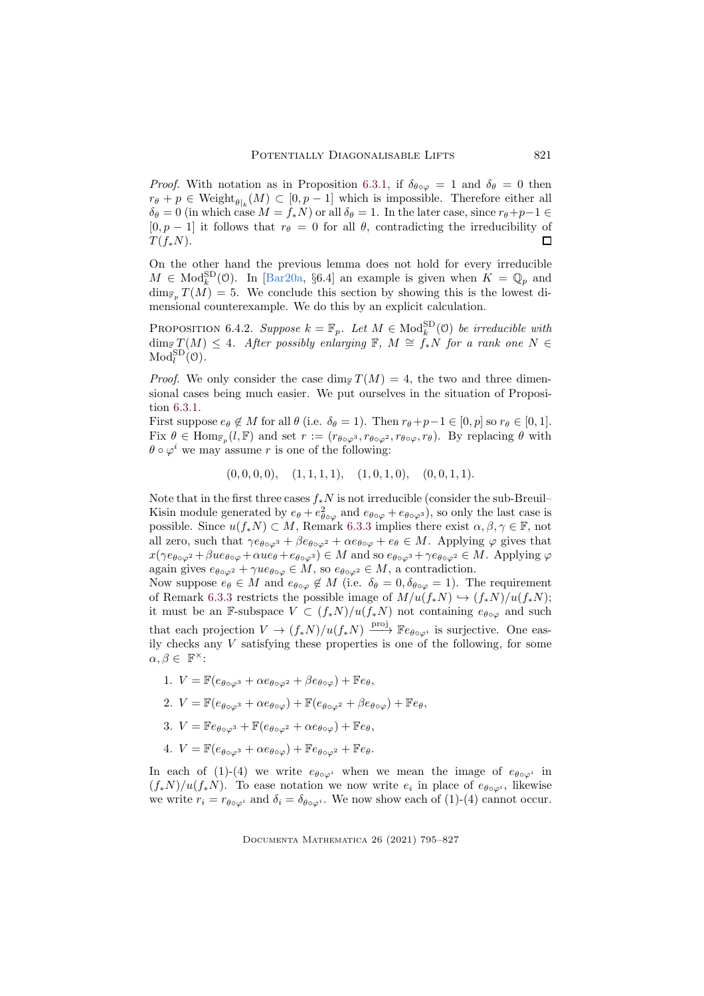*Proof.* With notation as in Proposition [6.3.1,](#page-24-2) if  $\delta_{\theta \circ \varphi} = 1$  and  $\delta_{\theta} = 0$  then  $r_{\theta} + p \in \text{Weight}_{\theta|_k}(M) \subset [0, p-1]$  which is impossible. Therefore either all  $\delta_{\theta} = 0$  (in which case  $M = f_*N$ ) or all  $\delta_{\theta} = 1$ . In the later case, since  $r_{\theta}+p-1 \in$  $[0, p - 1]$  it follows that  $r_{\theta} = 0$  for all  $\theta$ , contradicting the irreducibility of  $\Box$  $T(f_*N)$ .

On the other hand the previous lemma does not hold for every irreducible  $M \in Mod_k^{\text{SD}}(0)$ . In [\[Bar20a,](#page-30-3) §6.4] an example is given when  $K = \mathbb{Q}_p$  and  $\dim_{\mathbb{F}_p} T(M) = 5$ . We conclude this section by showing this is the lowest dimensional counterexample. We do this by an explicit calculation.

<span id="page-26-0"></span>PROPOSITION 6.4.2. *Suppose*  $k = \mathbb{F}_p$ . Let  $M \in \text{Mod}_k^{\text{SD}}(\mathbb{O})$  *be irreducible with*  $\dim_{\mathbb{F}} T(M) \leq 4$ *. After possibly enlarging* **F***, M*  $\cong f_*N$  *for a rank one*  $N \in$  $\mathrm{Mod}^{\mathrm{SD}}_l(\mathfrak{O})$ .

*Proof.* We only consider the case  $\dim_{\mathbb{F}} T(M) = 4$ , the two and three dimensional cases being much easier. We put ourselves in the situation of Proposition [6.3.1.](#page-24-2)

First suppose  $e_{\theta} \notin M$  for all  $\theta$  (i.e.  $\delta_{\theta} = 1$ ). Then  $r_{\theta} + p - 1 \in [0, p]$  so  $r_{\theta} \in [0, 1]$ . Fix  $\theta \in \text{Hom}_{\mathbb{F}_p}(l,\mathbb{F})$  and set  $r := (r_{\theta \circ \varphi^3}, r_{\theta \circ \varphi^2}, r_{\theta \circ \varphi}, r_{\theta})$ . By replacing  $\theta$  with  $\theta \circ \varphi^i$  we may assume r is one of the following:

 $(0, 0, 0, 0), (1, 1, 1, 1), (1, 0, 1, 0), (0, 0, 1, 1).$ 

Note that in the first three cases  $f_*N$  is not irreducible (consider the sub-Breuil– Kisin module generated by  $e_{\theta} + e_{\theta \circ \varphi}^2$  and  $e_{\theta \circ \varphi} + e_{\theta \circ \varphi^3}$ , so only the last case is possible. Since  $u(f_*N) \subset M$ , Remark [6.3.3](#page-25-0) implies there exist  $\alpha, \beta, \gamma \in \mathbb{F}$ , not all zero, such that  $\gamma e_{\theta \circ \varphi^3} + \beta e_{\theta \circ \varphi^2} + \alpha e_{\theta \circ \varphi} + e_{\theta} \in M$ . Applying  $\varphi$  gives that  $x(\gamma e_{\theta \circ \varphi^2} + \beta u e_{\theta \circ \varphi} + \alpha u e_{\theta} + e_{\theta \circ \varphi^3}) \in M$  and so  $e_{\theta \circ \varphi^3} + \gamma e_{\theta \circ \varphi^2} \in M$ . Applying  $\varphi$ again gives  $e_{\theta \circ \varphi^2} + \gamma u e_{\theta \circ \varphi} \in M$ , so  $e_{\theta \circ \varphi^2} \in M$ , a contradiction.

Now suppose  $e_{\theta} \in M$  and  $e_{\theta \circ \varphi} \notin M$  (i.e.  $\delta_{\theta} = 0, \delta_{\theta \circ \varphi} = 1$ ). The requirement of Remark [6.3.3](#page-25-0) restricts the possible image of  $M/u(f*N) \hookrightarrow (f*N)/u(f*N);$ it must be an F-subspace  $V \subset (f_*N)/u(f_*N)$  not containing  $e_{\theta \circ \varphi}$  and such that each projection  $V \to (f_*N)/u(f_*N) \xrightarrow{\text{proj}} \mathbb{F}e_{\theta \circ \varphi^i}$  is surjective. One easily checks any  $V$  satisfying these properties is one of the following, for some  $\alpha, \beta \in \mathbb{F}^{\times}$ :

- 1.  $V = \mathbb{F}(e_{\theta \circ \varphi^3} + \alpha e_{\theta \circ \varphi^2} + \beta e_{\theta \circ \varphi}) + \mathbb{F}e_{\theta}$
- 2.  $V = \mathbb{F}(e_{\theta \circ \varphi^3} + \alpha e_{\theta \circ \varphi}) + \mathbb{F}(e_{\theta \circ \varphi^2} + \beta e_{\theta \circ \varphi}) + \mathbb{F}e_{\theta}$
- 3.  $V = \mathbb{F}e_{\theta \circ \varphi^3} + \mathbb{F}(e_{\theta \circ \varphi^2} + \alpha e_{\theta \circ \varphi}) + \mathbb{F}e_{\theta}$
- 4.  $V = \mathbb{F}(e_{\theta \circ \varphi^3} + \alpha e_{\theta \circ \varphi}) + \mathbb{F}e_{\theta \circ \varphi^2} + \mathbb{F}e_{\theta}.$

In each of (1)-(4) we write  $e_{\theta \circ \varphi^i}$  when we mean the image of  $e_{\theta \circ \varphi^i}$  in  $(f_*N)/u(f_*N)$ . To ease notation we now write  $e_i$  in place of  $e_{\theta \circ \varphi^i}$ , likewise we write  $r_i = r_{\theta \circ \varphi^i}$  and  $\delta_i = \delta_{\theta \circ \varphi^i}$ . We now show each of (1)-(4) cannot occur.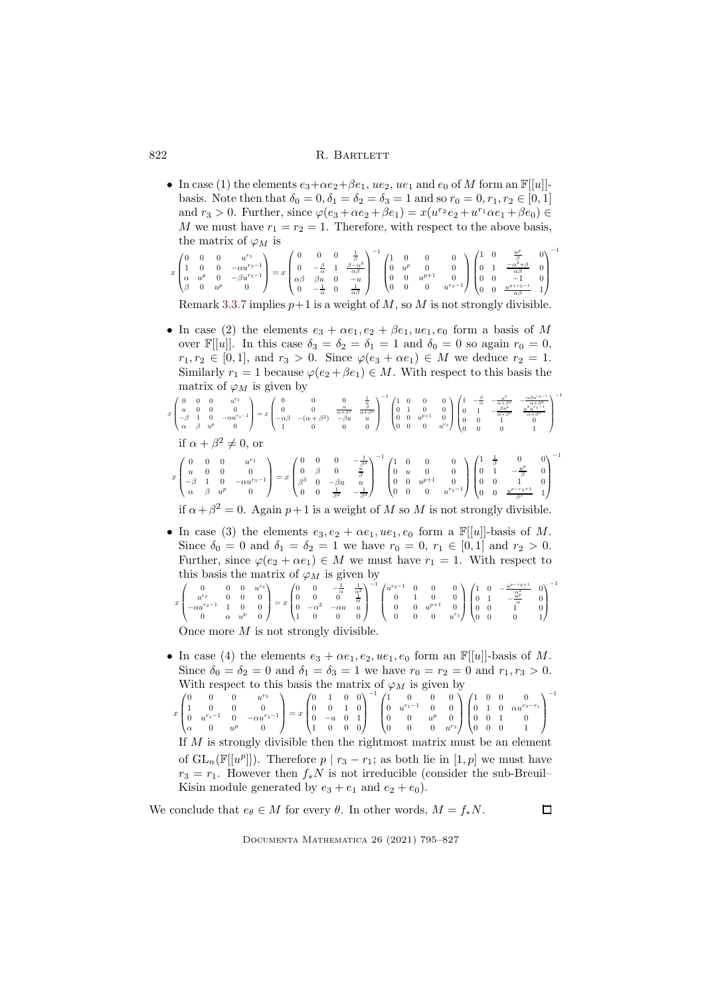• In case (1) the elements  $e_3 + \alpha e_2 + \beta e_1$ ,  $u e_2$ ,  $u e_1$  and  $e_0$  of M form an  $\mathbb{F}[[u]]$ basis. Note then that  $\delta_0 = 0, \delta_1 = \delta_2 = \delta_3 = 1$  and so  $r_0 = 0, r_1, r_2 \in [0, 1]$ and  $r_3 > 0$ . Further, since  $\varphi(e_3 + \alpha e_2 + \beta e_1) = x(u^{r_2}e_2 + u^{r_1}\alpha e_1 + \beta e_0) \in$ M we must have  $r_1 = r_2 = 1$ . Therefore, with respect to the above basis, the matrix of  $\varphi_M$  is

| $x\begin{pmatrix} 0 & 0 & 0 & u^{r_3} \\ 1 & 0 & 0 & -\alpha u^{r_3-1} \\ \alpha & u^p & 0 & -\beta u^{r_3-1} \\ \beta & 0 & u^p & 0 \end{pmatrix} = x\begin{pmatrix} 0 & 0 & 0 & \frac{1}{\beta} \\ 0 & -\frac{\beta}{\alpha} & 1 & \frac{\beta-\alpha^2}{\alpha\beta} \\ \alpha\beta & \beta u & 0 & -u \\ 0 & -\frac{1}{\alpha} & 0 & \frac{1}{\alpha\beta} \end{pmatrix}^{-1}\begin{pmatrix} 1 & 0 & 0 & 0 \\ 0 & u^p & 0 & 0$ |  |  |  |
|------------------------------------------------------------------------------------------------------------------------------------------------------------------------------------------------------------------------------------------------------------------------------------------------------------------------------------------------------------------------------------------------------------------------------------|--|--|--|
|------------------------------------------------------------------------------------------------------------------------------------------------------------------------------------------------------------------------------------------------------------------------------------------------------------------------------------------------------------------------------------------------------------------------------------|--|--|--|

Remark [3.3.7](#page-13-2) implies  $p+1$  is a weight of M, so M is not strongly divisible.

• In case (2) the elements  $e_3 + \alpha e_1, e_2 + \beta e_1, u e_1, e_0$  form a basis of M over  $\mathbb{F}[[u]]$ . In this case  $\delta_3 = \delta_2 = \delta_1 = 1$  and  $\delta_0 = 0$  so again  $r_0 = 0$ ,  $r_1, r_2 \in [0, 1],$  and  $r_3 > 0$ . Since  $\varphi(e_3 + \alpha e_1) \in M$  we deduce  $r_2 = 1$ . Similarly  $r_1 = 1$  because  $\varphi(e_2 + \beta e_1) \in M$ . With respect to this basis the matrix of  $\varphi_M$  is given by

$$
x\begin{pmatrix} 0 & 0 & 0 & u^{rs} \\ u & 0 & 0 & 0 \\ -\beta & 1 & 0 & -\alpha u^{rs-1} \\ \alpha & \beta & u^{p} & 0 \end{pmatrix} = x\begin{pmatrix} 0 & 0 & 0 & \frac{1}{\alpha} \\ 0 & 0 & \frac{\alpha}{\alpha+\beta^{2}} \\ -\alpha\beta & -(\alpha+\beta^{2}) & -\beta u & u \\ 1 & 0 & 0 & 0 \end{pmatrix}^{-1}\begin{pmatrix} 1 & 0 & 0 & 0 \\ 0 & 1 & 0 & 0 \\ 0 & 0 & u^{p+1} & 0 \\ 0 & 0 & 0 & u^{rs} \end{pmatrix}\begin{pmatrix} 1 & -\frac{\beta}{\alpha} & -\frac{u^{p}}{\alpha+\beta^{2}} & -\frac{\alpha^{2}u^{2}-1}{\alpha+\beta^{2}} \\ 0 & 1 & -\frac{\beta u^{p}}{\alpha+\beta^{2}} & \frac{u^{2}u^{2}-1}{\alpha^{2}u^{2}-1} \\ 0 & 0 & 0 & 1 \end{pmatrix}^{-1}
$$
  
\n
$$
\text{if } \alpha + \beta^{2} \neq 0, \text{ or}
$$

$$
x\begin{pmatrix} 0 & 0 & 0 & u^{rs} \\ u & 0 & 0 & 0 \\ -\beta & 1 & 0 & -\alpha u^{rs-1} \\ \alpha & \beta & u^{p} & 0 \end{pmatrix} = x\begin{pmatrix} 0 & 0 & 0 & -\frac{1}{\beta^{2}} \\ \beta^{3} & 0 & -\beta u & u \\ 0 & 0 & \frac{1}{\beta^{2}} & -\frac{1}{\beta^{3}} \end{pmatrix}^{-1}\begin{pmatrix} 1 & 0 & 0 & 0 \\ 0 & u & 0 & 0 \\ 0 & 0 & u^{p+1} & 0 \\ 0 & 0 & 0 & u^{rs-1} \end{pmatrix}\begin{pmatrix} 1 & \frac{1}{\beta} & 0 & 0 \\ 0 & 1 & -\frac{u^{p}}{\beta} & 0 \\ 0 & 0 & 1 & 0 \\ 0 & 0 & 1 & 0 \end{pmatrix}^{-1}
$$

if  $\alpha + \beta^2 = 0$ . Again  $p+1$  is a weight of M so M is not strongly divisible.

• In case (3) the elements  $e_3, e_2 + \alpha e_1, u e_1, e_0$  form a  $\mathbb{F}[[u]]$ -basis of M. Since  $\delta_0 = 0$  and  $\delta_1 = \delta_2 = 1$  we have  $r_0 = 0, r_1 \in [0, 1]$  and  $r_2 > 0$ . Further, since  $\varphi(e_2 + \alpha e_1) \in M$  we must have  $r_1 = 1$ . With respect to this basis the matrix of  $\varphi_M$  is given by

$$
x\begin{pmatrix}0&0&0&u^{r_3}\\u^{r_2}&0&0&0\\-\alpha u^{r_2-1}&1&0&0\\0&\alpha&u^p&0\end{pmatrix}=x\begin{pmatrix}0&0&-\frac{1}{\alpha}&\frac{1}{\alpha^2}\\0&0&0&\frac{1}{\alpha}\\1&0&0&0\end{pmatrix}^{-1}\begin{pmatrix}u^{r_2-1}&0&0&0\\0&1&0&0\\0&0&u^{p+1}&0\\0&0&0&u^{r_3}\end{pmatrix}\begin{pmatrix}1&0&-\frac{u^{p-r_2+1}}{\alpha^2}&0\\0&1&-\frac{u^p}{\alpha^2}&0\\0&0&0&1\\0&0&0&0&1\end{pmatrix}^{-1}
$$

Once more M is not strongly divisible.

• In case (4) the elements  $e_3 + \alpha e_1, e_2, ue_1, e_0$  form an  $\mathbb{F}[[u]]$ -basis of M. Since  $\delta_0 = \delta_2 = 0$  and  $\delta_1 = \delta_3 = 1$  we have  $r_0 = r_2 = 0$  and  $r_1, r_3 > 0$ . With respect to this basis the matrix of  $\varphi_M$  is given by  $\boldsymbol{x}$  $\sqrt{ }$  $\overline{\phantom{a}}$ 0 0  $u^{r_3}$ 1 0 0 0 0  $u^{r_1-1}$  0  $-\alpha u^{r_3-1}$  $\alpha$  0  $u^p$  0  $\setminus$  $\Big\} = x$  $\sqrt{ }$  $\overline{\phantom{a}}$ 0 1 0 0 0 0 1 0 0 −a 0 1 1 0 0 0  $\setminus$  $\Big\}$  $^{-1}$  (  $\overline{\phantom{a}}$ 1 0 0 0 0  $u^{r_1-1}$  0 0 0 0  $u^p$  0 0 0  $u^{r_3}$  $\setminus$  $\Big\}$  $\sqrt{ }$  $\overline{\phantom{a}}$  $\begin{array}{cccc} 1 & 0 & 0 & 0 \\ 0 & 1 & 0 & \alpha u^{r_3-r_1} \end{array}$ 0 0 1 0 0 0 0 1  $\setminus$  $\Big\}$ −1

If M is strongly divisible then the rightmost matrix must be an element of  $GL_n(\mathbb{F}[[u^p]])$ . Therefore  $p | r_3 - r_1$ ; as both lie in  $[1, p]$  we must have  $r_3 = r_1$ . However then  $f_*N$  is not irreducible (consider the sub-Breuil– Kisin module generated by  $e_3 + e_1$  and  $e_2 + e_0$ .

We conclude that  $e_{\theta} \in M$  for every  $\theta$ . In other words,  $M = f_*N$ .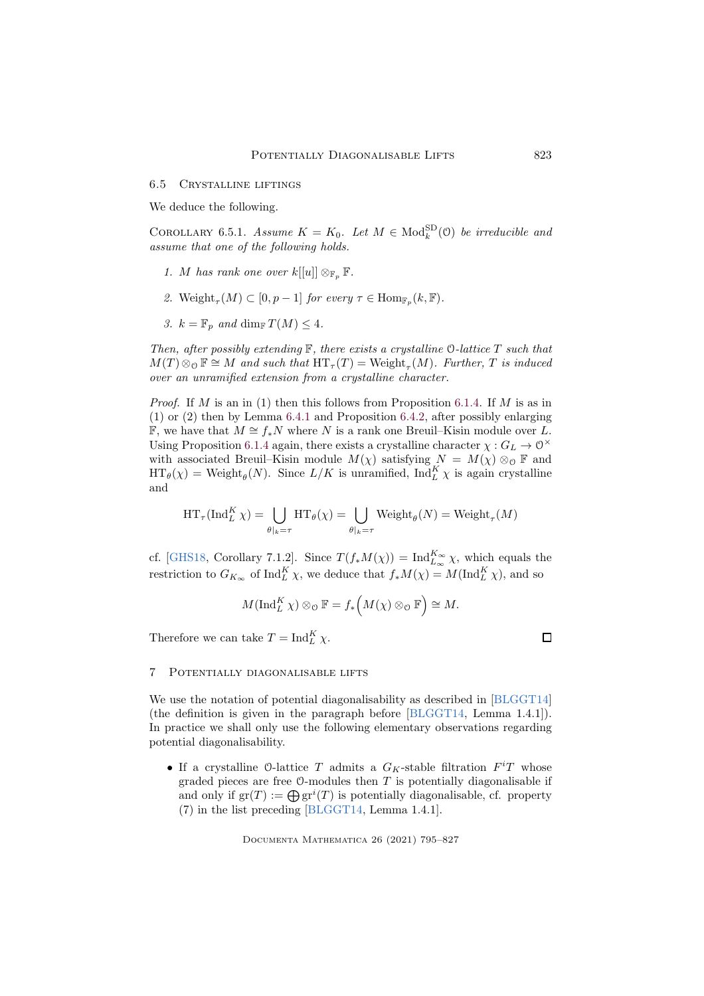#### 6.5 Crystalline liftings

We deduce the following.

<span id="page-28-1"></span>COROLLARY 6.5.1. *Assume*  $K = K_0$ . Let  $M \in Mod_k^{\text{SD}}(0)$  be irreducible and *assume that one of the following holds.*

- *1. M* has rank one over  $k[[u]] \otimes_{\mathbb{F}_p} \mathbb{F}$ .
- 2. Weight<sub> $\tau$ </sub> $(M) \subset [0, p-1]$  *for every*  $\tau \in \text{Hom}_{\mathbb{F}_p}(k, \mathbb{F})$ *.*
- *3.*  $k = \mathbb{F}_p$  *and* dim<sub>F</sub>  $T(M) \leq 4$ *.*

*Then, after possibly extending* F*, there exists a crystalline* O*-lattice* T *such that*  $M(T) \otimes_{\mathcal{O}} \mathbb{F} \cong M$  and such that  $\operatorname{HT}_{\tau}(T) = \text{Weight}_{\tau}(M)$ . Further, T is induced *over an unramified extension from a crystalline character.*

*Proof.* If M is an in (1) then this follows from Proposition [6.1.4.](#page-23-3) If M is as in (1) or (2) then by Lemma [6.4.1](#page-25-1) and Proposition [6.4.2,](#page-26-0) after possibly enlarging F, we have that  $M \cong f_*N$  where N is a rank one Breuil–Kisin module over L. Using Proposition [6.1.4](#page-23-3) again, there exists a crystalline character  $\chi: G_L \to 0^{\times}$ with associated Breuil–Kisin module  $M(\chi)$  satisfying  $N = M(\chi) \otimes_{\mathcal{O}} \mathbb{F}$  and  $\operatorname{HT}_{\theta}(\chi) = \operatorname{Weight}_{\theta}(N)$ . Since  $L/K$  is unramified,  $\operatorname{Ind}_{L}^{K} \chi$  is again crystalline and

$$
\operatorname{HT}_\tau(\operatorname{Ind}_L^K \chi) = \bigcup_{\theta|_k = \tau} \operatorname{HT}_\theta(\chi) = \bigcup_{\theta|_k = \tau} \operatorname{Weight}_\theta(N) = \operatorname{Weight}_\tau(M)
$$

cf. [\[GHS18,](#page-31-6) Corollary 7.1.2]. Since  $T(f_*M(\chi)) = \text{Ind}_{L_{\infty}}^{K_{\infty}} \chi$ , which equals the restriction to  $G_{K_{\infty}}$  of  $\text{Ind}_{L}^{K} \chi$ , we deduce that  $f_*M(\chi) = M(\text{Ind}_{L}^{K} \chi)$ , and so

$$
M(\operatorname{Ind}_{L}^{K} \chi) \otimes_{\mathcal{O}} \mathbb{F} = f_{*}(M(\chi) \otimes_{\mathcal{O}} \mathbb{F}) \cong M.
$$

Therefore we can take  $T = \text{Ind}_{L}^{K} \chi$ .

#### <span id="page-28-0"></span>7 Potentially diagonalisable lifts

We use the notation of potential diagonalisability as described in [\[BLGGT14\]](#page-30-0) (the definition is given in the paragraph before [\[BLGGT14,](#page-30-0) Lemma 1.4.1]). In practice we shall only use the following elementary observations regarding potential diagonalisability.

• If a crystalline O-lattice  $T$  admits a  $G_K$ -stable filtration  $F^iT$  whose graded pieces are free  $\mathcal O$ -modules then  $T$  is potentially diagonalisable if and only if  $gr(T) := \bigoplus gr^{i}(T)$  is potentially diagonalisable, cf. property (7) in the list preceding [\[BLGGT14,](#page-30-0) Lemma 1.4.1].

Documenta Mathematica 26 (2021) 795–827

 $\Box$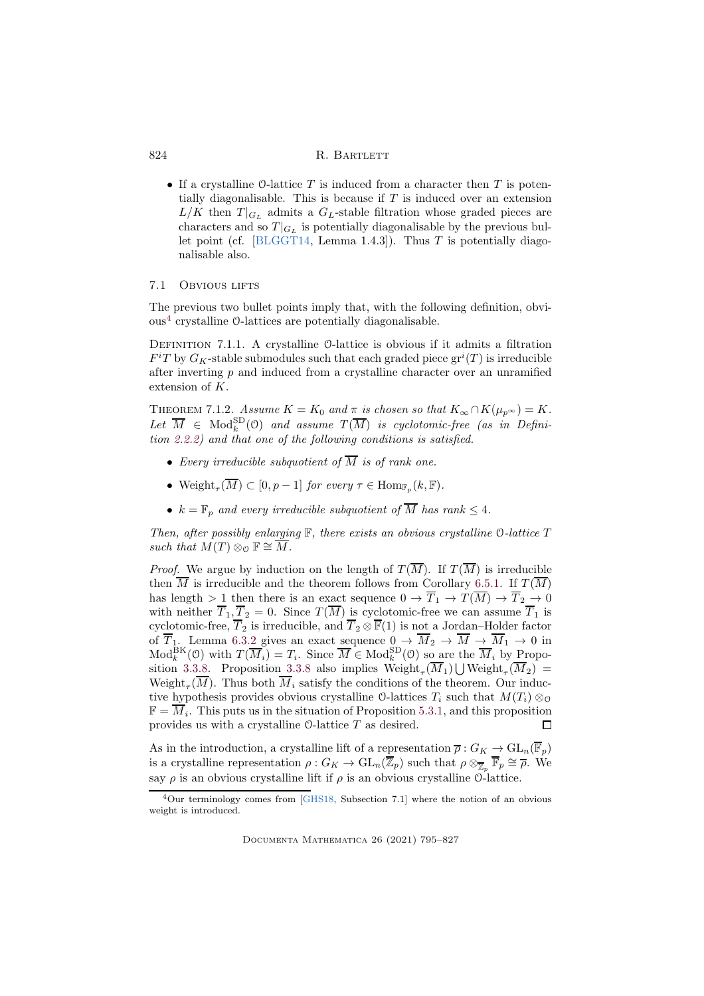• If a crystalline  $\mathcal O$ -lattice T is induced from a character then T is potentially diagonalisable. This is because if  $T$  is induced over an extension  $L/K$  then  $T|_{G_L}$  admits a  $G_L$ -stable filtration whose graded pieces are characters and so  $T|_{G_L}$  is potentially diagonalisable by the previous bul-let point (cf. [\[BLGGT14,](#page-30-0) Lemma 1.4.3]). Thus  $T$  is potentially diagonalisable also.

# 7.1 Obvious lifts

The previous two bullet points imply that, with the following definition, obvious[4](#page-29-0) crystalline O-lattices are potentially diagonalisable.

DEFINITION 7.1.1. A crystalline O-lattice is obvious if it admits a filtration  $F^{i}T$  by  $G_K$ -stable submodules such that each graded piece  $gr^{i}(T)$  is irreducible after inverting  $p$  and induced from a crystalline character over an unramified extension of K.

<span id="page-29-1"></span>THEOREM 7.1.2. *Assume*  $K = K_0$  *and*  $\pi$  *is chosen so that*  $K_{\infty} \cap K(\mu_{p^{\infty}}) = K$ .  $Let \ \overline{M} \in Mod_k^{\text{SD}}(0) \ \text{ and assume } T(\overline{M}) \ \text{ is cyclotomic-free (as in Defini-1)}$ *tion [2.2.2\)](#page-5-3) and that one of the following conditions is satisfied.*

- Every irreducible subquotient of  $\overline{M}$  is of rank one.
- Weight<sub> $\tau(\overline{M}) \subset [0, p-1]$  for every  $\tau \in \text{Hom}_{\mathbb{F}_p}(k, \mathbb{F})$ .</sub>
- $k = \mathbb{F}_p$  and every irreducible subquotient of  $\overline{M}$  has rank  $\leq 4$ .

*Then, after possibly enlarging* F*, there exists an obvious crystalline* O*-lattice* T *such that*  $M(T) \otimes_{\mathcal{O}} \mathbb{F} \cong \overline{M}$ .

*Proof.* We argue by induction on the length of  $T(\overline{M})$ . If  $T(\overline{M})$  is irreducible then  $\overline{M}$  is irreducible and the theorem follows from Corollary [6.5.1.](#page-28-1) If  $T(\overline{M})$ has length > 1 then there is an exact sequence  $0 \to \overline{T}_1 \to T(\overline{M}) \to \overline{T}_2 \to 0$ with neither  $\overline{T}_1, \overline{T}_2 = 0$ . Since  $T(\overline{M})$  is cyclotomic-free we can assume  $\overline{T}_1$  is cyclotomic-free,  $\overline{T}_2$  is irreducible, and  $\overline{T}_2 \otimes \overline{\mathbb{F}}(1)$  is not a Jordan–Holder factor of  $T_1$ . Lemma [6.3.2](#page-24-0) gives an exact sequence  $0 \rightarrow M_2 \rightarrow M \rightarrow M_1 \rightarrow 0$  in  $\text{Mod}_k^{\text{BK}}(0)$  with  $T(\overline{M}_i) = T_i$ . Since  $\overline{M} \in \text{Mod}_k^{\text{SD}}(0)$  so are the  $\overline{M}_i$  by Propo-sition [3.3.8.](#page-13-1) Proposition [3.3.8](#page-13-1) also implies  $\text{Weight}_{\tau}(\overline{M}_1) \bigcup \text{Weight}_{\tau}(\overline{M}_2) =$ Weight<sub> $\tau$ </sub>(M). Thus both  $M_i$  satisfy the conditions of the theorem. Our inductive hypothesis provides obvious crystalline  $\mathcal{O}\text{-lattices }T_i$  such that  $M(T_i) \otimes_{\mathcal{O}} T_i$  $\mathbb{F} = \overline{M}_i$ . This puts us in the situation of Proposition [5.3.1,](#page-20-1) and this proposition provides us with a crystalline O-lattice T as desired. П

As in the introduction, a crystalline lift of a representation  $\overline{\rho}: G_K \to \text{GL}_n(\overline{\mathbb{F}}_p)$ is a crystalline representation  $\rho: G_K \to \text{GL}_n(\overline{\mathbb{Z}}_p)$  such that  $\rho \otimes_{\overline{\mathbb{Z}}_p} \overline{\mathbb{F}}_p \cong \overline{\rho}$ . We say  $\rho$  is an obvious crystalline lift if  $\rho$  is an obvious crystalline  $\mathcal{O}$ -lattice.

<span id="page-29-0"></span><sup>4</sup>Our terminology comes from [\[GHS18,](#page-31-6) Subsection 7.1] where the notion of an obvious weight is introduced.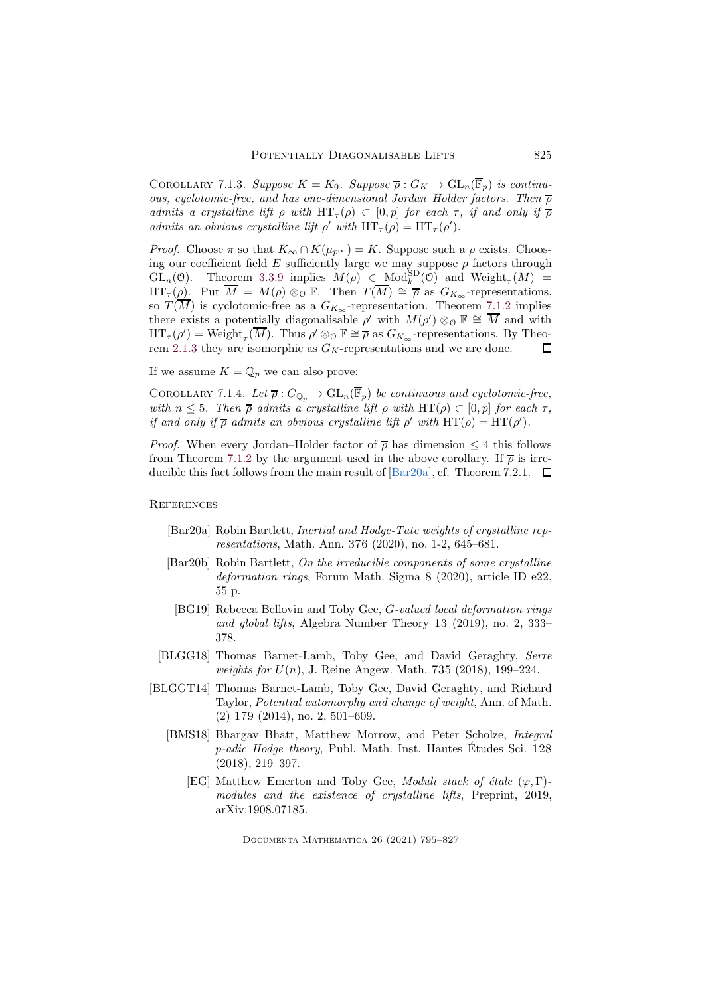COROLLARY 7.1.3. *Suppose*  $K = K_0$ . *Suppose*  $\overline{\rho}: G_K \to \text{GL}_n(\overline{\mathbb{F}}_p)$  *is continuous, cyclotomic-free, and has one-dimensional Jordan–Holder factors. Then*  $\overline{\rho}$ *admits a crystalline lift*  $\rho$  *with*  $HT_{\tau}(\rho) \subset [0,p]$  *for each*  $\tau$ *, if and only if*  $\overline{\rho}$ *admits an obvious crystalline lift*  $\rho'$  *with*  $HT_{\tau}(\rho) = HT_{\tau}(\rho').$ 

*Proof.* Choose  $\pi$  so that  $K_{\infty} \cap K(\mu_{p^{\infty}}) = K$ . Suppose such a  $\rho$  exists. Choosing our coefficient field E sufficiently large we may suppose  $\rho$  factors through GL<sub>n</sub>(0). Theorem [3.3.9](#page-14-1) implies  $M(\rho) \in Mod_k^{\text{SD}}(0)$  and Weight<sub>r</sub>(M) =  $\operatorname{HT}_{\tau}(\rho)$ . Put  $\overline{M} = M(\rho) \otimes_{\mathcal{O}} \mathbb{F}$ . Then  $T(\overline{M}) \cong \overline{\rho}$  as  $G_{K_{\infty}}$ -representations, so  $T(\overline{M})$  is cyclotomic-free as a  $G_{K_{\infty}}$ -representation. Theorem [7.1.2](#page-29-1) implies there exists a potentially diagonalisable  $\rho'$  with  $M(\rho') \otimes_{\mathcal{O}} \mathbb{F} \cong \overline{M}$  and with  $\operatorname{HT}_{\tau}(\rho') = \operatorname{Weight}_{\tau}(\overline{M})$ . Thus  $\rho' \otimes_{\mathcal{O}} \mathbb{F} \cong \overline{\rho}$  as  $G_{K_{\infty}}$ -representations. By Theo-rem [2.1.3](#page-5-0) they are isomorphic as  $G_K$ -representations and we are done.  $\Box$ 

If we assume  $K = \mathbb{Q}_p$  we can also prove:

COROLLARY 7.1.4. Let  $\overline{\rho}: G_{\mathbb{Q}_p} \to \mathrm{GL}_n(\overline{\mathbb{F}}_p)$  be continuous and cyclotomic-free, *with*  $n \leq 5$ *. Then*  $\overline{\rho}$  *admits* a crystalline lift  $\rho$  with HT( $\rho$ )  $\subset$  [0,  $p$ ] for each  $\tau$ *, if and only if*  $\bar{\rho}$  *admits an obvious crystalline lift*  $\rho'$  *with*  $HT(\rho) = HT(\rho')$ *.* 

*Proof.* When every Jordan–Holder factor of  $\bar{\rho}$  has dimension  $\leq 4$  this follows from Theorem [7.1.2](#page-29-1) by the argument used in the above corollary. If  $\bar{\rho}$  is irreducible this fact follows from the main result of  $\lbrack \text{Bar20a} \rbrack$ , cf. Theorem 7.2.1.  $\Box$ 

## **REFERENCES**

- <span id="page-30-3"></span>[Bar20a] Robin Bartlett, *Inertial and Hodge-Tate weights of crystalline representations*, Math. Ann. 376 (2020), no. 1-2, 645–681.
- <span id="page-30-4"></span>[Bar20b] Robin Bartlett, *On the irreducible components of some crystalline deformation rings*, Forum Math. Sigma 8 (2020), article ID e22, 55 p.
- <span id="page-30-2"></span>[BG19] Rebecca Bellovin and Toby Gee, G*-valued local deformation rings and global lifts*, Algebra Number Theory 13 (2019), no. 2, 333– 378.
- <span id="page-30-1"></span>[BLGG18] Thomas Barnet-Lamb, Toby Gee, and David Geraghty, *Serre weights for* U(n), J. Reine Angew. Math. 735 (2018), 199–224.
- <span id="page-30-6"></span><span id="page-30-5"></span><span id="page-30-0"></span>[BLGGT14] Thomas Barnet-Lamb, Toby Gee, David Geraghty, and Richard Taylor, *Potential automorphy and change of weight*, Ann. of Math. (2) 179 (2014), no. 2, 501–609.
	- [BMS18] Bhargav Bhatt, Matthew Morrow, and Peter Scholze, *Integral* p-adic Hodge theory, Publ. Math. Inst. Hautes Etudes Sci. 128 (2018), 219–397.
		- [EG] Matthew Emerton and Toby Gee, *Moduli stack of étale* ( $\varphi$ , Γ)*modules and the existence of crystalline lifts*, Preprint, 2019, arXiv:1908.07185.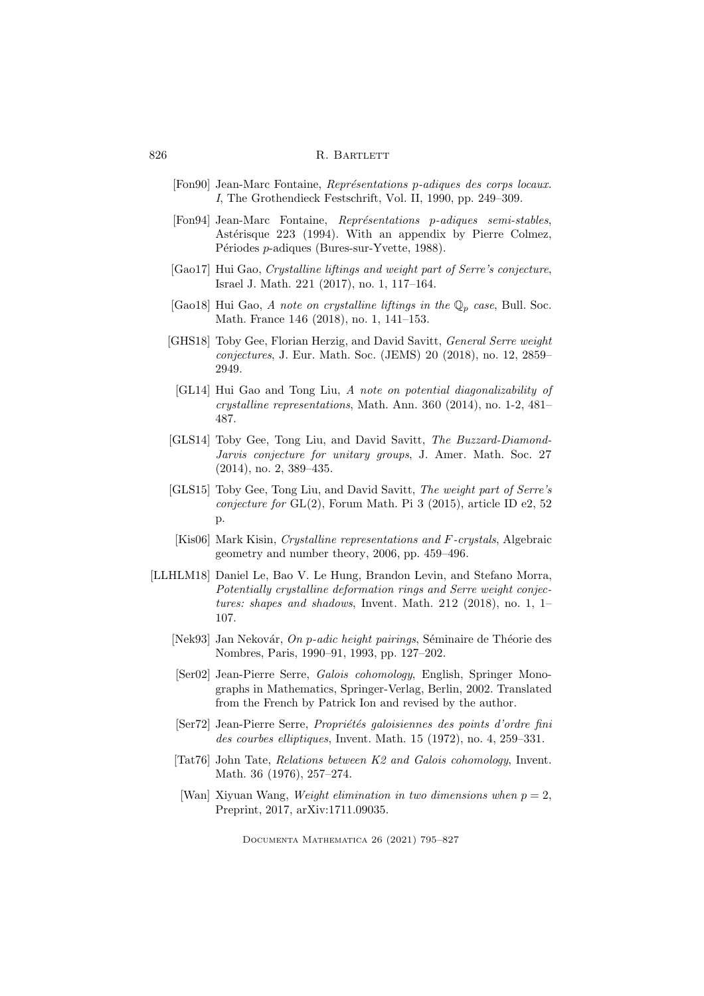- <span id="page-31-12"></span>[Fon90] Jean-Marc Fontaine, *Représentations p-adiques des corps locaux. I*, The Grothendieck Festschrift, Vol. II, 1990, pp. 249–309.
- <span id="page-31-13"></span>[Fon94] Jean-Marc Fontaine, *Représentations p-adiques semi-stables*, Astérisque 223 (1994). With an appendix by Pierre Colmez, Périodes *p*-adiques (Bures-sur-Yvette, 1988).
- <span id="page-31-4"></span>[Gao17] Hui Gao, *Crystalline liftings and weight part of Serre's conjecture*, Israel J. Math. 221 (2017), no. 1, 117–164.
- <span id="page-31-5"></span>[Gao18] Hui Gao, A note on crystalline liftings in the  $\mathbb{Q}_p$  case, Bull. Soc. Math. France 146 (2018), no. 1, 141–153.
- <span id="page-31-6"></span><span id="page-31-0"></span>[GHS18] Toby Gee, Florian Herzig, and David Savitt, *General Serre weight conjectures*, J. Eur. Math. Soc. (JEMS) 20 (2018), no. 12, 2859– 2949.
	- [GL14] Hui Gao and Tong Liu, *A note on potential diagonalizability of crystalline representations*, Math. Ann. 360 (2014), no. 1-2, 481– 487.
- <span id="page-31-1"></span>[GLS14] Toby Gee, Tong Liu, and David Savitt, *The Buzzard-Diamond-Jarvis conjecture for unitary groups*, J. Amer. Math. Soc. 27 (2014), no. 2, 389–435.
- <span id="page-31-2"></span>[GLS15] Toby Gee, Tong Liu, and David Savitt, *The weight part of Serre's conjecture for* GL(2), Forum Math. Pi 3 (2015), article ID e2, 52 p.
- <span id="page-31-7"></span>[Kis06] Mark Kisin, *Crystalline representations and* F*-crystals*, Algebraic geometry and number theory, 2006, pp. 459–496.
- <span id="page-31-14"></span><span id="page-31-11"></span><span id="page-31-10"></span><span id="page-31-9"></span><span id="page-31-8"></span><span id="page-31-3"></span>[LLHLM18] Daniel Le, Bao V. Le Hung, Brandon Levin, and Stefano Morra, *Potentially crystalline deformation rings and Serre weight conjectures: shapes and shadows*, Invent. Math. 212 (2018), no. 1, 1– 107.
	- [Nek93] Jan Nekovár, *On p-adic height pairings*, Séminaire de Théorie des Nombres, Paris, 1990–91, 1993, pp. 127–202.
	- [Ser02] Jean-Pierre Serre, *Galois cohomology*, English, Springer Monographs in Mathematics, Springer-Verlag, Berlin, 2002. Translated from the French by Patrick Ion and revised by the author.
	- [Ser72] Jean-Pierre Serre, *Propriétés galoisiennes des points d'ordre fini des courbes elliptiques*, Invent. Math. 15 (1972), no. 4, 259–331.
	- [Tat76] John Tate, *Relations between K2 and Galois cohomology*, Invent. Math. 36 (1976), 257–274.
	- [Wan] Xiyuan Wang, *Weight elimination in two dimensions when*  $p = 2$ , Preprint, 2017, arXiv:1711.09035.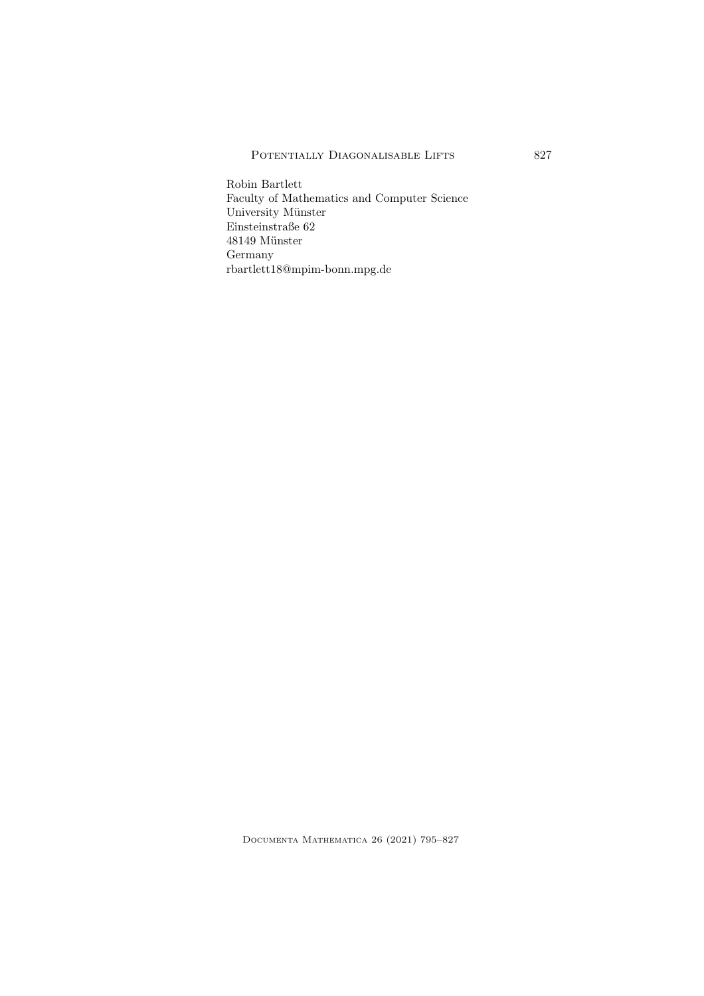Robin Bartlett Faculty of Mathematics and Computer Science University Münster Einsteinstraße 62  $48149$  Münster Germany rbartlett18@mpim-bonn.mpg.de